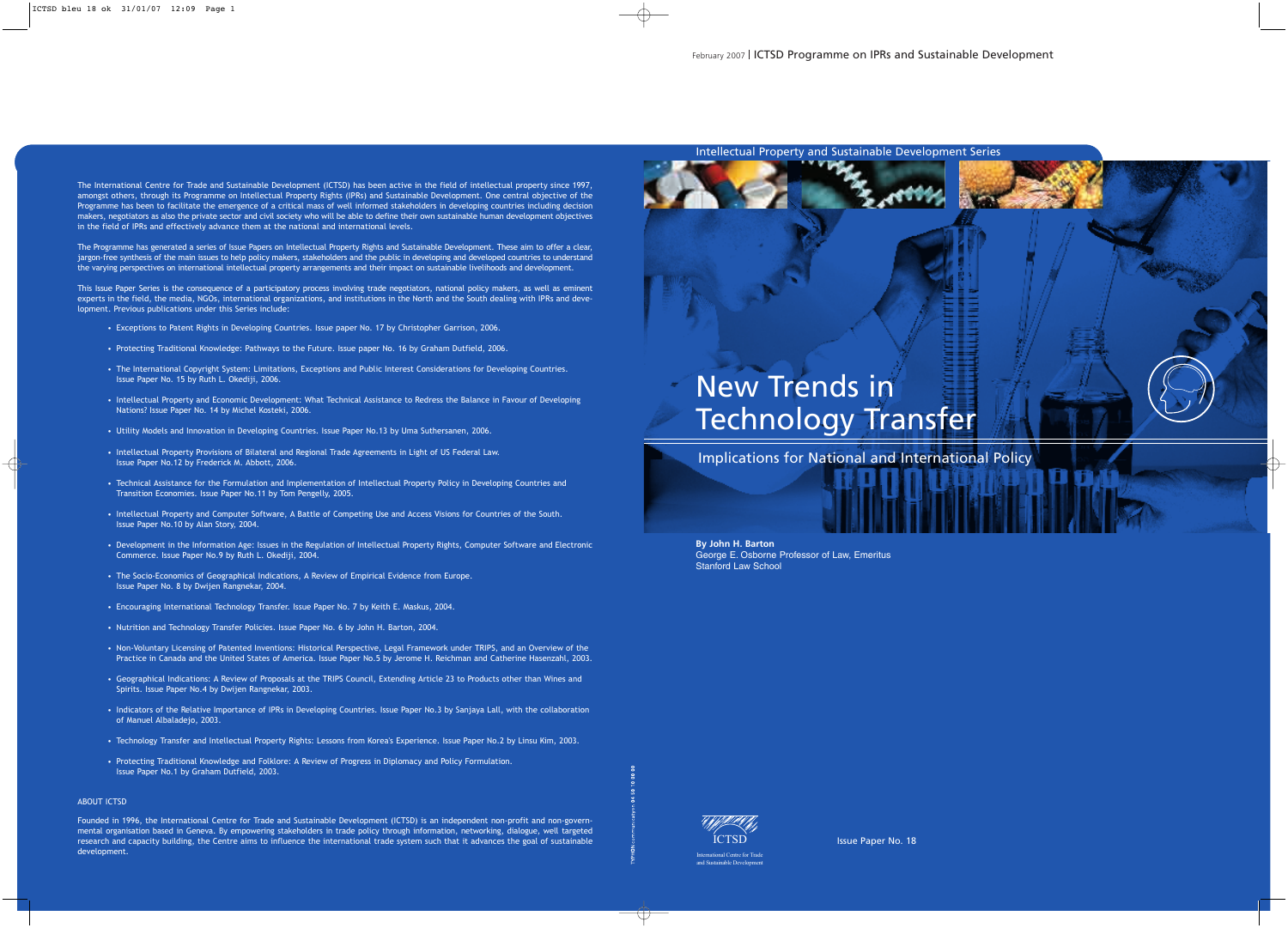Intellectual Property and Sustainable Development Series

# New Trends in Technology Transfer

Implications for National and International Policy

**By John H. Barton** George E. Osborne Professor of Law, Emeritus Stanford Law School



Issue Paper No. 18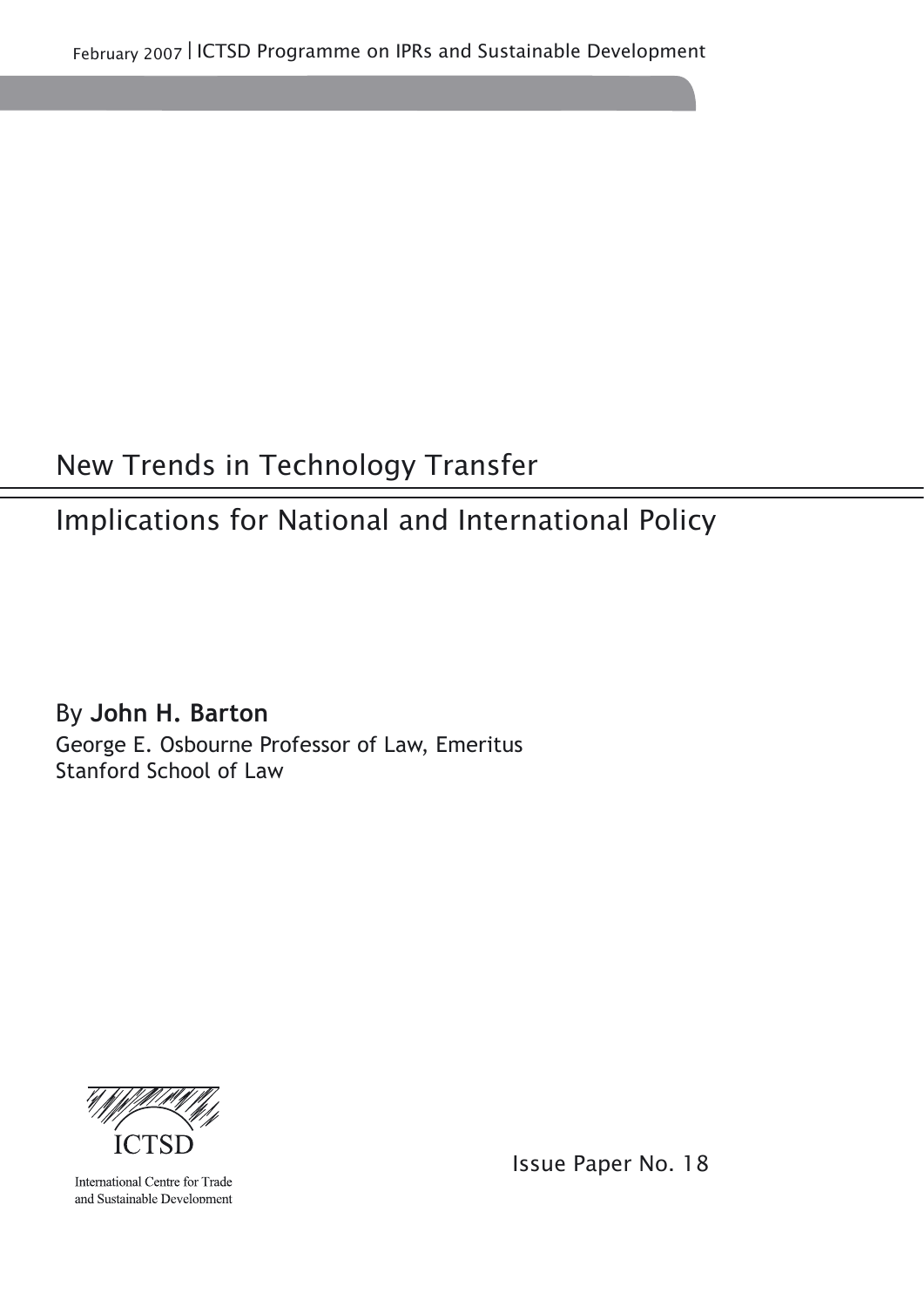February 2007 l ICTSD Programme on IPRs and Sustainable Development

## New Trends in Technology Transfer

## Implications for National and International Policy

By **John H. Barton** George E. Osbourne Professor of Law, Emeritus Stanford School of Law



International Centre for Trade and Sustainable Development Issue Paper No. 18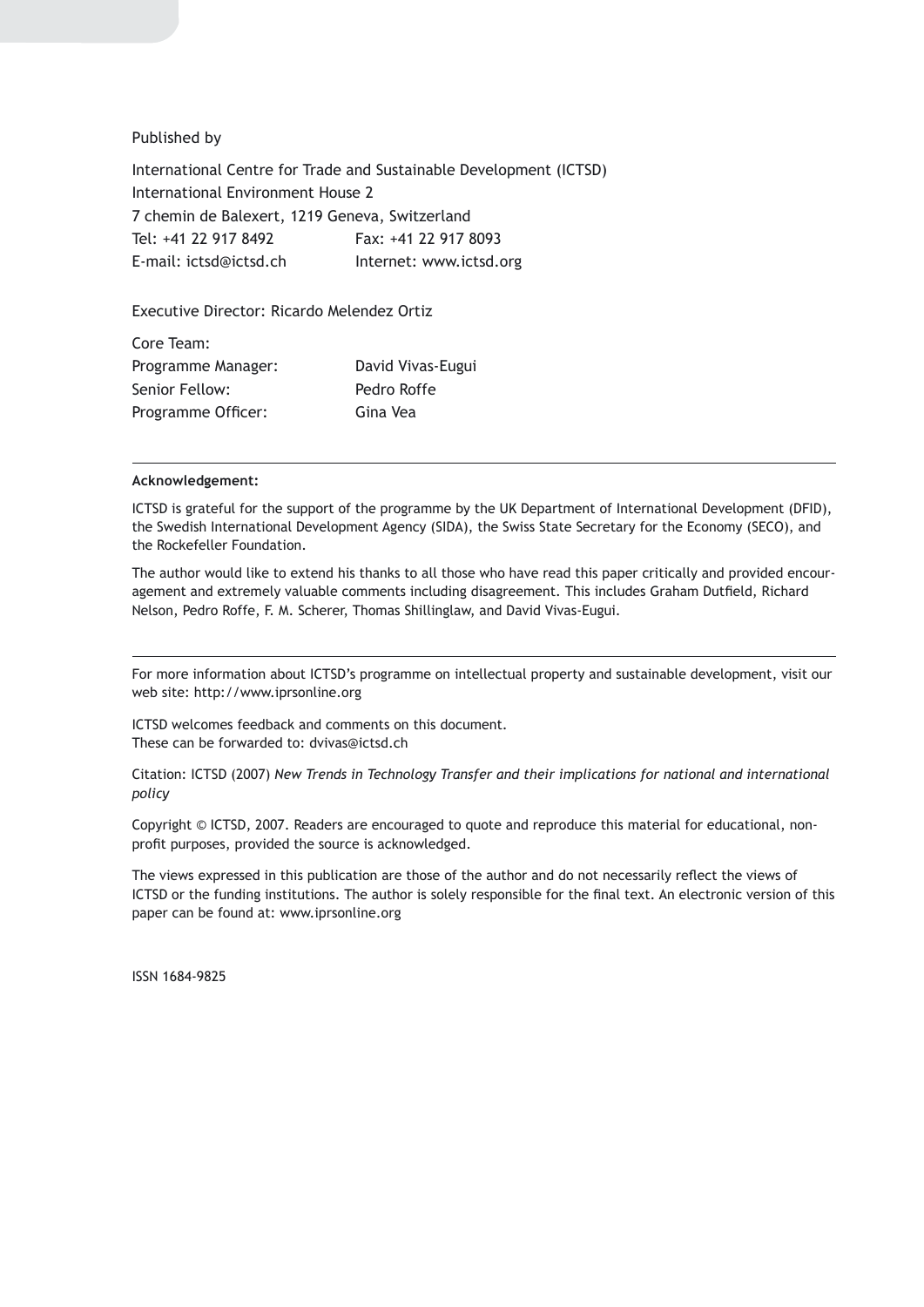#### Published by

International Centre for Trade and Sustainable Development (ICTSD) International Environment House 2 7 chemin de Balexert, 1219 Geneva, Switzerland Tel: +41 22 917 8492 Fax: +41 22 917 8093 E-mail: ictsd@ictsd.ch Internet: www.ictsd.org

#### Executive Director: Ricardo Melendez Ortiz

| Core Team:         |                   |
|--------------------|-------------------|
| Programme Manager: | David Vivas-Eugui |
| Senior Fellow:     | Pedro Roffe       |
| Programme Officer: | Gina Vea          |

#### **Acknowledgement:**

ICTSD is grateful for the support of the programme by the UK Department of International Development (DFID), the Swedish International Development Agency (SIDA), the Swiss State Secretary for the Economy (SECO), and the Rockefeller Foundation.

The author would like to extend his thanks to all those who have read this paper critically and provided encouragement and extremely valuable comments including disagreement. This includes Graham Dutfield, Richard Nelson, Pedro Roffe, F. M. Scherer, Thomas Shillinglaw, and David Vivas-Eugui.

For more information about ICTSD's programme on intellectual property and sustainable development, visit our web site: http://www.iprsonline.org

ICTSD welcomes feedback and comments on this document. These can be forwarded to: dvivas@ictsd.ch

Citation: ICTSD (2007) *New Trends in Technology Transfer and their implications for national and international policy*

Copyright © ICTSD, 2007. Readers are encouraged to quote and reproduce this material for educational, nonprofit purposes, provided the source is acknowledged.

The views expressed in this publication are those of the author and do not necessarily reflect the views of ICTSD or the funding institutions. The author is solely responsible for the final text. An electronic version of this paper can be found at: www.iprsonline.org

ISSN 1684-9825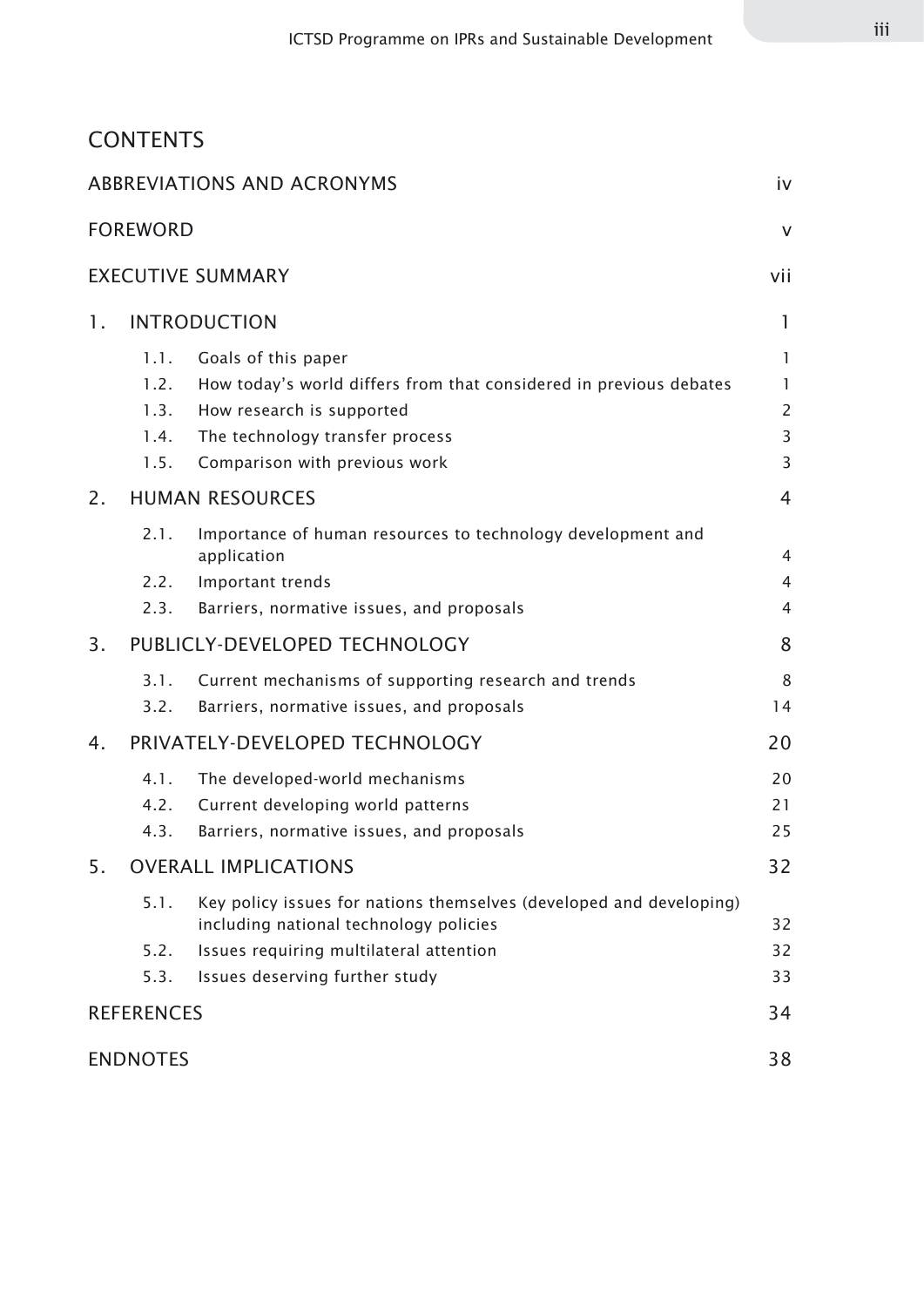### **CONTENTS**

|                |                                      | <b>ABBREVIATIONS AND ACRONYMS</b>                                                                                                                                                          | iv                                            |
|----------------|--------------------------------------|--------------------------------------------------------------------------------------------------------------------------------------------------------------------------------------------|-----------------------------------------------|
|                | <b>FOREWORD</b>                      |                                                                                                                                                                                            | $\vee$                                        |
|                |                                      | <b>EXECUTIVE SUMMARY</b>                                                                                                                                                                   | vii                                           |
| 1.             |                                      | <b>INTRODUCTION</b>                                                                                                                                                                        | 1                                             |
|                | 1.1.<br>1.2.<br>1.3.<br>1.4.<br>1.5. | Goals of this paper<br>How today's world differs from that considered in previous debates<br>How research is supported<br>The technology transfer process<br>Comparison with previous work | $\mathbf{1}$<br>1<br>$\overline{2}$<br>3<br>3 |
| 2.             | <b>HUMAN RESOURCES</b>               |                                                                                                                                                                                            | 4                                             |
|                | 2.1.<br>2.2.<br>2.3.                 | Importance of human resources to technology development and<br>application<br>Important trends<br>Barriers, normative issues, and proposals                                                | 4<br>$\overline{4}$<br>4                      |
| 3 <sub>1</sub> |                                      | PUBLICLY-DEVELOPED TECHNOLOGY                                                                                                                                                              | 8                                             |
|                | 3.1.<br>3.2.                         | Current mechanisms of supporting research and trends<br>Barriers, normative issues, and proposals                                                                                          | 8<br>14                                       |
| 4.             |                                      | PRIVATELY-DEVELOPED TECHNOLOGY                                                                                                                                                             | 20                                            |
|                | 4.1.<br>4.2.<br>4.3.                 | The developed-world mechanisms<br>Current developing world patterns<br>Barriers, normative issues, and proposals                                                                           | 20<br>21<br>25                                |
| 5.             |                                      | <b>OVERALL IMPLICATIONS</b>                                                                                                                                                                | 32                                            |
|                | 5.1.<br>5.2.<br>5.3.                 | Key policy issues for nations themselves (developed and developing)<br>including national technology policies<br>Issues requiring multilateral attention<br>Issues deserving further study | 32<br>32<br>33                                |
|                | <b>REFERENCES</b>                    |                                                                                                                                                                                            | 34                                            |
|                | <b>ENDNOTES</b>                      |                                                                                                                                                                                            | 38                                            |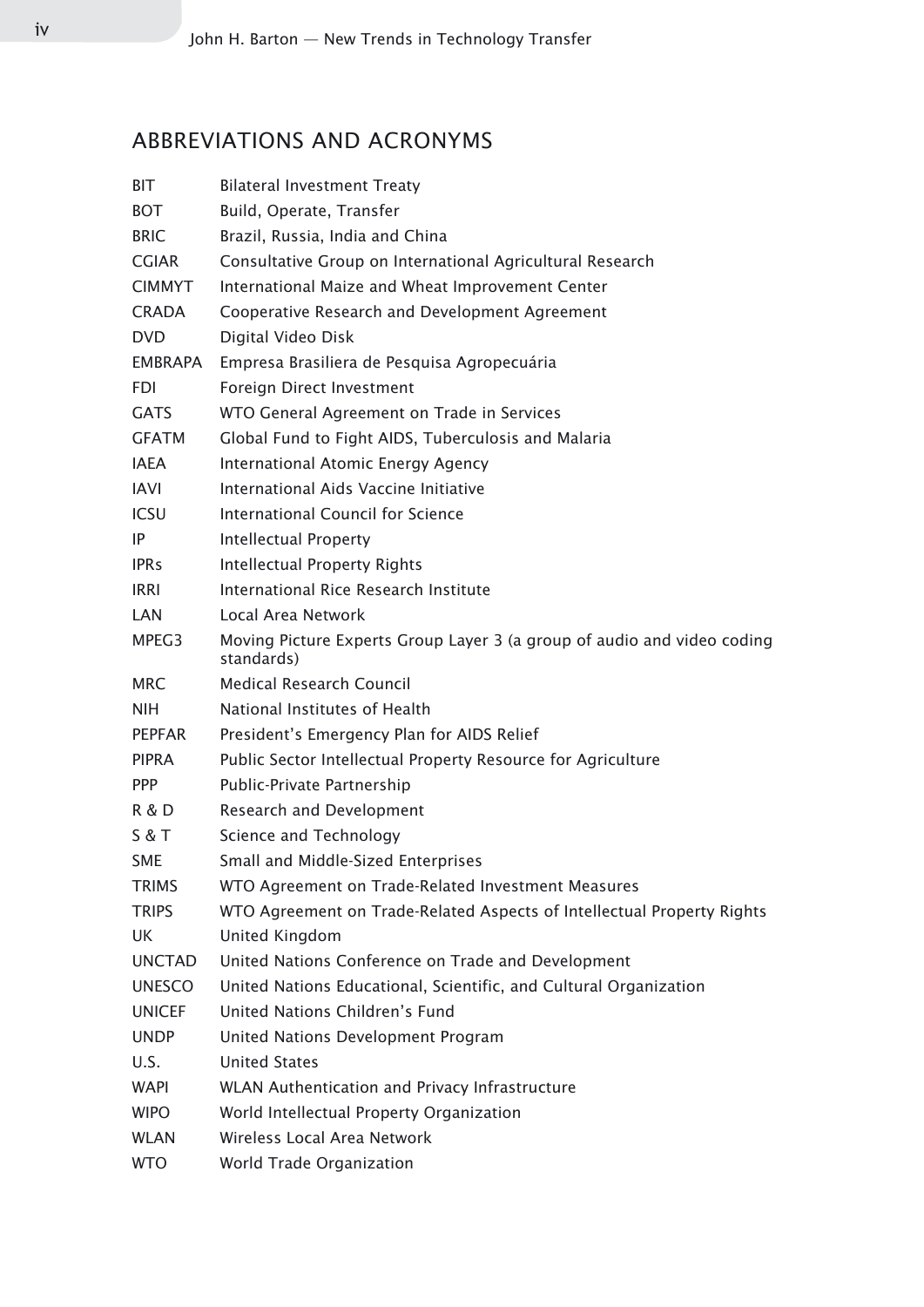## ABBREVIATIONS AND ACRONYMS

| BIT            | <b>Bilateral Investment Treaty</b>                                                    |
|----------------|---------------------------------------------------------------------------------------|
| <b>BOT</b>     | Build, Operate, Transfer                                                              |
| <b>BRIC</b>    | Brazil, Russia, India and China                                                       |
| <b>CGIAR</b>   | Consultative Group on International Agricultural Research                             |
| <b>CIMMYT</b>  | International Maize and Wheat Improvement Center                                      |
| <b>CRADA</b>   | Cooperative Research and Development Agreement                                        |
| <b>DVD</b>     | Digital Video Disk                                                                    |
| <b>EMBRAPA</b> | Empresa Brasiliera de Pesquisa Agropecuária                                           |
| <b>FDI</b>     | Foreign Direct Investment                                                             |
| <b>GATS</b>    | WTO General Agreement on Trade in Services                                            |
| <b>GFATM</b>   | Global Fund to Fight AIDS, Tuberculosis and Malaria                                   |
| <b>IAEA</b>    | International Atomic Energy Agency                                                    |
| <b>IAVI</b>    | International Aids Vaccine Initiative                                                 |
| <b>ICSU</b>    | <b>International Council for Science</b>                                              |
| IP             | Intellectual Property                                                                 |
| <b>IPRs</b>    | <b>Intellectual Property Rights</b>                                                   |
| <b>IRRI</b>    | International Rice Research Institute                                                 |
| LAN            | Local Area Network                                                                    |
| MPEG3          | Moving Picture Experts Group Layer 3 (a group of audio and video coding<br>standards) |
| <b>MRC</b>     | <b>Medical Research Council</b>                                                       |
| <b>NIH</b>     | National Institutes of Health                                                         |
| <b>PEPFAR</b>  | President's Emergency Plan for AIDS Relief                                            |
| <b>PIPRA</b>   | Public Sector Intellectual Property Resource for Agriculture                          |
| <b>PPP</b>     | Public-Private Partnership                                                            |
| R & D          | Research and Development                                                              |
| S & T          | Science and Technology                                                                |
| <b>SME</b>     | Small and Middle-Sized Enterprises                                                    |
| <b>TRIMS</b>   | WTO Agreement on Trade-Related Investment Measures                                    |
| <b>TRIPS</b>   | WTO Agreement on Trade-Related Aspects of Intellectual Property Rights                |
| UK             | <b>United Kingdom</b>                                                                 |
| <b>UNCTAD</b>  | United Nations Conference on Trade and Development                                    |
| <b>UNESCO</b>  | United Nations Educational, Scientific, and Cultural Organization                     |
| <b>UNICEF</b>  | United Nations Children's Fund                                                        |
| <b>UNDP</b>    | United Nations Development Program                                                    |
| U.S.           | <b>United States</b>                                                                  |
| WAPI           | WLAN Authentication and Privacy Infrastructure                                        |
| <b>WIPO</b>    | World Intellectual Property Organization                                              |
| <b>WLAN</b>    | Wireless Local Area Network                                                           |
| <b>WTO</b>     | World Trade Organization                                                              |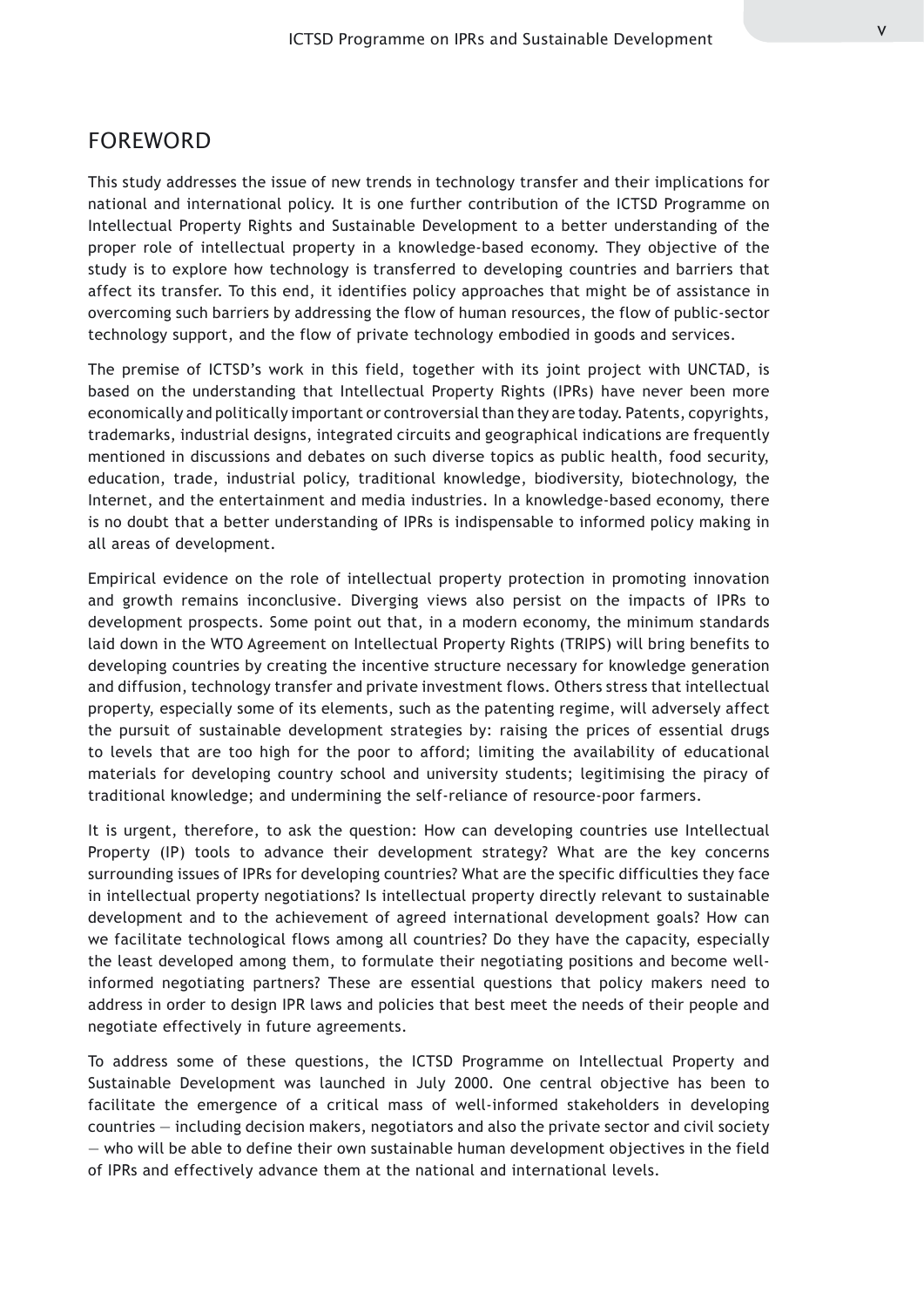#### FOREWORD

This study addresses the issue of new trends in technology transfer and their implications for national and international policy. It is one further contribution of the ICTSD Programme on Intellectual Property Rights and Sustainable Development to a better understanding of the proper role of intellectual property in a knowledge-based economy. They objective of the study is to explore how technology is transferred to developing countries and barriers that affect its transfer. To this end, it identifies policy approaches that might be of assistance in overcoming such barriers by addressing the flow of human resources, the flow of public-sector technology support, and the flow of private technology embodied in goods and services.

The premise of ICTSD's work in this field, together with its joint project with UNCTAD, is based on the understanding that Intellectual Property Rights (IPRs) have never been more economically and politically important or controversial than they are today. Patents, copyrights, trademarks, industrial designs, integrated circuits and geographical indications are frequently mentioned in discussions and debates on such diverse topics as public health, food security, education, trade, industrial policy, traditional knowledge, biodiversity, biotechnology, the Internet, and the entertainment and media industries. In a knowledge-based economy, there is no doubt that a better understanding of IPRs is indispensable to informed policy making in all areas of development.

Empirical evidence on the role of intellectual property protection in promoting innovation and growth remains inconclusive. Diverging views also persist on the impacts of IPRs to development prospects. Some point out that, in a modern economy, the minimum standards laid down in the WTO Agreement on Intellectual Property Rights (TRIPS) will bring benefits to developing countries by creating the incentive structure necessary for knowledge generation and diffusion, technology transfer and private investment flows. Others stress that intellectual property, especially some of its elements, such as the patenting regime, will adversely affect the pursuit of sustainable development strategies by: raising the prices of essential drugs to levels that are too high for the poor to afford; limiting the availability of educational materials for developing country school and university students; legitimising the piracy of traditional knowledge; and undermining the self-reliance of resource-poor farmers.

It is urgent, therefore, to ask the question: How can developing countries use Intellectual Property (IP) tools to advance their development strategy? What are the key concerns surrounding issues of IPRs for developing countries? What are the specific difficulties they face in intellectual property negotiations? Is intellectual property directly relevant to sustainable development and to the achievement of agreed international development goals? How can we facilitate technological flows among all countries? Do they have the capacity, especially the least developed among them, to formulate their negotiating positions and become wellinformed negotiating partners? These are essential questions that policy makers need to address in order to design IPR laws and policies that best meet the needs of their people and negotiate effectively in future agreements.

To address some of these questions, the ICTSD Programme on Intellectual Property and Sustainable Development was launched in July 2000. One central objective has been to facilitate the emergence of a critical mass of well-informed stakeholders in developing countries — including decision makers, negotiators and also the private sector and civil society — who will be able to define their own sustainable human development objectives in the field of IPRs and effectively advance them at the national and international levels.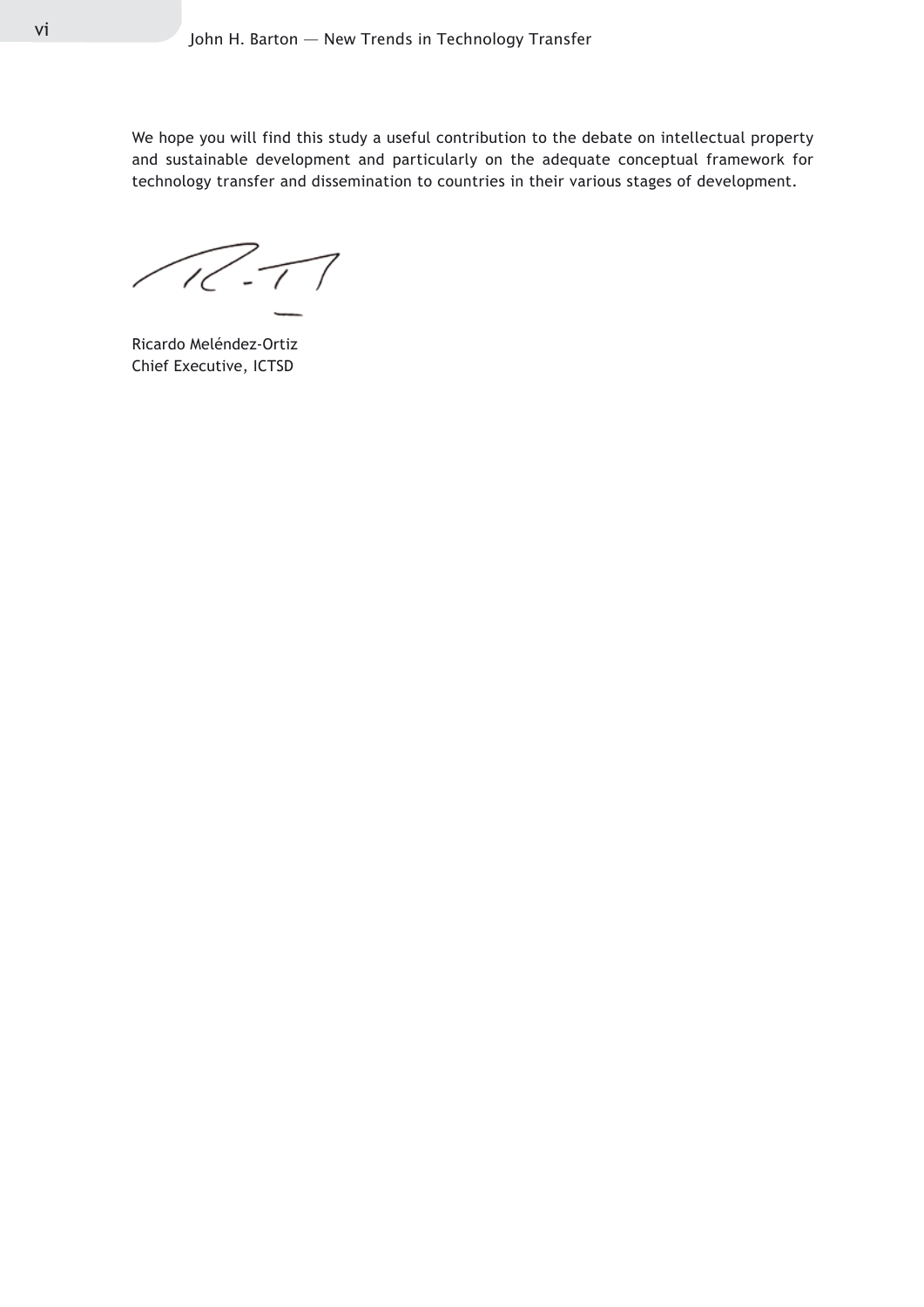We hope you will find this study a useful contribution to the debate on intellectual property and sustainable development and particularly on the adequate conceptual framework for technology transfer and dissemination to countries in their various stages of development.

 $\sqrt{R}$ - $\sqrt{ }$ 

Ricardo Meléndez-Ortiz Chief Executive, ICTSD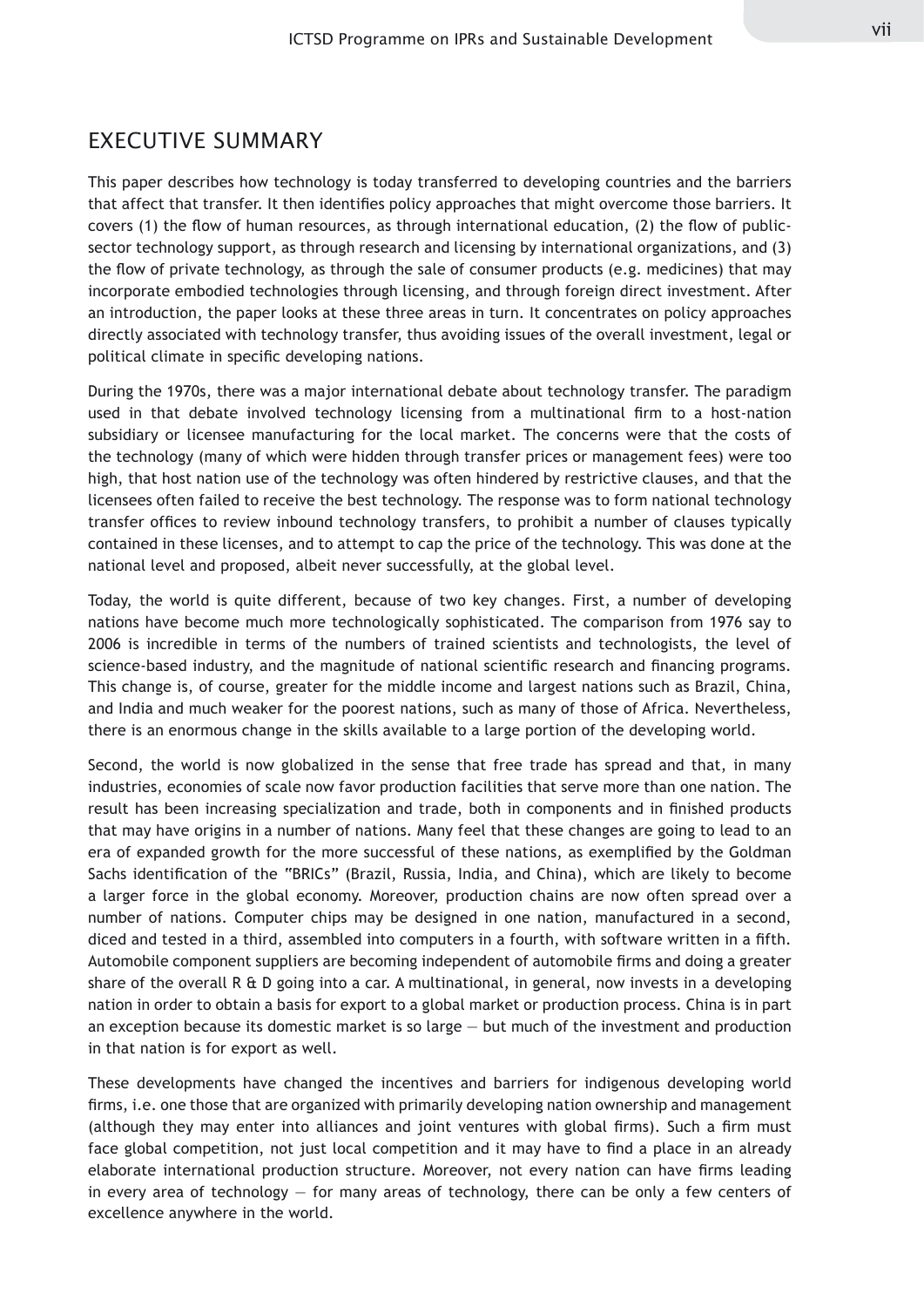#### EXECUTIVE SUMMARY

This paper describes how technology is today transferred to developing countries and the barriers that affect that transfer. It then identifies policy approaches that might overcome those barriers. It covers (1) the flow of human resources, as through international education, (2) the flow of publicsector technology support, as through research and licensing by international organizations, and (3) the flow of private technology, as through the sale of consumer products (e.g. medicines) that may incorporate embodied technologies through licensing, and through foreign direct investment. After an introduction, the paper looks at these three areas in turn. It concentrates on policy approaches directly associated with technology transfer, thus avoiding issues of the overall investment, legal or political climate in specific developing nations.

During the 1970s, there was a major international debate about technology transfer. The paradigm used in that debate involved technology licensing from a multinational firm to a host-nation subsidiary or licensee manufacturing for the local market. The concerns were that the costs of the technology (many of which were hidden through transfer prices or management fees) were too high, that host nation use of the technology was often hindered by restrictive clauses, and that the licensees often failed to receive the best technology. The response was to form national technology transfer offices to review inbound technology transfers, to prohibit a number of clauses typically contained in these licenses, and to attempt to cap the price of the technology. This was done at the national level and proposed, albeit never successfully, at the global level.

Today, the world is quite different, because of two key changes. First, a number of developing nations have become much more technologically sophisticated. The comparison from 1976 say to 2006 is incredible in terms of the numbers of trained scientists and technologists, the level of science-based industry, and the magnitude of national scientific research and financing programs. This change is, of course, greater for the middle income and largest nations such as Brazil, China, and India and much weaker for the poorest nations, such as many of those of Africa. Nevertheless, there is an enormous change in the skills available to a large portion of the developing world.

Second, the world is now globalized in the sense that free trade has spread and that, in many industries, economies of scale now favor production facilities that serve more than one nation. The result has been increasing specialization and trade, both in components and in finished products that may have origins in a number of nations. Many feel that these changes are going to lead to an era of expanded growth for the more successful of these nations, as exemplified by the Goldman Sachs identification of the "BRICs" (Brazil, Russia, India, and China), which are likely to become a larger force in the global economy. Moreover, production chains are now often spread over a number of nations. Computer chips may be designed in one nation, manufactured in a second, diced and tested in a third, assembled into computers in a fourth, with software written in a fifth. Automobile component suppliers are becoming independent of automobile firms and doing a greater share of the overall R & D going into a car. A multinational, in general, now invests in a developing nation in order to obtain a basis for export to a global market or production process. China is in part an exception because its domestic market is so large — but much of the investment and production in that nation is for export as well.

These developments have changed the incentives and barriers for indigenous developing world firms, i.e. one those that are organized with primarily developing nation ownership and management (although they may enter into alliances and joint ventures with global firms). Such a firm must face global competition, not just local competition and it may have to find a place in an already elaborate international production structure. Moreover, not every nation can have firms leading in every area of technology — for many areas of technology, there can be only a few centers of excellence anywhere in the world.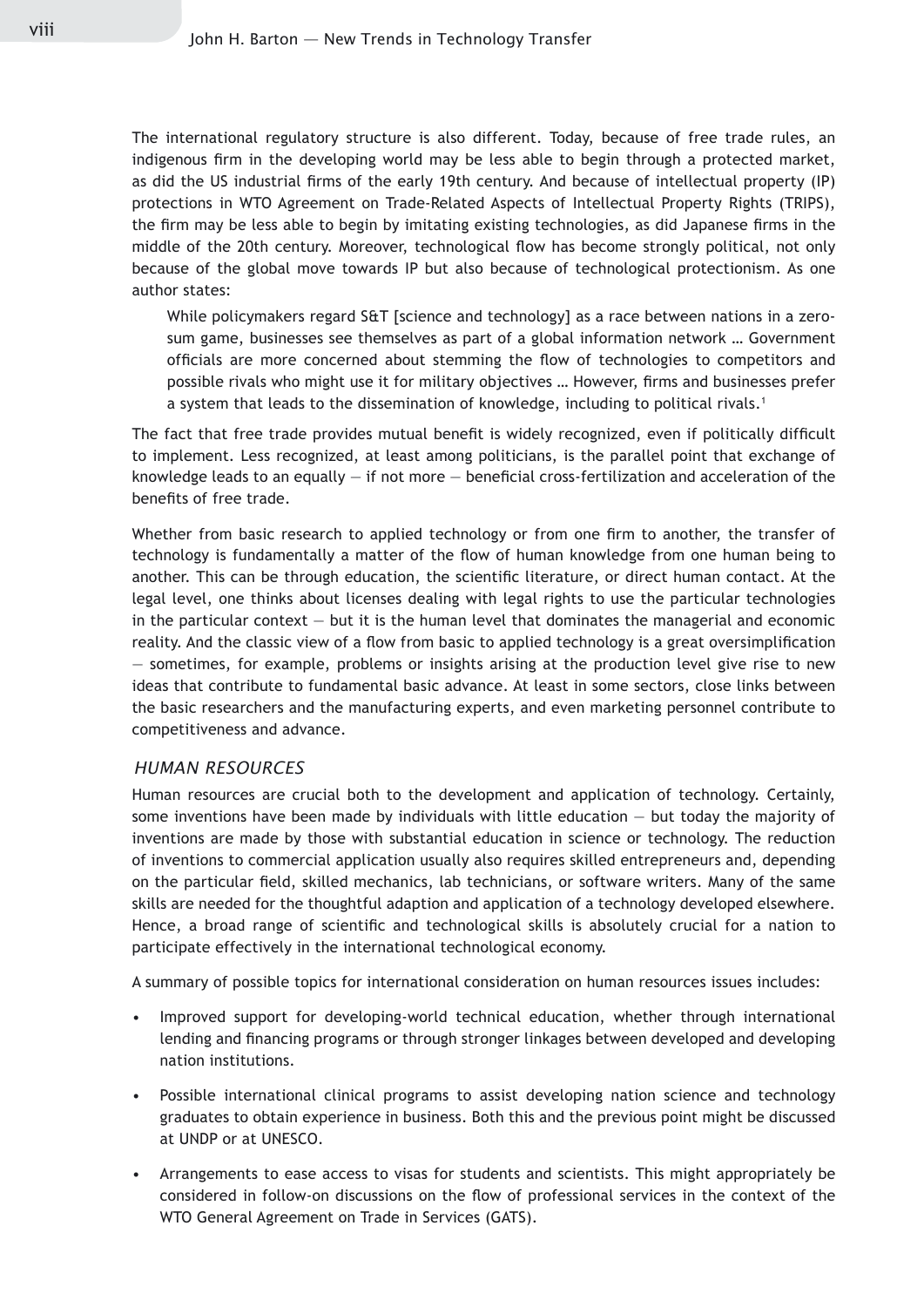The international regulatory structure is also different. Today, because of free trade rules, an indigenous firm in the developing world may be less able to begin through a protected market, as did the US industrial firms of the early 19th century. And because of intellectual property (IP) protections in WTO Agreement on Trade-Related Aspects of Intellectual Property Rights (TRIPS), the firm may be less able to begin by imitating existing technologies, as did Japanese firms in the middle of the 20th century. Moreover, technological flow has become strongly political, not only because of the global move towards IP but also because of technological protectionism. As one author states:

While policymakers regard S&T [science and technology] as a race between nations in a zerosum game, businesses see themselves as part of a global information network … Government officials are more concerned about stemming the flow of technologies to competitors and possible rivals who might use it for military objectives … However, firms and businesses prefer a system that leads to the dissemination of knowledge, including to political rivals.1

The fact that free trade provides mutual benefit is widely recognized, even if politically difficult to implement. Less recognized, at least among politicians, is the parallel point that exchange of knowledge leads to an equally — if not more — beneficial cross-fertilization and acceleration of the benefits of free trade.

Whether from basic research to applied technology or from one firm to another, the transfer of technology is fundamentally a matter of the flow of human knowledge from one human being to another. This can be through education, the scientific literature, or direct human contact. At the legal level, one thinks about licenses dealing with legal rights to use the particular technologies in the particular context  $-$  but it is the human level that dominates the managerial and economic reality. And the classic view of a flow from basic to applied technology is a great oversimplification — sometimes, for example, problems or insights arising at the production level give rise to new ideas that contribute to fundamental basic advance. At least in some sectors, close links between the basic researchers and the manufacturing experts, and even marketing personnel contribute to competitiveness and advance.

#### *HUMAN RESOURCES*

Human resources are crucial both to the development and application of technology. Certainly, some inventions have been made by individuals with little education  $-$  but today the majority of inventions are made by those with substantial education in science or technology. The reduction of inventions to commercial application usually also requires skilled entrepreneurs and, depending on the particular field, skilled mechanics, lab technicians, or software writers. Many of the same skills are needed for the thoughtful adaption and application of a technology developed elsewhere. Hence, a broad range of scientific and technological skills is absolutely crucial for a nation to participate effectively in the international technological economy.

A summary of possible topics for international consideration on human resources issues includes:

- Improved support for developing-world technical education, whether through international lending and financing programs or through stronger linkages between developed and developing nation institutions. •
- Possible international clinical programs to assist developing nation science and technology graduates to obtain experience in business. Both this and the previous point might be discussed at UNDP or at UNESCO. •
- Arrangements to ease access to visas for students and scientists. This might appropriately be considered in follow-on discussions on the flow of professional services in the context of the WTO General Agreement on Trade in Services (GATS). •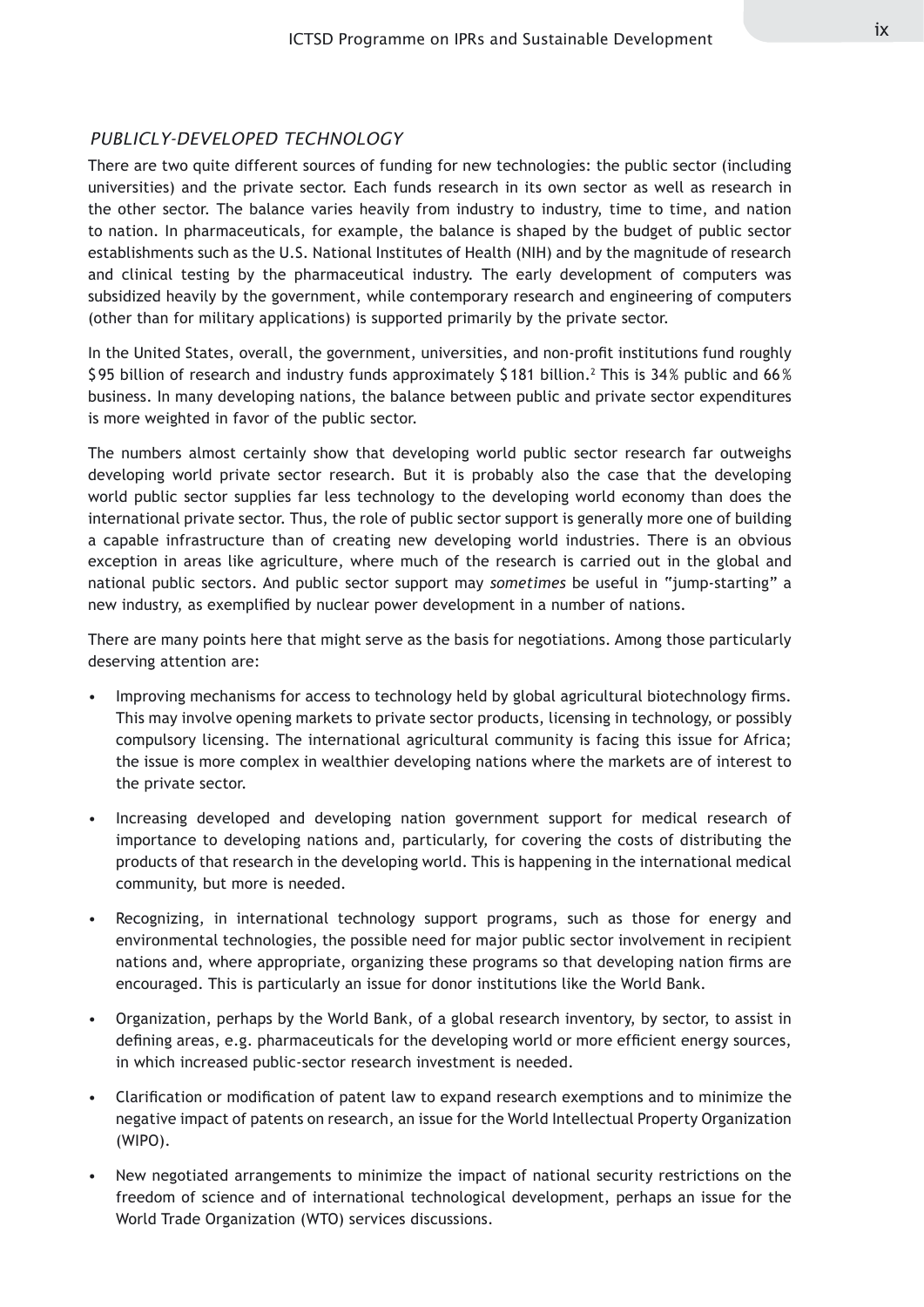#### *PUBLICLY-DEVELOPED TECHNOLOGY*

There are two quite different sources of funding for new technologies: the public sector (including universities) and the private sector. Each funds research in its own sector as well as research in the other sector. The balance varies heavily from industry to industry, time to time, and nation to nation. In pharmaceuticals, for example, the balance is shaped by the budget of public sector establishments such as the U.S. National Institutes of Health (NIH) and by the magnitude of research and clinical testing by the pharmaceutical industry. The early development of computers was subsidized heavily by the government, while contemporary research and engineering of computers (other than for military applications) is supported primarily by the private sector.

In the United States, overall, the government, universities, and non-profit institutions fund roughly \$95 billion of research and industry funds approximately \$181 billion. $^{\rm 2}$  This is 34% public and 66% business. In many developing nations, the balance between public and private sector expenditures is more weighted in favor of the public sector.

The numbers almost certainly show that developing world public sector research far outweighs developing world private sector research. But it is probably also the case that the developing world public sector supplies far less technology to the developing world economy than does the international private sector. Thus, the role of public sector support is generally more one of building a capable infrastructure than of creating new developing world industries. There is an obvious exception in areas like agriculture, where much of the research is carried out in the global and national public sectors. And public sector support may *sometimes* be useful in "jump-starting" a new industry, as exemplified by nuclear power development in a number of nations.

There are many points here that might serve as the basis for negotiations. Among those particularly deserving attention are:

- Improving mechanisms for access to technology held by global agricultural biotechnology firms. This may involve opening markets to private sector products, licensing in technology, or possibly compulsory licensing. The international agricultural community is facing this issue for Africa; the issue is more complex in wealthier developing nations where the markets are of interest to the private sector. •
- Increasing developed and developing nation government support for medical research of importance to developing nations and, particularly, for covering the costs of distributing the products of that research in the developing world. This is happening in the international medical community, but more is needed. •
- Recognizing, in international technology support programs, such as those for energy and environmental technologies, the possible need for major public sector involvement in recipient nations and, where appropriate, organizing these programs so that developing nation firms are encouraged. This is particularly an issue for donor institutions like the World Bank. •
- Organization, perhaps by the World Bank, of a global research inventory, by sector, to assist in defining areas, e.g. pharmaceuticals for the developing world or more efficient energy sources, in which increased public-sector research investment is needed.
- Clarification or modification of patent law to expand research exemptions and to minimize the negative impact of patents on research, an issue for the World Intellectual Property Organization (WIPO). •
- New negotiated arrangements to minimize the impact of national security restrictions on the freedom of science and of international technological development, perhaps an issue for the World Trade Organization (WTO) services discussions.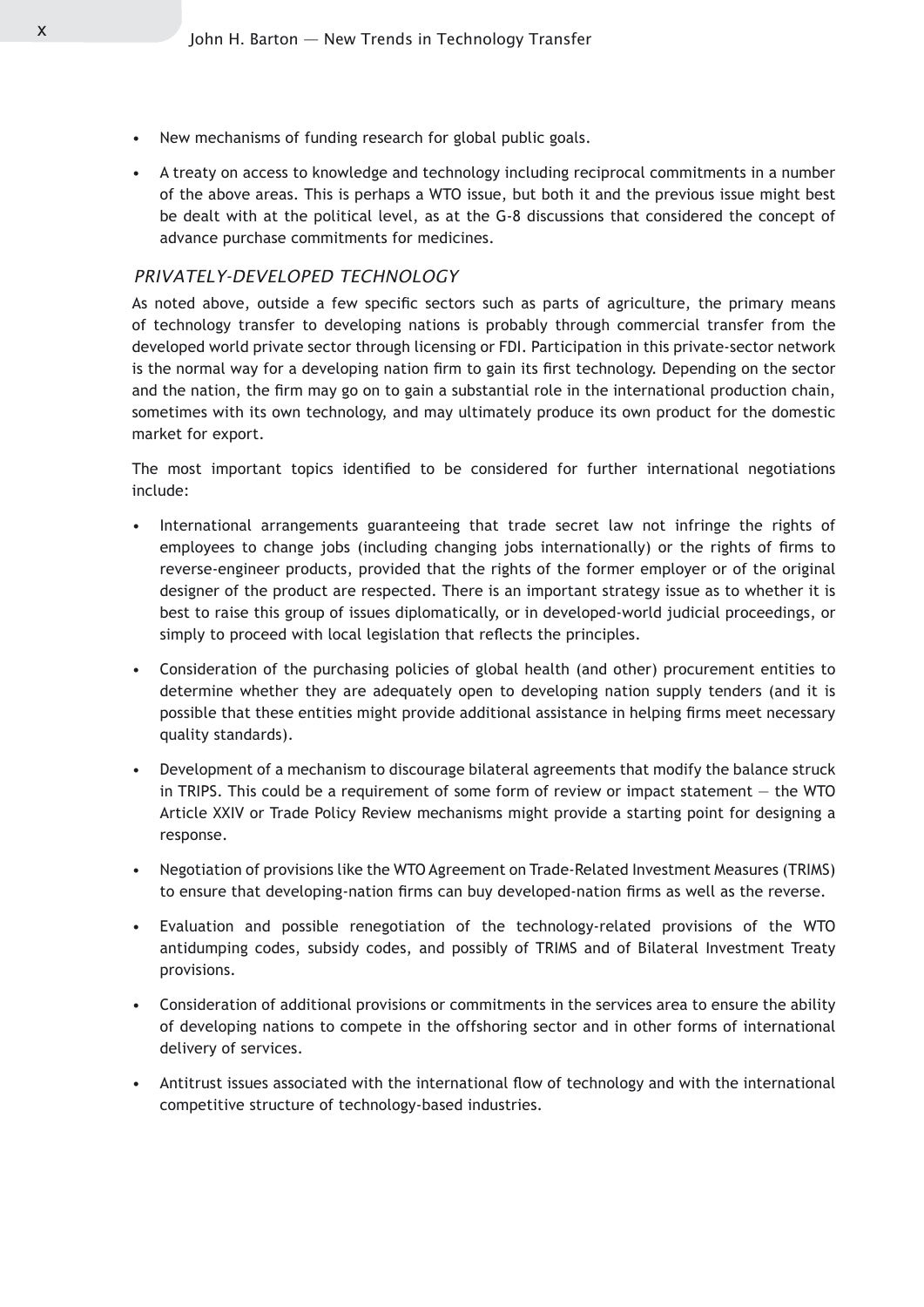- New mechanisms of funding research for global public goals. •
- A treaty on access to knowledge and technology including reciprocal commitments in a number of the above areas. This is perhaps a WTO issue, but both it and the previous issue might best be dealt with at the political level, as at the G-8 discussions that considered the concept of advance purchase commitments for medicines.

#### *PRIVATELY-DEVELOPED TECHNOLOGY*

As noted above, outside a few specific sectors such as parts of agriculture, the primary means of technology transfer to developing nations is probably through commercial transfer from the developed world private sector through licensing or FDI. Participation in this private-sector network is the normal way for a developing nation firm to gain its first technology. Depending on the sector and the nation, the firm may go on to gain a substantial role in the international production chain, sometimes with its own technology, and may ultimately produce its own product for the domestic market for export.

The most important topics identified to be considered for further international negotiations include:

- International arrangements guaranteeing that trade secret law not infringe the rights of employees to change jobs (including changing jobs internationally) or the rights of firms to reverse-engineer products, provided that the rights of the former employer or of the original designer of the product are respected. There is an important strategy issue as to whether it is best to raise this group of issues diplomatically, or in developed-world judicial proceedings, or simply to proceed with local legislation that reflects the principles.
- Consideration of the purchasing policies of global health (and other) procurement entities to determine whether they are adequately open to developing nation supply tenders (and it is possible that these entities might provide additional assistance in helping firms meet necessary quality standards).
- Development of a mechanism to discourage bilateral agreements that modify the balance struck in TRIPS. This could be a requirement of some form of review or impact statement — the WTO Article XXIV or Trade Policy Review mechanisms might provide a starting point for designing a response. •
- Negotiation of provisions like the WTO Agreement on Trade-Related Investment Measures (TRIMS) to ensure that developing-nation firms can buy developed-nation firms as well as the reverse.
- Evaluation and possible renegotiation of the technology-related provisions of the WTO antidumping codes, subsidy codes, and possibly of TRIMS and of Bilateral Investment Treaty provisions. •
- Consideration of additional provisions or commitments in the services area to ensure the ability of developing nations to compete in the offshoring sector and in other forms of international delivery of services.
- Antitrust issues associated with the international flow of technology and with the international competitive structure of technology-based industries. •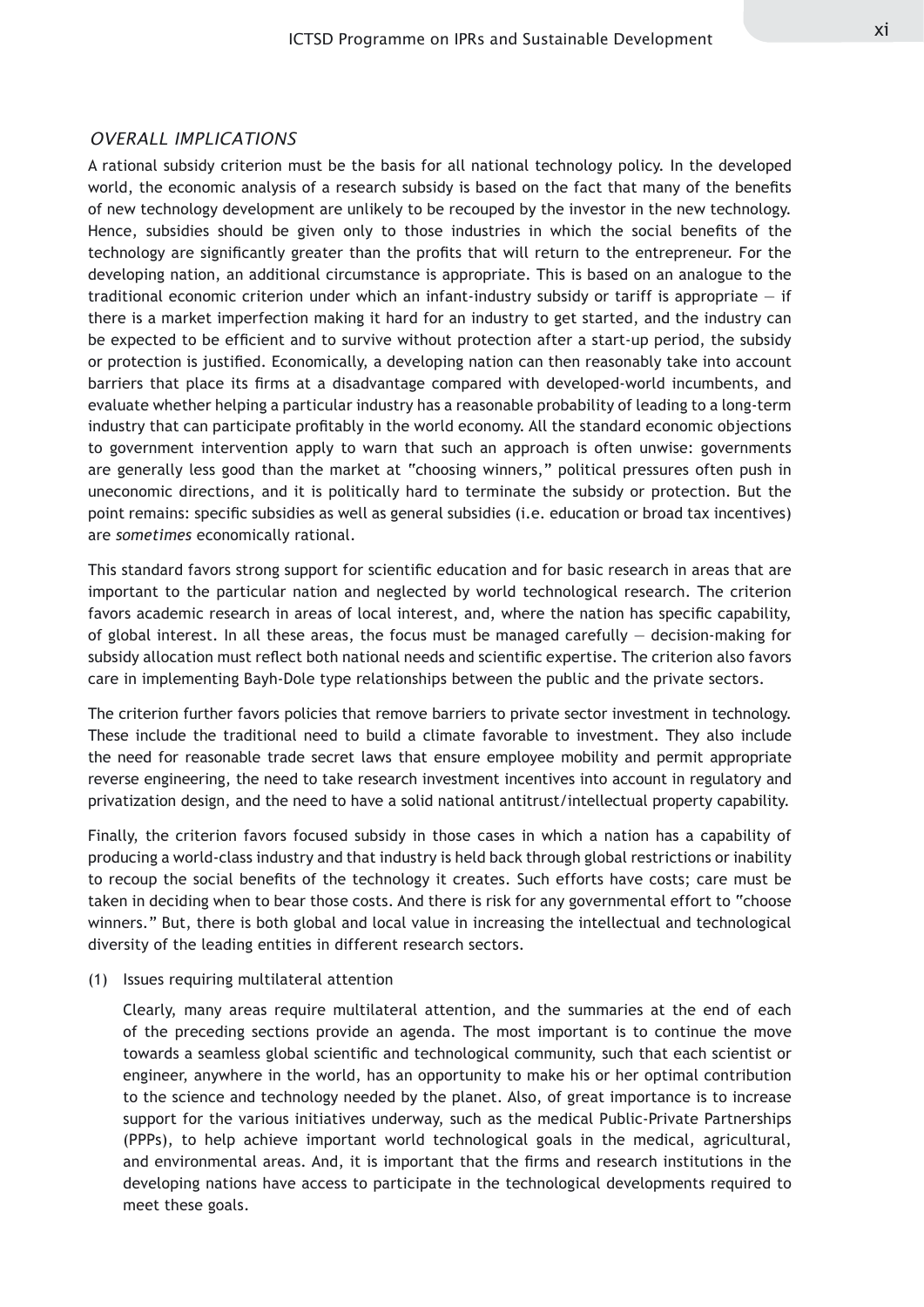#### *OVERALL IMPLICATIONS*

A rational subsidy criterion must be the basis for all national technology policy. In the developed world, the economic analysis of a research subsidy is based on the fact that many of the benefits of new technology development are unlikely to be recouped by the investor in the new technology. Hence, subsidies should be given only to those industries in which the social benefits of the technology are significantly greater than the profits that will return to the entrepreneur. For the developing nation, an additional circumstance is appropriate. This is based on an analogue to the traditional economic criterion under which an infant-industry subsidy or tariff is appropriate  $-$  if there is a market imperfection making it hard for an industry to get started, and the industry can be expected to be efficient and to survive without protection after a start-up period, the subsidy or protection is justified. Economically, a developing nation can then reasonably take into account barriers that place its firms at a disadvantage compared with developed-world incumbents, and evaluate whether helping a particular industry has a reasonable probability of leading to a long-term industry that can participate profitably in the world economy. All the standard economic objections to government intervention apply to warn that such an approach is often unwise: governments are generally less good than the market at "choosing winners," political pressures often push in uneconomic directions, and it is politically hard to terminate the subsidy or protection. But the point remains: specific subsidies as well as general subsidies (i.e. education or broad tax incentives) are *sometimes* economically rational.

This standard favors strong support for scientific education and for basic research in areas that are important to the particular nation and neglected by world technological research. The criterion favors academic research in areas of local interest, and, where the nation has specific capability, of global interest. In all these areas, the focus must be managed carefully  $-$  decision-making for subsidy allocation must reflect both national needs and scientific expertise. The criterion also favors care in implementing Bayh-Dole type relationships between the public and the private sectors.

The criterion further favors policies that remove barriers to private sector investment in technology. These include the traditional need to build a climate favorable to investment. They also include the need for reasonable trade secret laws that ensure employee mobility and permit appropriate reverse engineering, the need to take research investment incentives into account in regulatory and privatization design, and the need to have a solid national antitrust/intellectual property capability.

Finally, the criterion favors focused subsidy in those cases in which a nation has a capability of producing a world-class industry and that industry is held back through global restrictions or inability to recoup the social benefits of the technology it creates. Such efforts have costs; care must be taken in deciding when to bear those costs. And there is risk for any governmental effort to "choose winners." But, there is both global and local value in increasing the intellectual and technological diversity of the leading entities in different research sectors.

#### (1) Issues requiring multilateral attention

Clearly, many areas require multilateral attention, and the summaries at the end of each of the preceding sections provide an agenda. The most important is to continue the move towards a seamless global scientific and technological community, such that each scientist or engineer, anywhere in the world, has an opportunity to make his or her optimal contribution to the science and technology needed by the planet. Also, of great importance is to increase support for the various initiatives underway, such as the medical Public-Private Partnerships (PPPs), to help achieve important world technological goals in the medical, agricultural, and environmental areas. And, it is important that the firms and research institutions in the developing nations have access to participate in the technological developments required to meet these goals.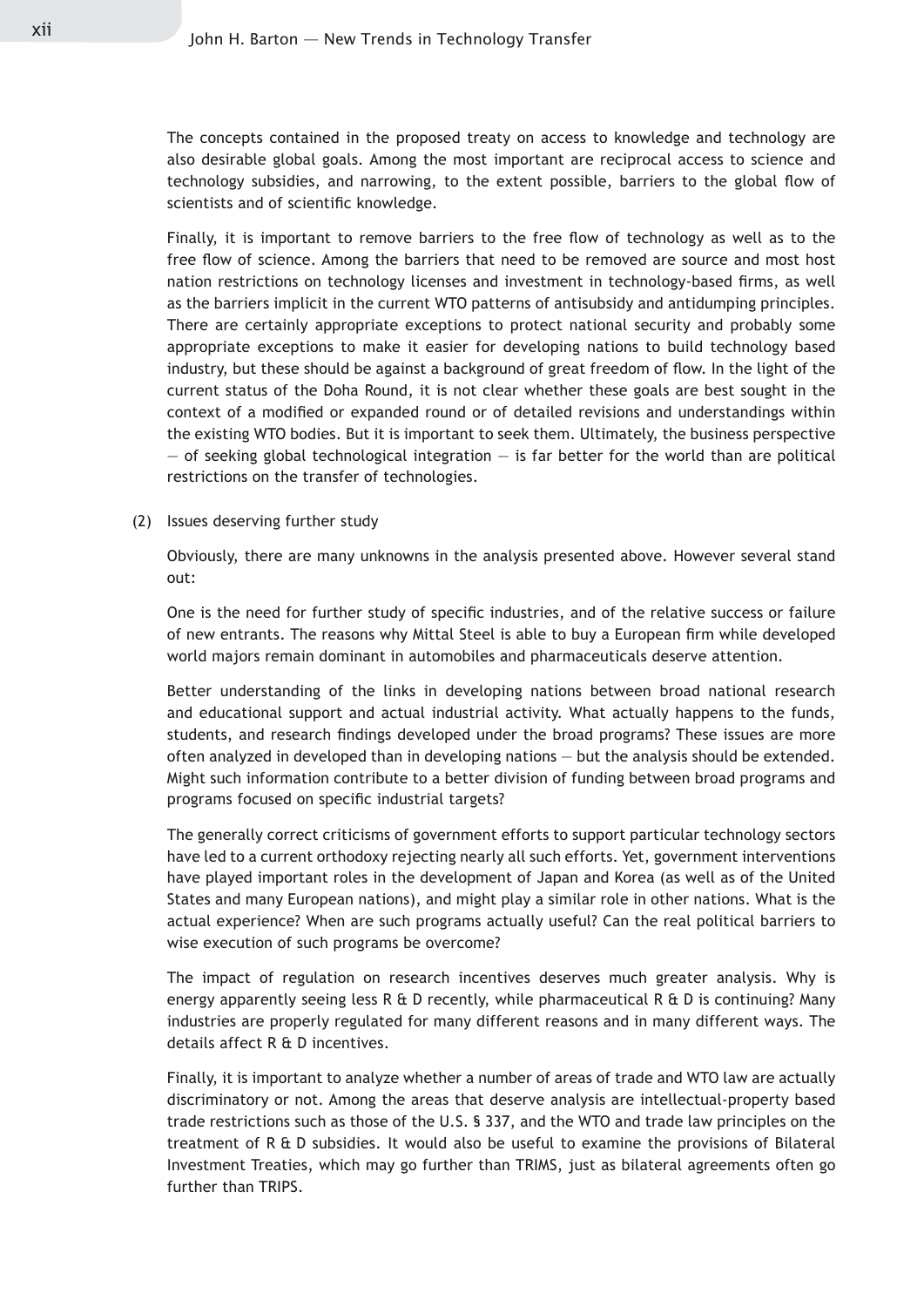The concepts contained in the proposed treaty on access to knowledge and technology are also desirable global goals. Among the most important are reciprocal access to science and technology subsidies, and narrowing, to the extent possible, barriers to the global flow of scientists and of scientific knowledge.

Finally, it is important to remove barriers to the free flow of technology as well as to the free flow of science. Among the barriers that need to be removed are source and most host nation restrictions on technology licenses and investment in technology-based firms, as well as the barriers implicit in the current WTO patterns of antisubsidy and antidumping principles. There are certainly appropriate exceptions to protect national security and probably some appropriate exceptions to make it easier for developing nations to build technology based industry, but these should be against a background of great freedom of flow. In the light of the current status of the Doha Round, it is not clear whether these goals are best sought in the context of a modified or expanded round or of detailed revisions and understandings within the existing WTO bodies. But it is important to seek them. Ultimately, the business perspective  $-$  of seeking global technological integration  $-$  is far better for the world than are political restrictions on the transfer of technologies.

(2) Issues deserving further study

Obviously, there are many unknowns in the analysis presented above. However several stand out:

One is the need for further study of specific industries, and of the relative success or failure of new entrants. The reasons why Mittal Steel is able to buy a European firm while developed world majors remain dominant in automobiles and pharmaceuticals deserve attention.

Better understanding of the links in developing nations between broad national research and educational support and actual industrial activity. What actually happens to the funds, students, and research findings developed under the broad programs? These issues are more often analyzed in developed than in developing nations — but the analysis should be extended. Might such information contribute to a better division of funding between broad programs and programs focused on specific industrial targets?

The generally correct criticisms of government efforts to support particular technology sectors have led to a current orthodoxy rejecting nearly all such efforts. Yet, government interventions have played important roles in the development of Japan and Korea (as well as of the United States and many European nations), and might play a similar role in other nations. What is the actual experience? When are such programs actually useful? Can the real political barriers to wise execution of such programs be overcome?

The impact of regulation on research incentives deserves much greater analysis. Why is energy apparently seeing less R & D recently, while pharmaceutical R  $\&$  D is continuing? Many industries are properly regulated for many different reasons and in many different ways. The details affect R & D incentives.

Finally, it is important to analyze whether a number of areas of trade and WTO law are actually discriminatory or not. Among the areas that deserve analysis are intellectual-property based trade restrictions such as those of the U.S. § 337, and the WTO and trade law principles on the treatment of R & D subsidies. It would also be useful to examine the provisions of Bilateral Investment Treaties, which may go further than TRIMS, just as bilateral agreements often go further than TRIPS.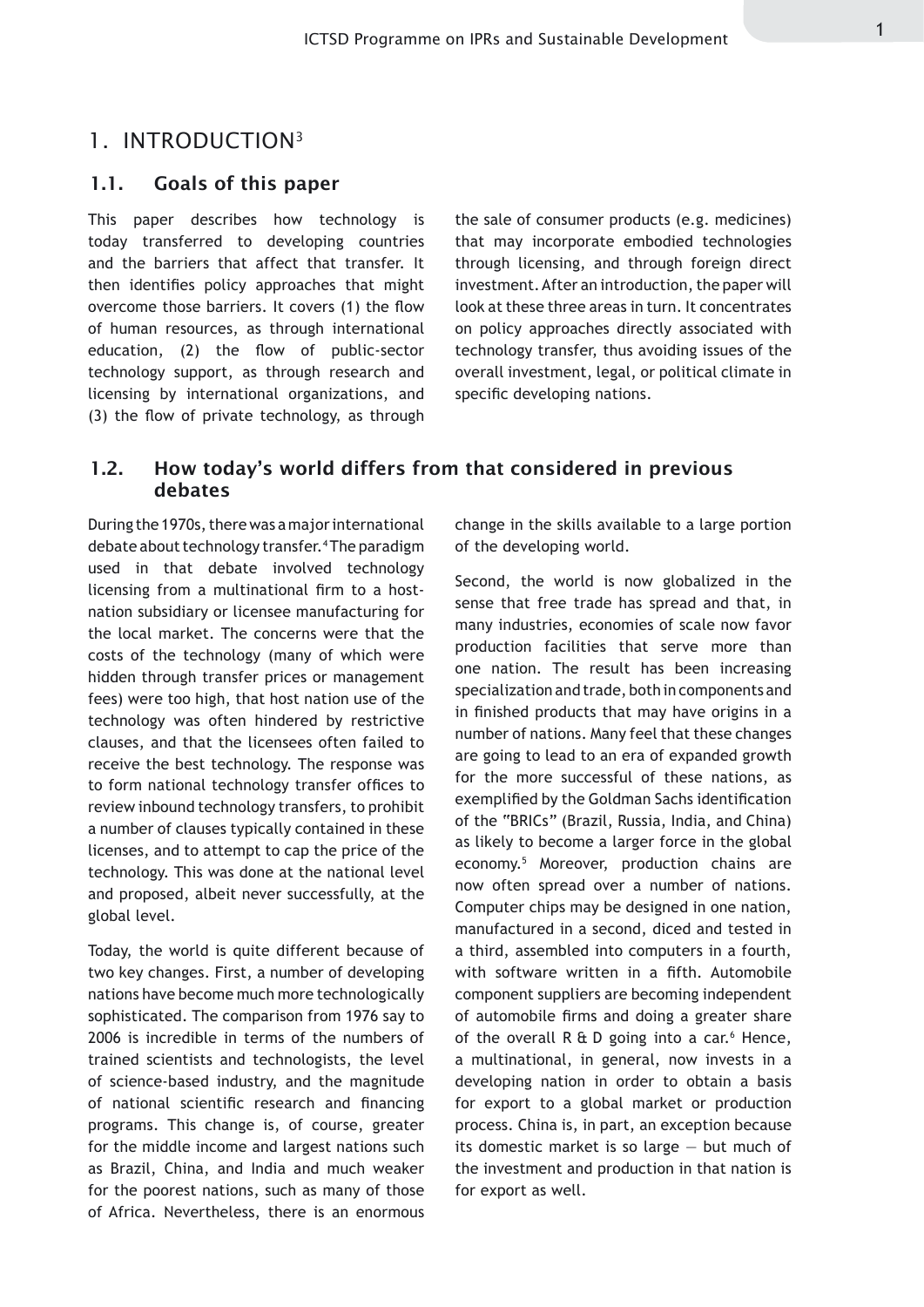### 1. INTRODUCTION3

#### 1.1. Goals of this paper

This paper describes how technology is today transferred to developing countries and the barriers that affect that transfer. It then identifies policy approaches that might overcome those barriers. It covers (1) the flow of human resources, as through international education, (2) the flow of public-sector technology support, as through research and licensing by international organizations, and (3) the flow of private technology, as through

the sale of consumer products (e.g. medicines) that may incorporate embodied technologies through licensing, and through foreign direct investment. After an introduction, the paper will look at these three areas in turn. It concentrates on policy approaches directly associated with technology transfer, thus avoiding issues of the overall investment, legal, or political climate in specific developing nations.

#### 1.2. How today's world differs from that considered in previous debates

During the 1970s, there was a major international debate about technology transfer.4 The paradigm used in that debate involved technology licensing from a multinational firm to a hostnation subsidiary or licensee manufacturing for the local market. The concerns were that the costs of the technology (many of which were hidden through transfer prices or management fees) were too high, that host nation use of the technology was often hindered by restrictive clauses, and that the licensees often failed to receive the best technology. The response was to form national technology transfer offices to review inbound technology transfers, to prohibit a number of clauses typically contained in these licenses, and to attempt to cap the price of the technology. This was done at the national level and proposed, albeit never successfully, at the global level.

Today, the world is quite different because of two key changes. First, a number of developing nations have become much more technologically sophisticated. The comparison from 1976 say to 2006 is incredible in terms of the numbers of trained scientists and technologists, the level of science-based industry, and the magnitude of national scientific research and financing programs. This change is, of course, greater for the middle income and largest nations such as Brazil, China, and India and much weaker for the poorest nations, such as many of those of Africa. Nevertheless, there is an enormous

change in the skills available to a large portion of the developing world.

Second, the world is now globalized in the sense that free trade has spread and that, in many industries, economies of scale now favor production facilities that serve more than one nation. The result has been increasing specialization and trade, both in components and in finished products that may have origins in a number of nations. Many feel that these changes are going to lead to an era of expanded growth for the more successful of these nations, as exemplified by the Goldman Sachs identification of the "BRICs" (Brazil, Russia, India, and China) as likely to become a larger force in the global economy.5 Moreover, production chains are now often spread over a number of nations. Computer chips may be designed in one nation, manufactured in a second, diced and tested in a third, assembled into computers in a fourth, with software written in a fifth. Automobile component suppliers are becoming independent of automobile firms and doing a greater share of the overall  $R \oplus D$  going into a car.<sup>6</sup> Hence, a multinational, in general, now invests in a developing nation in order to obtain a basis for export to a global market or production process. China is, in part, an exception because its domestic market is so large — but much of the investment and production in that nation is for export as well.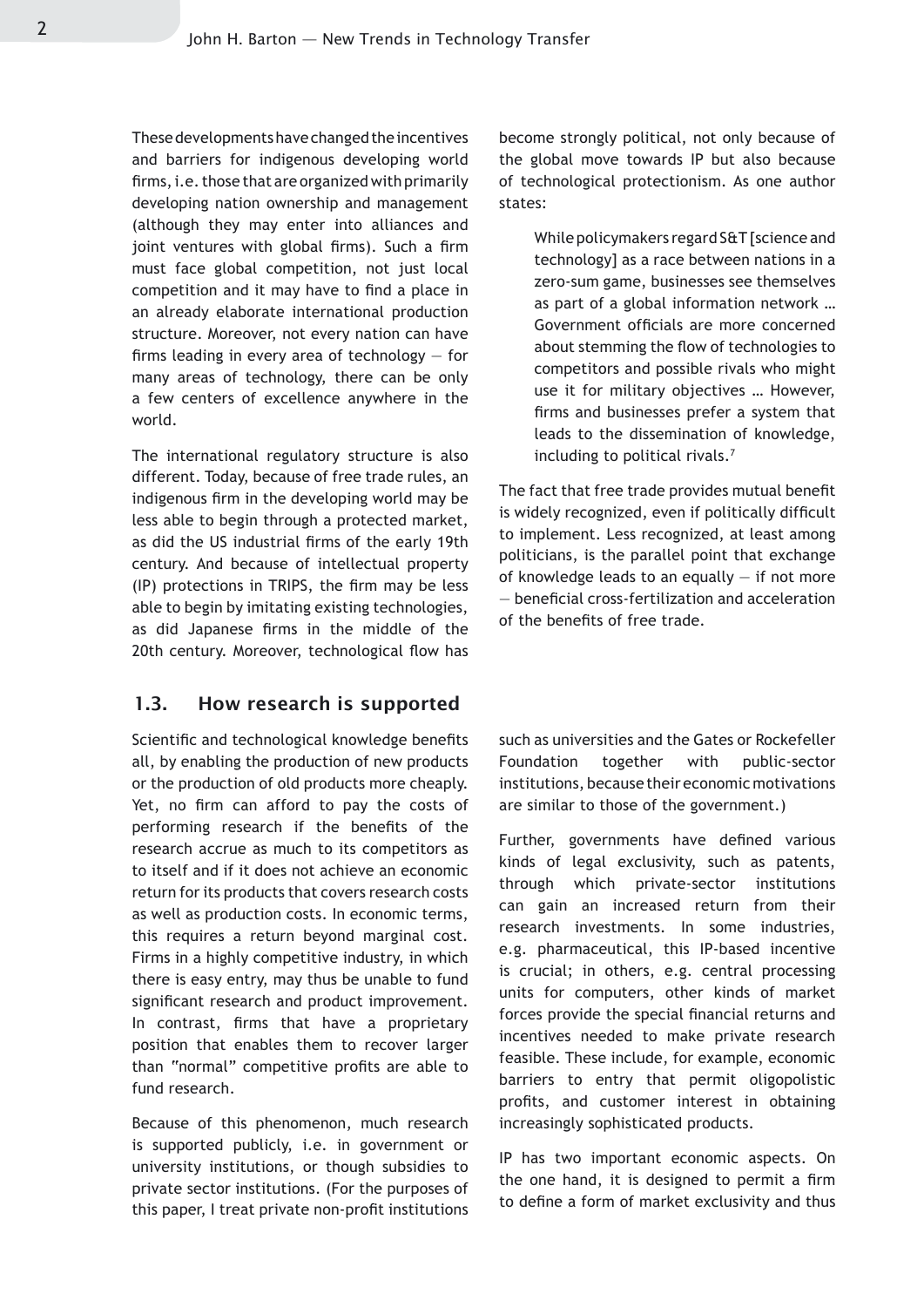These developments have changed the incentives and barriers for indigenous developing world firms, i.e. those that are organized with primarily developing nation ownership and management (although they may enter into alliances and joint ventures with global firms). Such a firm must face global competition, not just local competition and it may have to find a place in an already elaborate international production structure. Moreover, not every nation can have firms leading in every area of technology — for many areas of technology, there can be only a few centers of excellence anywhere in the world.

The international regulatory structure is also different. Today, because of free trade rules, an indigenous firm in the developing world may be less able to begin through a protected market, as did the US industrial firms of the early 19th century. And because of intellectual property (IP) protections in TRIPS, the firm may be less able to begin by imitating existing technologies, as did Japanese firms in the middle of the 20th century. Moreover, technological flow has

#### 1.3. How research is supported

Scientific and technological knowledge benefits all, by enabling the production of new products or the production of old products more cheaply. Yet, no firm can afford to pay the costs of performing research if the benefits of the research accrue as much to its competitors as to itself and if it does not achieve an economic return for its products that covers research costs as well as production costs. In economic terms, this requires a return beyond marginal cost. Firms in a highly competitive industry, in which there is easy entry, may thus be unable to fund significant research and product improvement. In contrast, firms that have a proprietary position that enables them to recover larger than "normal" competitive profits are able to fund research.

Because of this phenomenon, much research is supported publicly, i.e. in government or university institutions, or though subsidies to private sector institutions. (For the purposes of this paper, I treat private non-profit institutions become strongly political, not only because of the global move towards IP but also because of technological protectionism. As one author states:

While policymakers regard S&T [science and technology] as a race between nations in a zero-sum game, businesses see themselves as part of a global information network … Government officials are more concerned about stemming the flow of technologies to competitors and possible rivals who might use it for military objectives … However, firms and businesses prefer a system that leads to the dissemination of knowledge, including to political rivals.7

The fact that free trade provides mutual benefit is widely recognized, even if politically difficult to implement. Less recognized, at least among politicians, is the parallel point that exchange of knowledge leads to an equally  $-$  if not more — beneficial cross-fertilization and acceleration of the benefits of free trade.

such as universities and the Gates or Rockefeller Foundation together with public-sector institutions, because their economic motivations are similar to those of the government.)

Further, governments have defined various kinds of legal exclusivity, such as patents, through which private-sector institutions can gain an increased return from their research investments. In some industries, e.g. pharmaceutical, this IP-based incentive is crucial; in others, e.g. central processing units for computers, other kinds of market forces provide the special financial returns and incentives needed to make private research feasible. These include, for example, economic barriers to entry that permit oligopolistic profits, and customer interest in obtaining increasingly sophisticated products.

IP has two important economic aspects. On the one hand, it is designed to permit a firm to define a form of market exclusivity and thus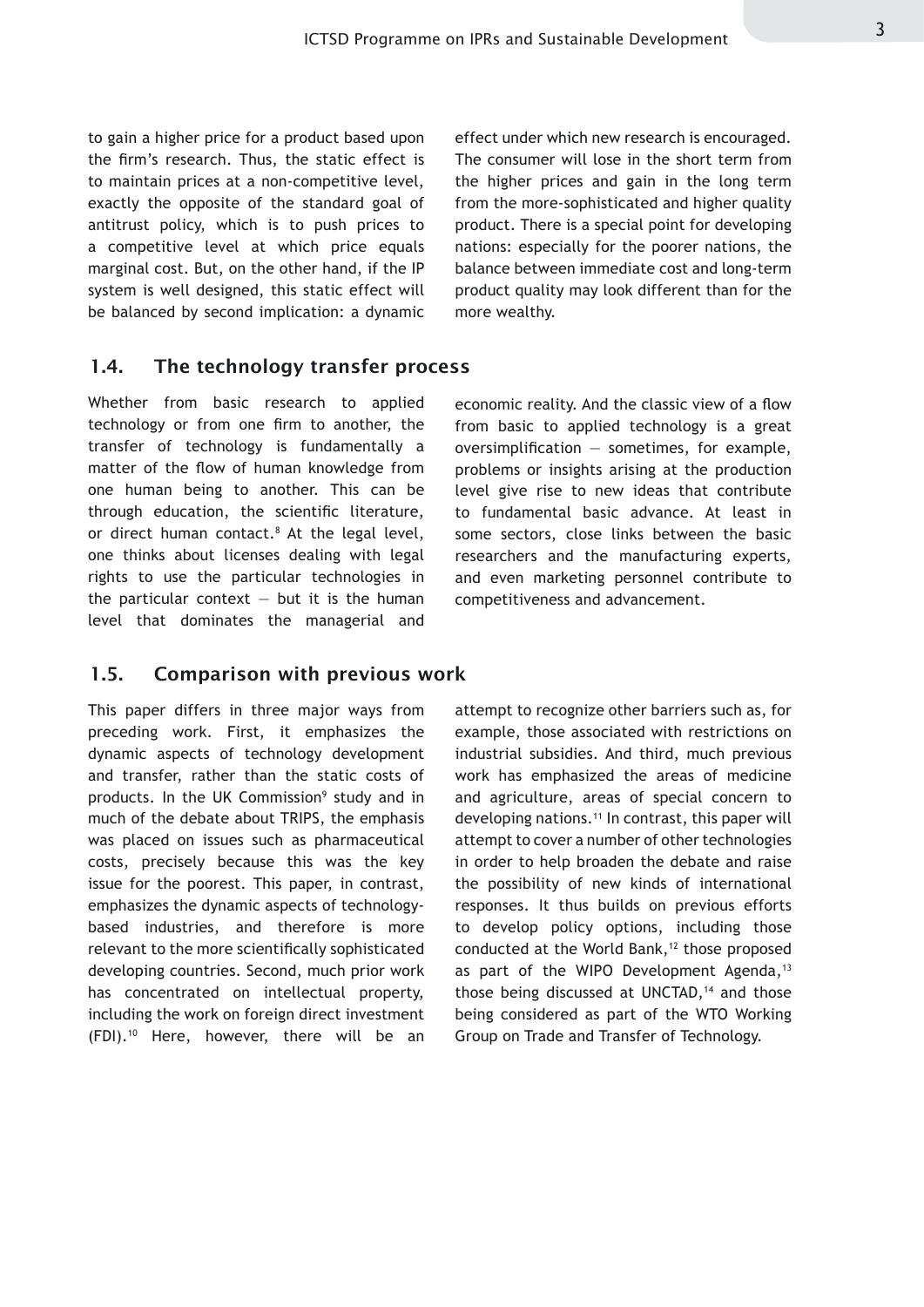to gain a higher price for a product based upon the firm's research. Thus, the static effect is to maintain prices at a non-competitive level, exactly the opposite of the standard goal of antitrust policy, which is to push prices to a competitive level at which price equals marginal cost. But, on the other hand, if the IP system is well designed, this static effect will be balanced by second implication: a dynamic

effect under which new research is encouraged. The consumer will lose in the short term from the higher prices and gain in the long term from the more-sophisticated and higher quality product. There is a special point for developing nations: especially for the poorer nations, the balance between immediate cost and long-term product quality may look different than for the more wealthy.

#### 1.4. The technology transfer process

Whether from basic research to applied technology or from one firm to another, the transfer of technology is fundamentally a matter of the flow of human knowledge from one human being to another. This can be through education, the scientific literature, or direct human contact.<sup>8</sup> At the legal level, one thinks about licenses dealing with legal rights to use the particular technologies in the particular context  $-$  but it is the human level that dominates the managerial and

economic reality. And the classic view of a flow from basic to applied technology is a great oversimplification  $-$  sometimes, for example, problems or insights arising at the production level give rise to new ideas that contribute to fundamental basic advance. At least in some sectors, close links between the basic researchers and the manufacturing experts, and even marketing personnel contribute to competitiveness and advancement.

#### 1.5. Comparison with previous work

This paper differs in three major ways from preceding work. First, it emphasizes the dynamic aspects of technology development and transfer, rather than the static costs of products. In the UK Commission<sup>9</sup> study and in much of the debate about TRIPS, the emphasis was placed on issues such as pharmaceutical costs, precisely because this was the key issue for the poorest. This paper, in contrast, emphasizes the dynamic aspects of technologybased industries, and therefore is more relevant to the more scientifically sophisticated developing countries. Second, much prior work has concentrated on intellectual property, including the work on foreign direct investment  $(FDI).<sup>10</sup>$  Here, however, there will be an

attempt to recognize other barriers such as, for example, those associated with restrictions on industrial subsidies. And third, much previous work has emphasized the areas of medicine and agriculture, areas of special concern to developing nations.11 In contrast, this paper will attempt to cover a number of other technologies in order to help broaden the debate and raise the possibility of new kinds of international responses. It thus builds on previous efforts to develop policy options, including those conducted at the World Bank,<sup>12</sup> those proposed as part of the WIPO Development Agenda, $13$ those being discussed at UNCTAD,<sup>14</sup> and those being considered as part of the WTO Working Group on Trade and Transfer of Technology.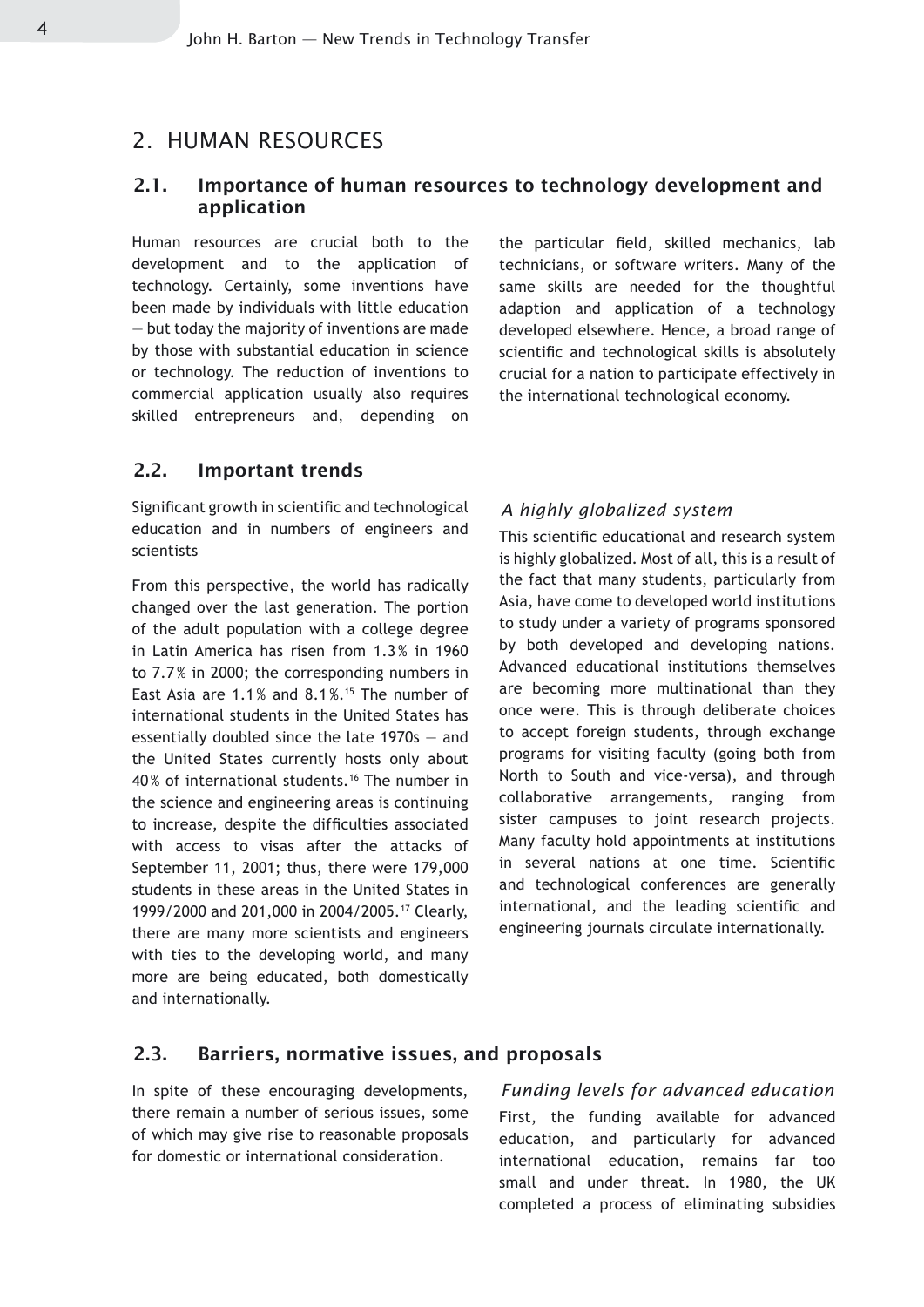#### 2. HUMAN RESOURCES

#### 2.1. Importance of human resources to technology development and application

Human resources are crucial both to the development and to the application of technology. Certainly, some inventions have been made by individuals with little education — but today the majority of inventions are made by those with substantial education in science or technology. The reduction of inventions to commercial application usually also requires skilled entrepreneurs and, depending on

#### 2.2. Important trends

Significant growth in scientific and technological education and in numbers of engineers and scientists

From this perspective, the world has radically changed over the last generation. The portion of the adult population with a college degree in Latin America has risen from 1.3 % in 1960 to 7.7% in 2000; the corresponding numbers in East Asia are 1.1% and 8.1%.15 The number of international students in the United States has essentially doubled since the late 1970s — and the United States currently hosts only about 40% of international students.16 The number in the science and engineering areas is continuing to increase, despite the difficulties associated with access to visas after the attacks of September 11, 2001; thus, there were 179,000 students in these areas in the United States in 1999/2000 and 201,000 in 2004/2005.17 Clearly, there are many more scientists and engineers with ties to the developing world, and many more are being educated, both domestically and internationally.

the particular field, skilled mechanics, lab technicians, or software writers. Many of the same skills are needed for the thoughtful adaption and application of a technology developed elsewhere. Hence, a broad range of scientific and technological skills is absolutely crucial for a nation to participate effectively in the international technological economy.

#### *A highly globalized system*

This scientific educational and research system is highly globalized. Most of all, this is a result of the fact that many students, particularly from Asia, have come to developed world institutions to study under a variety of programs sponsored by both developed and developing nations. Advanced educational institutions themselves are becoming more multinational than they once were. This is through deliberate choices to accept foreign students, through exchange programs for visiting faculty (going both from North to South and vice-versa), and through collaborative arrangements, ranging from sister campuses to joint research projects. Many faculty hold appointments at institutions in several nations at one time. Scientific and technological conferences are generally international, and the leading scientific and engineering journals circulate internationally.

#### 2.3. Barriers, normative issues, and proposals

In spite of these encouraging developments, there remain a number of serious issues, some of which may give rise to reasonable proposals for domestic or international consideration.

#### *Funding levels for advanced education*

First, the funding available for advanced education, and particularly for advanced international education, remains far too small and under threat. In 1980, the UK completed a process of eliminating subsidies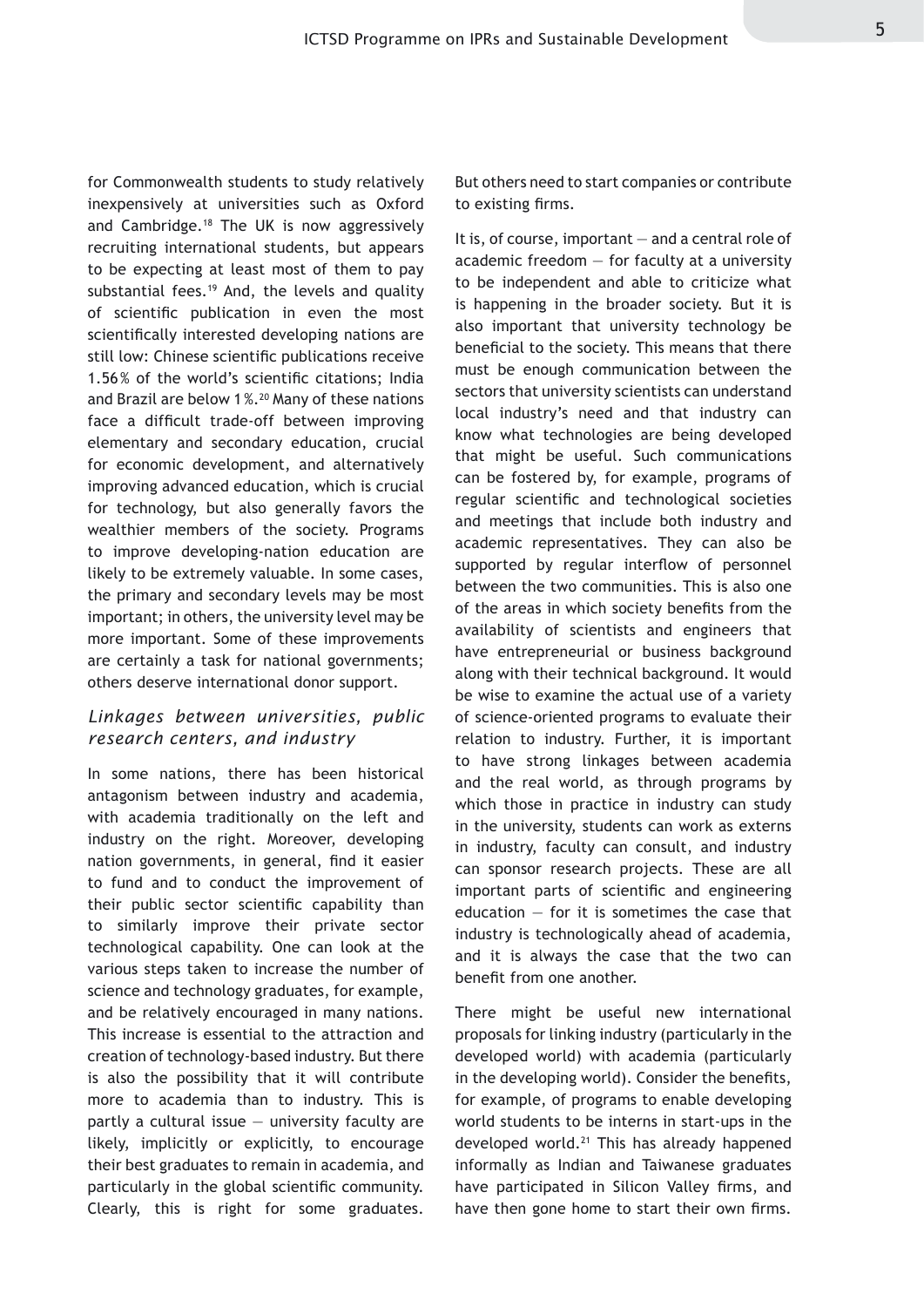for Commonwealth students to study relatively inexpensively at universities such as Oxford and Cambridge.18 The UK is now aggressively recruiting international students, but appears to be expecting at least most of them to pay substantial fees.<sup>19</sup> And, the levels and quality of scientific publication in even the most scientifically interested developing nations are still low: Chinese scientific publications receive 1.56% of the world's scientific citations; India and Brazil are below 1%.20 Many of these nations face a difficult trade-off between improving elementary and secondary education, crucial for economic development, and alternatively improving advanced education, which is crucial for technology, but also generally favors the wealthier members of the society. Programs to improve developing-nation education are likely to be extremely valuable. In some cases, the primary and secondary levels may be most important; in others, the university level may be more important. Some of these improvements are certainly a task for national governments; others deserve international donor support.

#### *Linkages between universities, public research centers, and industry*

In some nations, there has been historical antagonism between industry and academia, with academia traditionally on the left and industry on the right. Moreover, developing nation governments, in general, find it easier to fund and to conduct the improvement of their public sector scientific capability than to similarly improve their private sector technological capability. One can look at the various steps taken to increase the number of science and technology graduates, for example, and be relatively encouraged in many nations. This increase is essential to the attraction and creation of technology-based industry. But there is also the possibility that it will contribute more to academia than to industry. This is partly a cultural issue  $-$  university faculty are likely, implicitly or explicitly, to encourage their best graduates to remain in academia, and particularly in the global scientific community. Clearly, this is right for some graduates.

But others need to start companies or contribute to existing firms.

It is, of course, important — and a central role of academic freedom  $-$  for faculty at a university to be independent and able to criticize what is happening in the broader society. But it is also important that university technology be beneficial to the society. This means that there must be enough communication between the sectors that university scientists can understand local industry's need and that industry can know what technologies are being developed that might be useful. Such communications can be fostered by, for example, programs of regular scientific and technological societies and meetings that include both industry and academic representatives. They can also be supported by regular interflow of personnel between the two communities. This is also one of the areas in which society benefits from the availability of scientists and engineers that have entrepreneurial or business background along with their technical background. It would be wise to examine the actual use of a variety of science-oriented programs to evaluate their relation to industry. Further, it is important to have strong linkages between academia and the real world, as through programs by which those in practice in industry can study in the university, students can work as externs in industry, faculty can consult, and industry can sponsor research projects. These are all important parts of scientific and engineering education  $-$  for it is sometimes the case that industry is technologically ahead of academia, and it is always the case that the two can benefit from one another.

There might be useful new international proposals for linking industry (particularly in the developed world) with academia (particularly in the developing world). Consider the benefits, for example, of programs to enable developing world students to be interns in start-ups in the developed world.<sup>21</sup> This has already happened informally as Indian and Taiwanese graduates have participated in Silicon Valley firms, and have then gone home to start their own firms.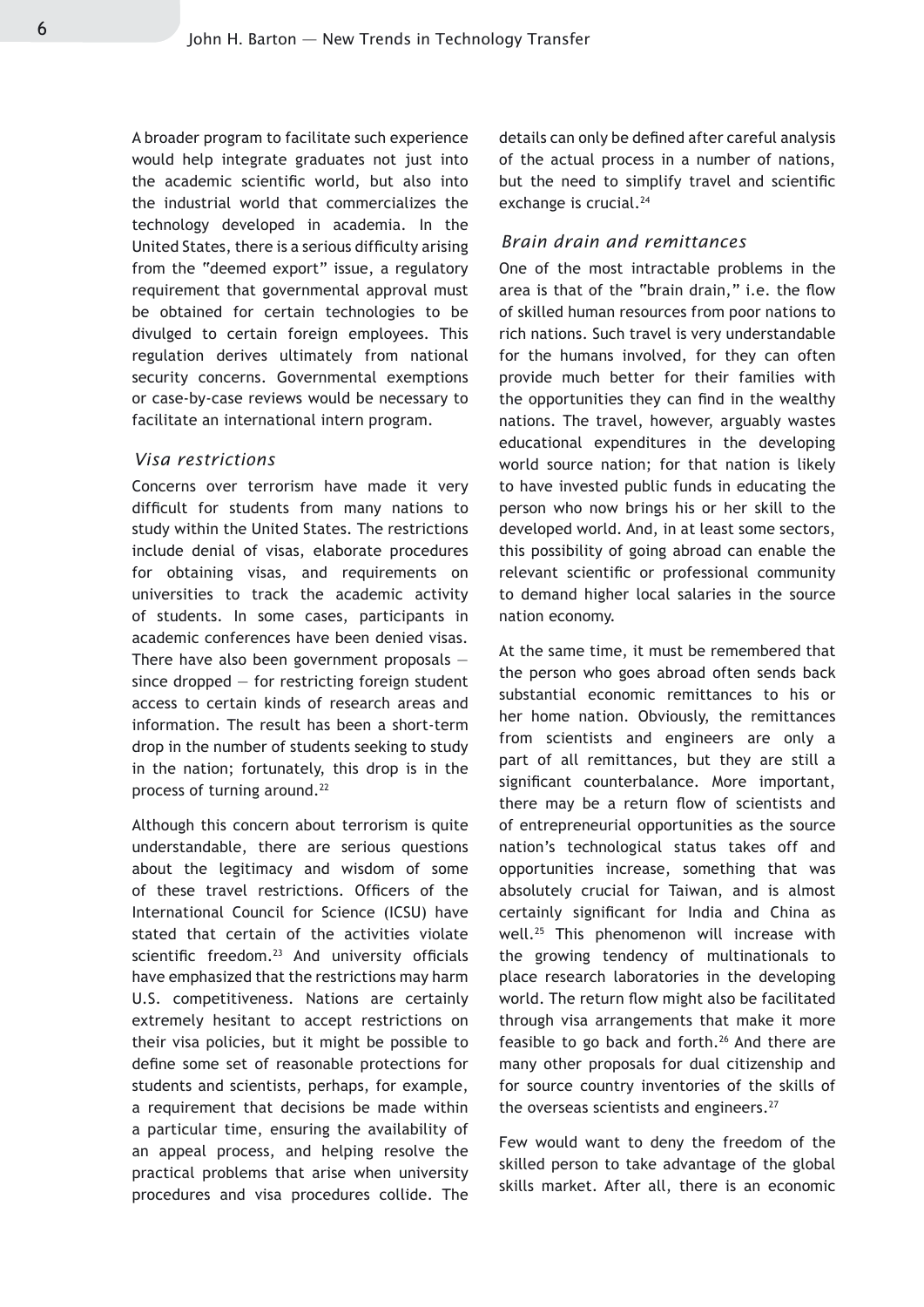A broader program to facilitate such experience would help integrate graduates not just into the academic scientific world, but also into the industrial world that commercializes the technology developed in academia. In the United States, there is a serious difficulty arising from the "deemed export" issue, a regulatory requirement that governmental approval must be obtained for certain technologies to be divulged to certain foreign employees. This regulation derives ultimately from national security concerns. Governmental exemptions or case-by-case reviews would be necessary to facilitate an international intern program.

#### *Visa restrictions*

Concerns over terrorism have made it very difficult for students from many nations to study within the United States. The restrictions include denial of visas, elaborate procedures for obtaining visas, and requirements on universities to track the academic activity of students. In some cases, participants in academic conferences have been denied visas. There have also been government proposals since dropped — for restricting foreign student access to certain kinds of research areas and information. The result has been a short-term drop in the number of students seeking to study in the nation; fortunately, this drop is in the process of turning around.<sup>22</sup>

Although this concern about terrorism is quite understandable, there are serious questions about the legitimacy and wisdom of some of these travel restrictions. Officers of the International Council for Science (ICSU) have stated that certain of the activities violate scientific freedom.<sup>23</sup> And university officials have emphasized that the restrictions may harm U.S. competitiveness. Nations are certainly extremely hesitant to accept restrictions on their visa policies, but it might be possible to define some set of reasonable protections for students and scientists, perhaps, for example, a requirement that decisions be made within a particular time, ensuring the availability of an appeal process, and helping resolve the practical problems that arise when university procedures and visa procedures collide. The details can only be defined after careful analysis of the actual process in a number of nations, but the need to simplify travel and scientific exchange is crucial.<sup>24</sup>

#### *Brain drain and remittances*

One of the most intractable problems in the area is that of the "brain drain," i.e. the flow of skilled human resources from poor nations to rich nations. Such travel is very understandable for the humans involved, for they can often provide much better for their families with the opportunities they can find in the wealthy nations. The travel, however, arguably wastes educational expenditures in the developing world source nation; for that nation is likely to have invested public funds in educating the person who now brings his or her skill to the developed world. And, in at least some sectors, this possibility of going abroad can enable the relevant scientific or professional community to demand higher local salaries in the source nation economy.

At the same time, it must be remembered that the person who goes abroad often sends back substantial economic remittances to his or her home nation. Obviously, the remittances from scientists and engineers are only a part of all remittances, but they are still a significant counterbalance. More important, there may be a return flow of scientists and of entrepreneurial opportunities as the source nation's technological status takes off and opportunities increase, something that was absolutely crucial for Taiwan, and is almost certainly significant for India and China as well.25 This phenomenon will increase with the growing tendency of multinationals to place research laboratories in the developing world. The return flow might also be facilitated through visa arrangements that make it more feasible to go back and forth.<sup>26</sup> And there are many other proposals for dual citizenship and for source country inventories of the skills of the overseas scientists and engineers.<sup>27</sup>

Few would want to deny the freedom of the skilled person to take advantage of the global skills market. After all, there is an economic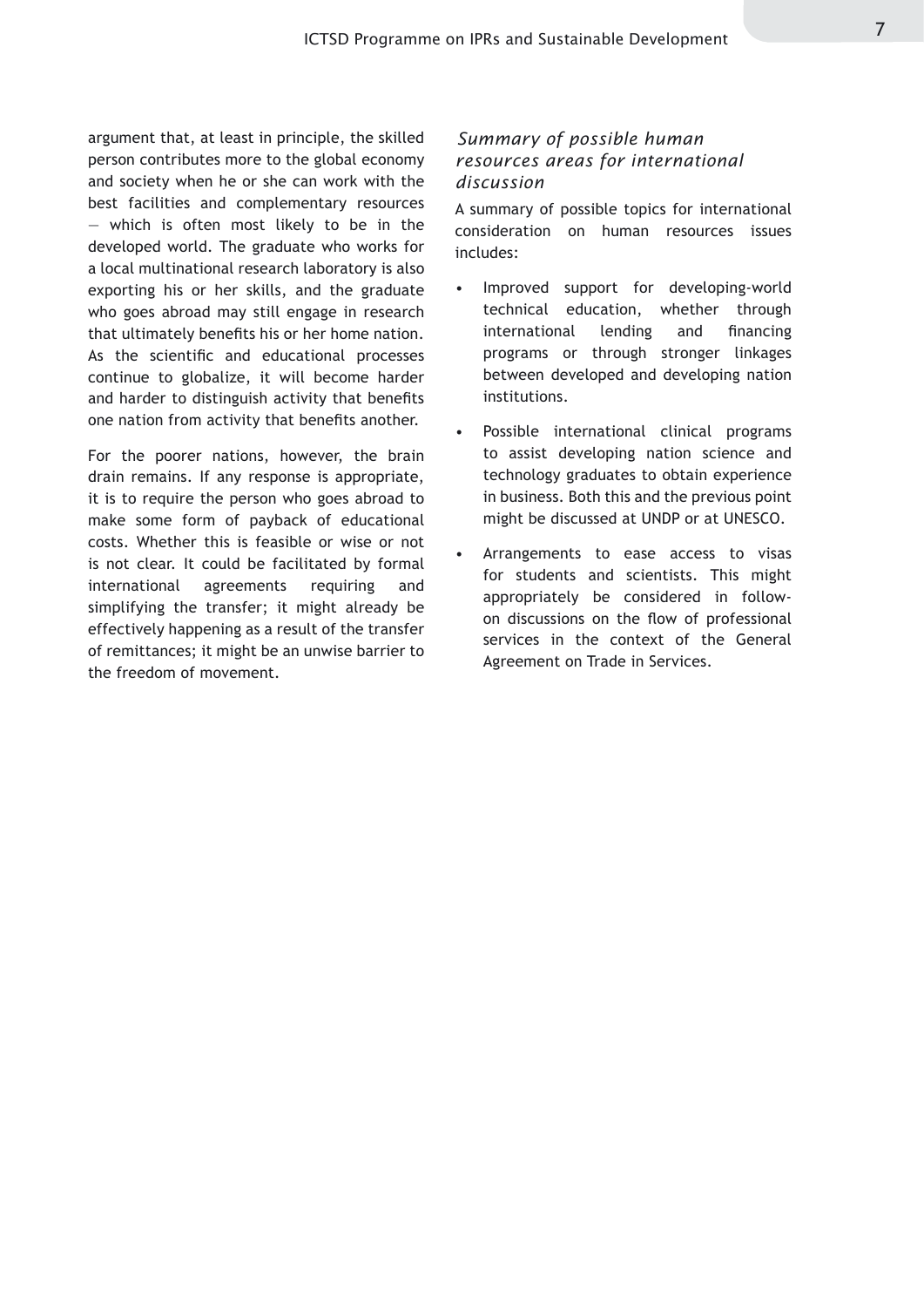argument that, at least in principle, the skilled person contributes more to the global economy and society when he or she can work with the best facilities and complementary resources — which is often most likely to be in the developed world. The graduate who works for a local multinational research laboratory is also exporting his or her skills, and the graduate who goes abroad may still engage in research that ultimately benefits his or her home nation. As the scientific and educational processes continue to globalize, it will become harder and harder to distinguish activity that benefits one nation from activity that benefits another.

For the poorer nations, however, the brain drain remains. If any response is appropriate, it is to require the person who goes abroad to make some form of payback of educational costs. Whether this is feasible or wise or not is not clear. It could be facilitated by formal international agreements requiring and simplifying the transfer; it might already be effectively happening as a result of the transfer of remittances; it might be an unwise barrier to the freedom of movement.

#### *Summary of possible human resources areas for international discussion*

A summary of possible topics for international consideration on human resources issues includes:

- Improved support for developing-world technical education, whether through international lending and financing programs or through stronger linkages between developed and developing nation institutions. •
- Possible international clinical programs to assist developing nation science and technology graduates to obtain experience in business. Both this and the previous point might be discussed at UNDP or at UNESCO. •
- Arrangements to ease access to visas for students and scientists. This might appropriately be considered in followon discussions on the flow of professional services in the context of the General Agreement on Trade in Services. •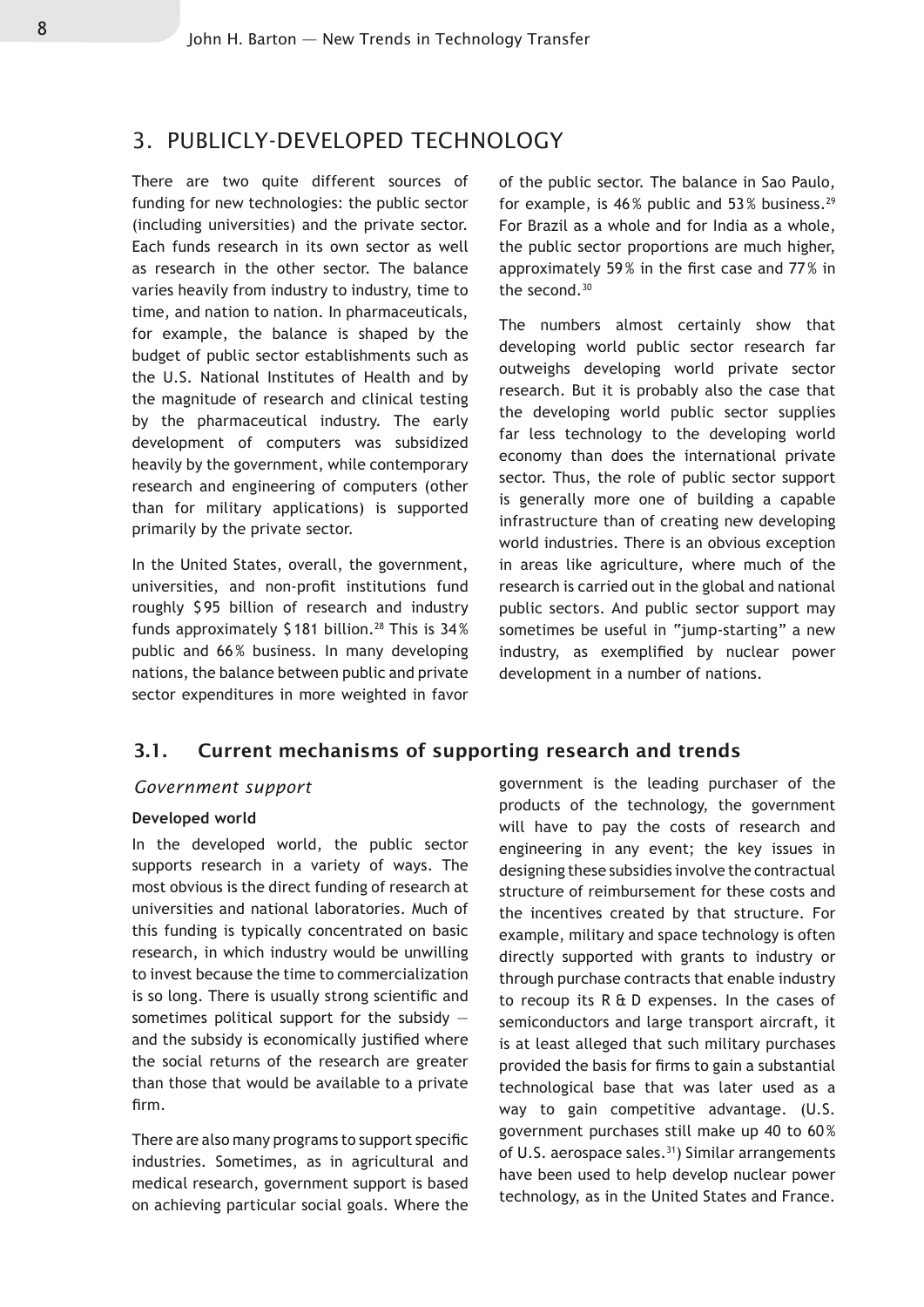#### 3. PUBLICLY-DEVELOPED TECHNOLOGY

There are two quite different sources of funding for new technologies: the public sector (including universities) and the private sector. Each funds research in its own sector as well as research in the other sector. The balance varies heavily from industry to industry, time to time, and nation to nation. In pharmaceuticals, for example, the balance is shaped by the budget of public sector establishments such as the U.S. National Institutes of Health and by the magnitude of research and clinical testing by the pharmaceutical industry. The early development of computers was subsidized heavily by the government, while contemporary research and engineering of computers (other than for military applications) is supported primarily by the private sector.

In the United States, overall, the government, universities, and non-profit institutions fund roughly \$95 billion of research and industry funds approximately \$181 billion.<sup>28</sup> This is 34% public and 66% business. In many developing nations, the balance between public and private sector expenditures in more weighted in favor of the public sector. The balance in Sao Paulo, for example, is  $46\%$  public and  $53\%$  business.<sup>29</sup> For Brazil as a whole and for India as a whole, the public sector proportions are much higher, approximately 59% in the first case and 77% in the second.30

The numbers almost certainly show that developing world public sector research far outweighs developing world private sector research. But it is probably also the case that the developing world public sector supplies far less technology to the developing world economy than does the international private sector. Thus, the role of public sector support is generally more one of building a capable infrastructure than of creating new developing world industries. There is an obvious exception in areas like agriculture, where much of the research is carried out in the global and national public sectors. And public sector support may sometimes be useful in "jump-starting" a new industry, as exemplified by nuclear power development in a number of nations.

#### 3.1. Current mechanisms of supporting research and trends

#### *Government support*

#### **Developed world**

In the developed world, the public sector supports research in a variety of ways. The most obvious is the direct funding of research at universities and national laboratories. Much of this funding is typically concentrated on basic research, in which industry would be unwilling to invest because the time to commercialization is so long. There is usually strong scientific and sometimes political support for the subsidy  $$ and the subsidy is economically justified where the social returns of the research are greater than those that would be available to a private firm.

There are also many programs to support specific industries. Sometimes, as in agricultural and medical research, government support is based on achieving particular social goals. Where the government is the leading purchaser of the products of the technology, the government will have to pay the costs of research and engineering in any event; the key issues in designing these subsidies involve the contractual structure of reimbursement for these costs and the incentives created by that structure. For example, military and space technology is often directly supported with grants to industry or through purchase contracts that enable industry to recoup its R & D expenses. In the cases of semiconductors and large transport aircraft, it is at least alleged that such military purchases provided the basis for firms to gain a substantial technological base that was later used as a way to gain competitive advantage. (U.S. government purchases still make up 40 to 60 % of U.S. aerospace sales.<sup>31</sup>) Similar arrangements have been used to help develop nuclear power technology, as in the United States and France.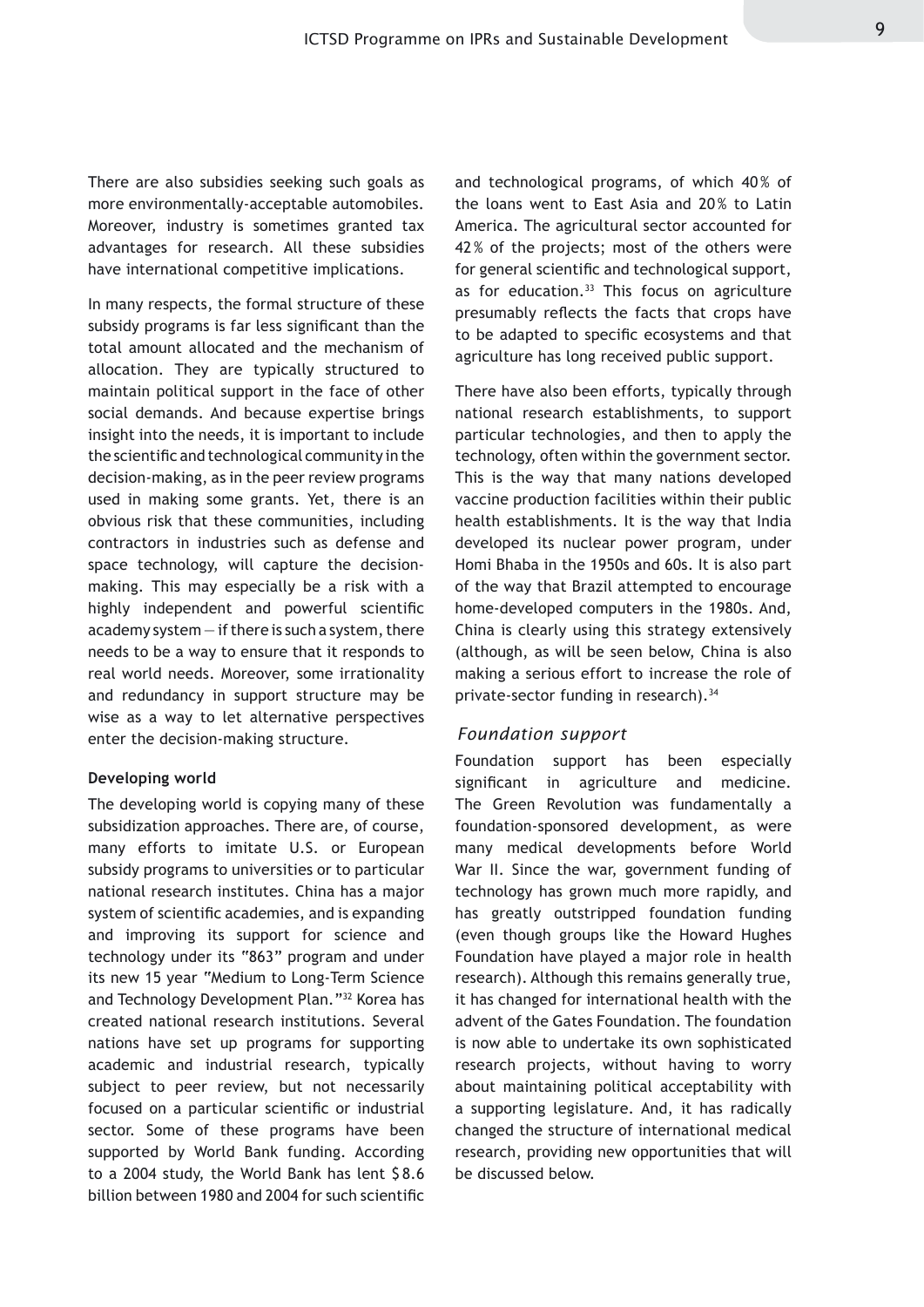There are also subsidies seeking such goals as more environmentally-acceptable automobiles. Moreover, industry is sometimes granted tax advantages for research. All these subsidies have international competitive implications.

In many respects, the formal structure of these subsidy programs is far less significant than the total amount allocated and the mechanism of allocation. They are typically structured to maintain political support in the face of other social demands. And because expertise brings insight into the needs, it is important to include the scientific and technological community in the decision-making, as in the peer review programs used in making some grants. Yet, there is an obvious risk that these communities, including contractors in industries such as defense and space technology, will capture the decisionmaking. This may especially be a risk with a highly independent and powerful scientific  $academy system - if there is such a system, there$ needs to be a way to ensure that it responds to real world needs. Moreover, some irrationality and redundancy in support structure may be wise as a way to let alternative perspectives enter the decision-making structure.

#### **Developing world**

The developing world is copying many of these subsidization approaches. There are, of course, many efforts to imitate U.S. or European subsidy programs to universities or to particular national research institutes. China has a major system of scientific academies, and is expanding and improving its support for science and technology under its "863" program and under its new 15 year "Medium to Long-Term Science and Technology Development Plan."32 Korea has created national research institutions. Several nations have set up programs for supporting academic and industrial research, typically subject to peer review, but not necessarily focused on a particular scientific or industrial sector. Some of these programs have been supported by World Bank funding. According to a 2004 study, the World Bank has lent \$ 8.6 billion between 1980 and 2004 for such scientific

and technological programs, of which 40% of the loans went to East Asia and 20% to Latin America. The agricultural sector accounted for 42% of the projects; most of the others were for general scientific and technological support, as for education.<sup>33</sup> This focus on agriculture presumably reflects the facts that crops have to be adapted to specific ecosystems and that agriculture has long received public support.

There have also been efforts, typically through national research establishments, to support particular technologies, and then to apply the technology, often within the government sector. This is the way that many nations developed vaccine production facilities within their public health establishments. It is the way that India developed its nuclear power program, under Homi Bhaba in the 1950s and 60s. It is also part of the way that Brazil attempted to encourage home-developed computers in the 1980s. And, China is clearly using this strategy extensively (although, as will be seen below, China is also making a serious effort to increase the role of private-sector funding in research). 34

#### *Foundation support*

Foundation support has been especially significant in agriculture and medicine. The Green Revolution was fundamentally a foundation-sponsored development, as were many medical developments before World War II. Since the war, government funding of technology has grown much more rapidly, and has greatly outstripped foundation funding (even though groups like the Howard Hughes Foundation have played a major role in health research). Although this remains generally true, it has changed for international health with the advent of the Gates Foundation. The foundation is now able to undertake its own sophisticated research projects, without having to worry about maintaining political acceptability with a supporting legislature. And, it has radically changed the structure of international medical research, providing new opportunities that will be discussed below.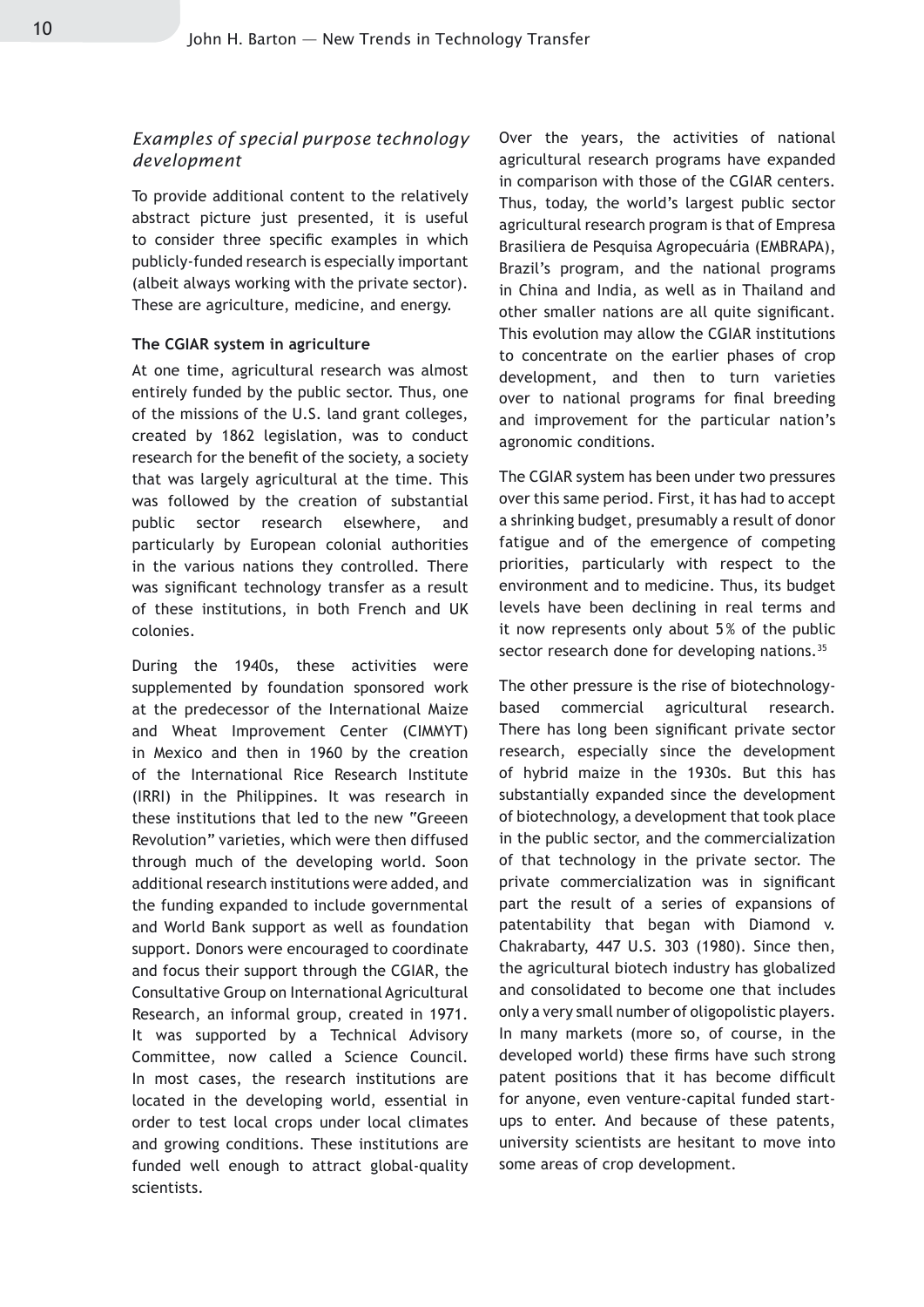#### *Examples of special purpose technology development*

To provide additional content to the relatively abstract picture just presented, it is useful to consider three specific examples in which publicly-funded research is especially important (albeit always working with the private sector). These are agriculture, medicine, and energy.

#### **The CGIAR system in agriculture**

At one time, agricultural research was almost entirely funded by the public sector. Thus, one of the missions of the U.S. land grant colleges, created by 1862 legislation, was to conduct research for the benefit of the society, a society that was largely agricultural at the time. This was followed by the creation of substantial public sector research elsewhere, and particularly by European colonial authorities in the various nations they controlled. There was significant technology transfer as a result of these institutions, in both French and UK colonies.

During the 1940s, these activities were supplemented by foundation sponsored work at the predecessor of the International Maize and Wheat Improvement Center (CIMMYT) in Mexico and then in 1960 by the creation of the International Rice Research Institute (IRRI) in the Philippines. It was research in these institutions that led to the new "Greeen Revolution" varieties, which were then diffused through much of the developing world. Soon additional research institutions were added, and the funding expanded to include governmental and World Bank support as well as foundation support. Donors were encouraged to coordinate and focus their support through the CGIAR, the Consultative Group on International Agricultural Research, an informal group, created in 1971. It was supported by a Technical Advisory Committee, now called a Science Council. In most cases, the research institutions are located in the developing world, essential in order to test local crops under local climates and growing conditions. These institutions are funded well enough to attract global-quality scientists.

Over the years, the activities of national agricultural research programs have expanded in comparison with those of the CGIAR centers. Thus, today, the world's largest public sector agricultural research program is that of Empresa Brasiliera de Pesquisa Agropecuária (EMBRAPA), Brazil's program, and the national programs in China and India, as well as in Thailand and other smaller nations are all quite significant. This evolution may allow the CGIAR institutions to concentrate on the earlier phases of crop development, and then to turn varieties over to national programs for final breeding and improvement for the particular nation's agronomic conditions.

The CGIAR system has been under two pressures over this same period. First, it has had to accept a shrinking budget, presumably a result of donor fatigue and of the emergence of competing priorities, particularly with respect to the environment and to medicine. Thus, its budget levels have been declining in real terms and it now represents only about 5% of the public sector research done for developing nations.<sup>35</sup>

The other pressure is the rise of biotechnologybased commercial agricultural research. There has long been significant private sector research, especially since the development of hybrid maize in the 1930s. But this has substantially expanded since the development of biotechnology, a development that took place in the public sector, and the commercialization of that technology in the private sector. The private commercialization was in significant part the result of a series of expansions of patentability that began with Diamond v. Chakrabarty, 447 U.S. 303 (1980). Since then, the agricultural biotech industry has globalized and consolidated to become one that includes only a very small number of oligopolistic players. In many markets (more so, of course, in the developed world) these firms have such strong patent positions that it has become difficult for anyone, even venture-capital funded startups to enter. And because of these patents, university scientists are hesitant to move into some areas of crop development.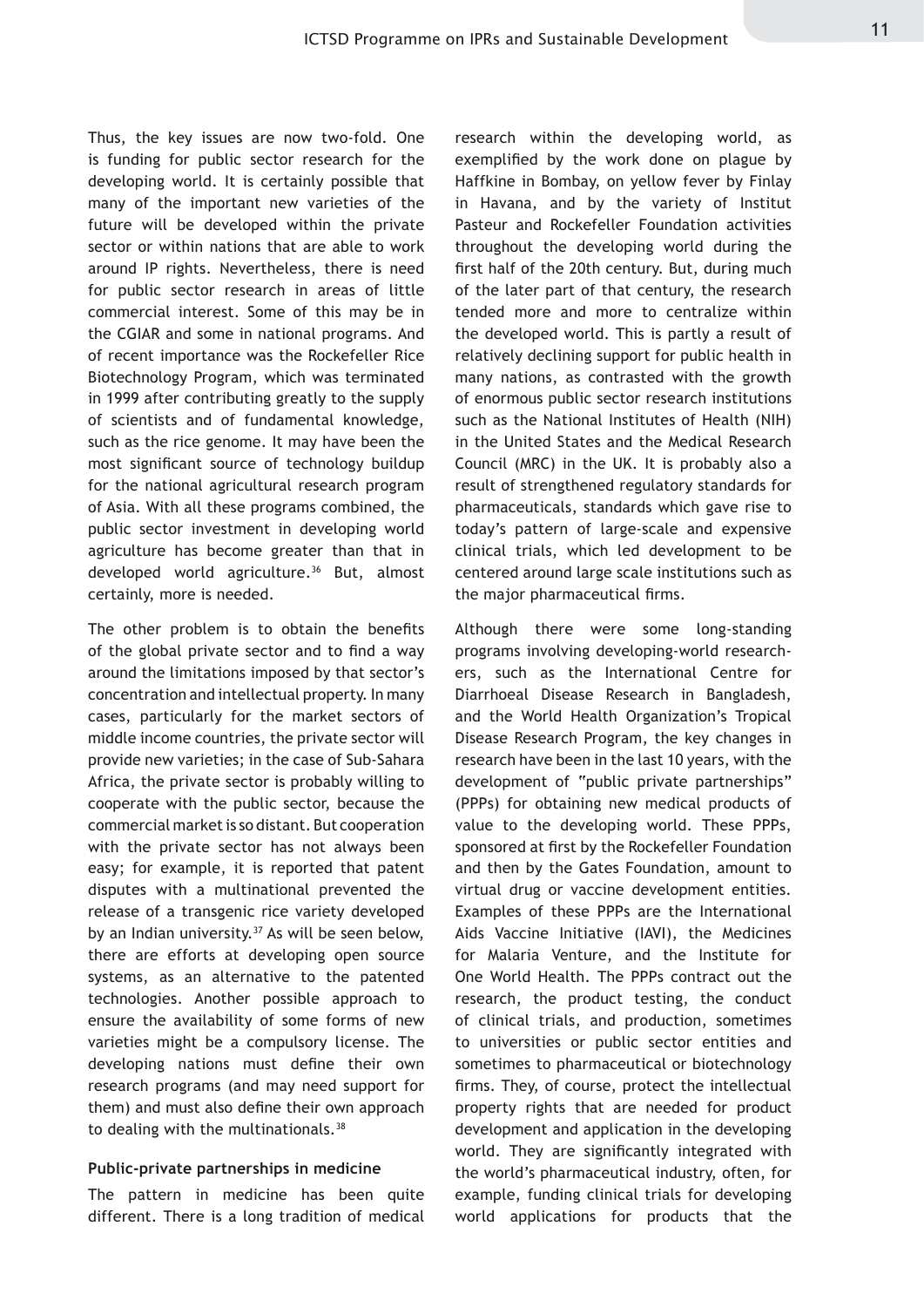Thus, the key issues are now two-fold. One is funding for public sector research for the developing world. It is certainly possible that many of the important new varieties of the future will be developed within the private sector or within nations that are able to work around IP rights. Nevertheless, there is need for public sector research in areas of little commercial interest. Some of this may be in the CGIAR and some in national programs. And of recent importance was the Rockefeller Rice Biotechnology Program, which was terminated in 1999 after contributing greatly to the supply of scientists and of fundamental knowledge, such as the rice genome. It may have been the most significant source of technology buildup for the national agricultural research program of Asia. With all these programs combined, the public sector investment in developing world agriculture has become greater than that in developed world agriculture.<sup>36</sup> But, almost certainly, more is needed.

The other problem is to obtain the benefits of the global private sector and to find a way around the limitations imposed by that sector's concentration and intellectual property. In many cases, particularly for the market sectors of middle income countries, the private sector will provide new varieties; in the case of Sub-Sahara Africa, the private sector is probably willing to cooperate with the public sector, because the commercial market is so distant. But cooperation with the private sector has not always been easy; for example, it is reported that patent disputes with a multinational prevented the release of a transgenic rice variety developed by an Indian university.<sup>37</sup> As will be seen below, there are efforts at developing open source systems, as an alternative to the patented technologies. Another possible approach to ensure the availability of some forms of new varieties might be a compulsory license. The developing nations must define their own research programs (and may need support for them) and must also define their own approach to dealing with the multinationals.<sup>38</sup>

#### **Public-private partnerships in medicine**

The pattern in medicine has been quite different. There is a long tradition of medical

research within the developing world, as exemplified by the work done on plague by Haffkine in Bombay, on yellow fever by Finlay in Havana, and by the variety of Institut Pasteur and Rockefeller Foundation activities throughout the developing world during the first half of the 20th century. But, during much of the later part of that century, the research tended more and more to centralize within the developed world. This is partly a result of relatively declining support for public health in many nations, as contrasted with the growth of enormous public sector research institutions such as the National Institutes of Health (NIH) in the United States and the Medical Research Council (MRC) in the UK. It is probably also a result of strengthened regulatory standards for pharmaceuticals, standards which gave rise to today's pattern of large-scale and expensive clinical trials, which led development to be centered around large scale institutions such as the major pharmaceutical firms.

Although there were some long-standing programs involving developing-world researchers, such as the International Centre for Diarrhoeal Disease Research in Bangladesh, and the World Health Organization's Tropical Disease Research Program, the key changes in research have been in the last 10 years, with the development of "public private partnerships" (PPPs) for obtaining new medical products of value to the developing world. These PPPs, sponsored at first by the Rockefeller Foundation and then by the Gates Foundation, amount to virtual drug or vaccine development entities. Examples of these PPPs are the International Aids Vaccine Initiative (IAVI), the Medicines for Malaria Venture, and the Institute for One World Health. The PPPs contract out the research, the product testing, the conduct of clinical trials, and production, sometimes to universities or public sector entities and sometimes to pharmaceutical or biotechnology firms. They, of course, protect the intellectual property rights that are needed for product development and application in the developing world. They are significantly integrated with the world's pharmaceutical industry, often, for example, funding clinical trials for developing world applications for products that the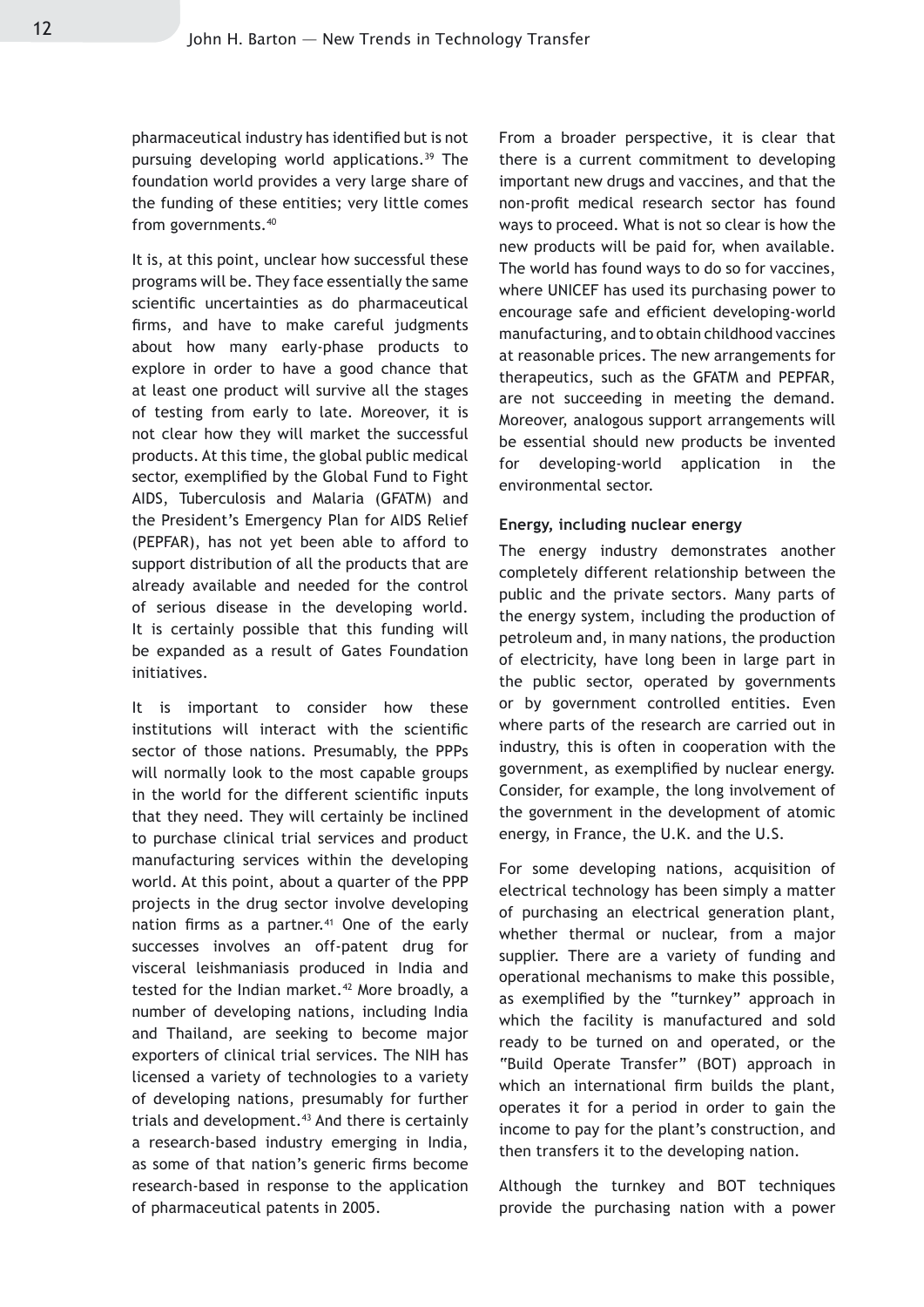pharmaceutical industry has identified but is not pursuing developing world applications.<sup>39</sup> The foundation world provides a very large share of the funding of these entities; very little comes from governments.40

It is, at this point, unclear how successful these programs will be. They face essentially the same scientific uncertainties as do pharmaceutical firms, and have to make careful judgments about how many early-phase products to explore in order to have a good chance that at least one product will survive all the stages of testing from early to late. Moreover, it is not clear how they will market the successful products. At this time, the global public medical sector, exemplified by the Global Fund to Fight AIDS, Tuberculosis and Malaria (GFATM) and the President's Emergency Plan for AIDS Relief (PEPFAR), has not yet been able to afford to support distribution of all the products that are already available and needed for the control of serious disease in the developing world. It is certainly possible that this funding will be expanded as a result of Gates Foundation initiatives.

It is important to consider how these institutions will interact with the scientific sector of those nations. Presumably, the PPPs will normally look to the most capable groups in the world for the different scientific inputs that they need. They will certainly be inclined to purchase clinical trial services and product manufacturing services within the developing world. At this point, about a quarter of the PPP projects in the drug sector involve developing nation firms as a partner.<sup>41</sup> One of the early successes involves an off-patent drug for visceral leishmaniasis produced in India and tested for the Indian market.<sup>42</sup> More broadly, a number of developing nations, including India and Thailand, are seeking to become major exporters of clinical trial services. The NIH has licensed a variety of technologies to a variety of developing nations, presumably for further trials and development.<sup>43</sup> And there is certainly a research-based industry emerging in India, as some of that nation's generic firms become research-based in response to the application of pharmaceutical patents in 2005.

From a broader perspective, it is clear that there is a current commitment to developing important new drugs and vaccines, and that the non-profit medical research sector has found ways to proceed. What is not so clear is how the new products will be paid for, when available. The world has found ways to do so for vaccines, where UNICEF has used its purchasing power to encourage safe and efficient developing-world manufacturing, and to obtain childhood vaccines at reasonable prices. The new arrangements for therapeutics, such as the GFATM and PEPFAR, are not succeeding in meeting the demand. Moreover, analogous support arrangements will be essential should new products be invented for developing-world application in the environmental sector.

#### **Energy, including nuclear energy**

The energy industry demonstrates another completely different relationship between the public and the private sectors. Many parts of the energy system, including the production of petroleum and, in many nations, the production of electricity, have long been in large part in the public sector, operated by governments or by government controlled entities. Even where parts of the research are carried out in industry, this is often in cooperation with the government, as exemplified by nuclear energy. Consider, for example, the long involvement of the government in the development of atomic energy, in France, the U.K. and the U.S.

For some developing nations, acquisition of electrical technology has been simply a matter of purchasing an electrical generation plant, whether thermal or nuclear, from a major supplier. There are a variety of funding and operational mechanisms to make this possible, as exemplified by the "turnkey" approach in which the facility is manufactured and sold ready to be turned on and operated, or the "Build Operate Transfer" (BOT) approach in which an international firm builds the plant, operates it for a period in order to gain the income to pay for the plant's construction, and then transfers it to the developing nation.

Although the turnkey and BOT techniques provide the purchasing nation with a power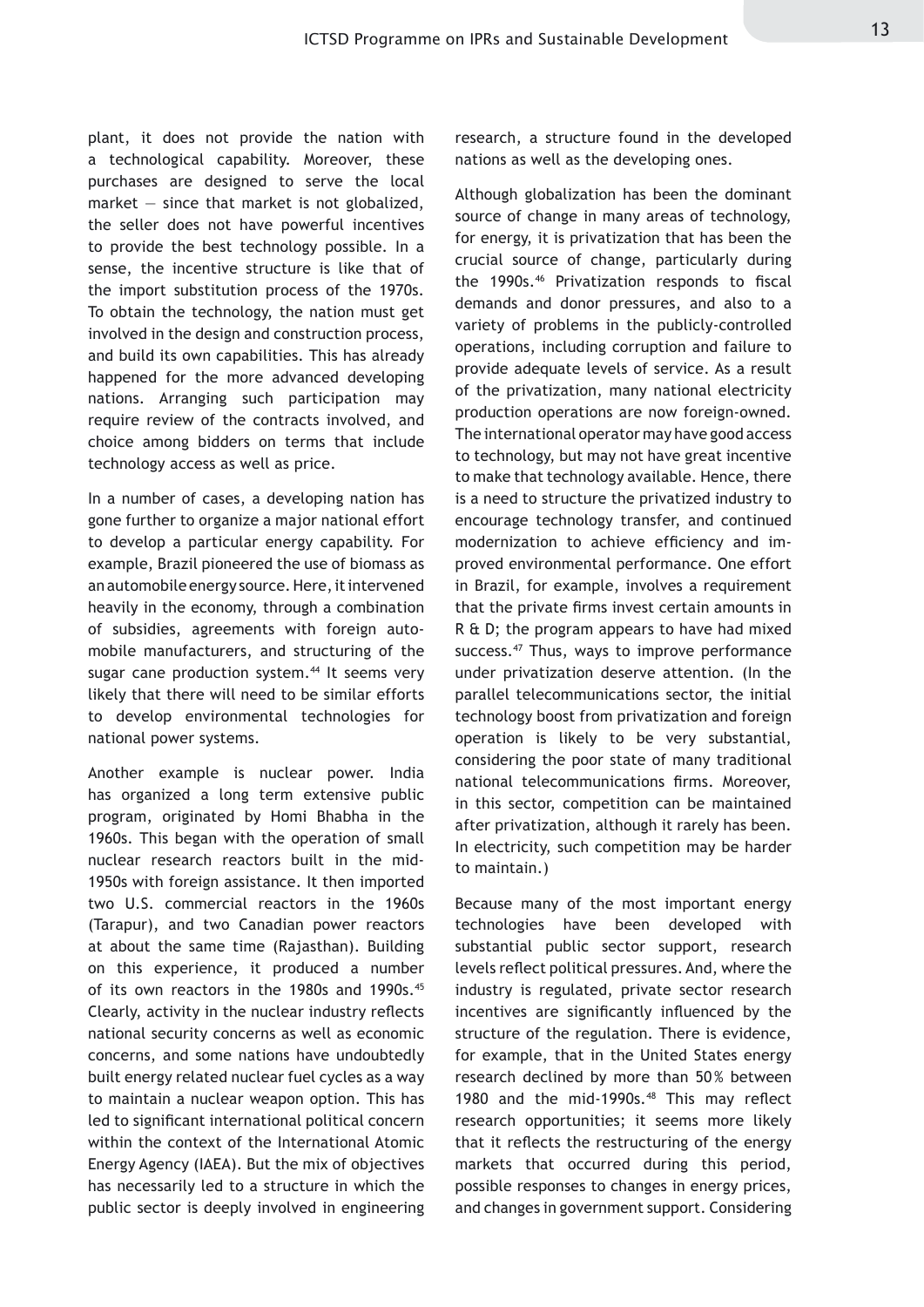plant, it does not provide the nation with a technological capability. Moreover, these purchases are designed to serve the local market  $-$  since that market is not globalized, the seller does not have powerful incentives to provide the best technology possible. In a sense, the incentive structure is like that of the import substitution process of the 1970s. To obtain the technology, the nation must get involved in the design and construction process, and build its own capabilities. This has already happened for the more advanced developing nations. Arranging such participation may require review of the contracts involved, and choice among bidders on terms that include technology access as well as price.

In a number of cases, a developing nation has gone further to organize a major national effort to develop a particular energy capability. For example, Brazil pioneered the use of biomass as an automobile energy source. Here, it intervened heavily in the economy, through a combination of subsidies, agreements with foreign automobile manufacturers, and structuring of the sugar cane production system.<sup>44</sup> It seems very likely that there will need to be similar efforts to develop environmental technologies for national power systems.

Another example is nuclear power. India has organized a long term extensive public program, originated by Homi Bhabha in the 1960s. This began with the operation of small nuclear research reactors built in the mid-1950s with foreign assistance. It then imported two U.S. commercial reactors in the 1960s (Tarapur), and two Canadian power reactors at about the same time (Rajasthan). Building on this experience, it produced a number of its own reactors in the 1980s and 1990s.<sup>45</sup> Clearly, activity in the nuclear industry reflects national security concerns as well as economic concerns, and some nations have undoubtedly built energy related nuclear fuel cycles as a way to maintain a nuclear weapon option. This has led to significant international political concern within the context of the International Atomic Energy Agency (IAEA). But the mix of objectives has necessarily led to a structure in which the public sector is deeply involved in engineering research, a structure found in the developed nations as well as the developing ones.

Although globalization has been the dominant source of change in many areas of technology, for energy, it is privatization that has been the crucial source of change, particularly during the 1990s.<sup>46</sup> Privatization responds to fiscal demands and donor pressures, and also to a variety of problems in the publicly-controlled operations, including corruption and failure to provide adequate levels of service. As a result of the privatization, many national electricity production operations are now foreign-owned. The international operator may have good access to technology, but may not have great incentive to make that technology available. Hence, there is a need to structure the privatized industry to encourage technology transfer, and continued modernization to achieve efficiency and improved environmental performance. One effort in Brazil, for example, involves a requirement that the private firms invest certain amounts in R & D; the program appears to have had mixed success.<sup>47</sup> Thus, ways to improve performance under privatization deserve attention. (In the parallel telecommunications sector, the initial technology boost from privatization and foreign operation is likely to be very substantial, considering the poor state of many traditional national telecommunications firms. Moreover, in this sector, competition can be maintained after privatization, although it rarely has been. In electricity, such competition may be harder to maintain.)

Because many of the most important energy technologies have been developed with substantial public sector support, research levels reflect political pressures. And, where the industry is regulated, private sector research incentives are significantly influenced by the structure of the regulation. There is evidence, for example, that in the United States energy research declined by more than 50% between 1980 and the mid-1990s.<sup>48</sup> This may reflect research opportunities; it seems more likely that it reflects the restructuring of the energy markets that occurred during this period, possible responses to changes in energy prices, and changes in government support. Considering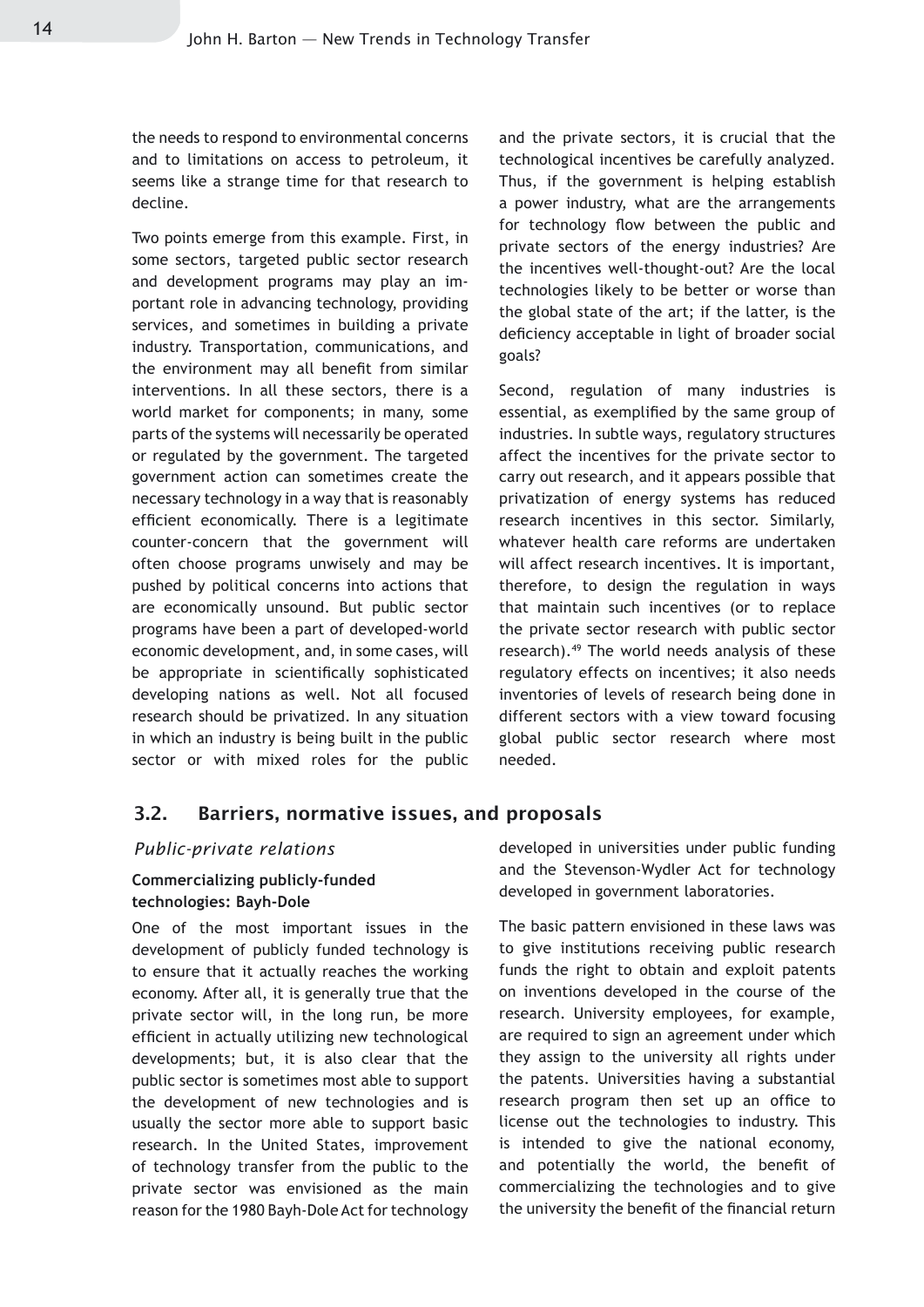the needs to respond to environmental concerns and to limitations on access to petroleum, it seems like a strange time for that research to decline.

Two points emerge from this example. First, in some sectors, targeted public sector research and development programs may play an important role in advancing technology, providing services, and sometimes in building a private industry. Transportation, communications, and the environment may all benefit from similar interventions. In all these sectors, there is a world market for components; in many, some parts of the systems will necessarily be operated or regulated by the government. The targeted government action can sometimes create the necessary technology in a way that is reasonably efficient economically. There is a legitimate counter-concern that the government will often choose programs unwisely and may be pushed by political concerns into actions that are economically unsound. But public sector programs have been a part of developed-world economic development, and, in some cases, will be appropriate in scientifically sophisticated developing nations as well. Not all focused research should be privatized. In any situation in which an industry is being built in the public sector or with mixed roles for the public and the private sectors, it is crucial that the technological incentives be carefully analyzed. Thus, if the government is helping establish a power industry, what are the arrangements for technology flow between the public and private sectors of the energy industries? Are the incentives well-thought-out? Are the local technologies likely to be better or worse than the global state of the art; if the latter, is the deficiency acceptable in light of broader social goals?

Second, regulation of many industries is essential, as exemplified by the same group of industries. In subtle ways, regulatory structures affect the incentives for the private sector to carry out research, and it appears possible that privatization of energy systems has reduced research incentives in this sector. Similarly, whatever health care reforms are undertaken will affect research incentives. It is important, therefore, to design the regulation in ways that maintain such incentives (or to replace the private sector research with public sector research).49 The world needs analysis of these regulatory effects on incentives; it also needs inventories of levels of research being done in different sectors with a view toward focusing global public sector research where most needed.

#### 3.2. Barriers, normative issues, and proposals

#### *Public-private relations*

#### **Commercializing publicly-funded technologies: Bayh-Dole**

One of the most important issues in the development of publicly funded technology is to ensure that it actually reaches the working economy. After all, it is generally true that the private sector will, in the long run, be more efficient in actually utilizing new technological developments; but, it is also clear that the public sector is sometimes most able to support the development of new technologies and is usually the sector more able to support basic research. In the United States, improvement of technology transfer from the public to the private sector was envisioned as the main reason for the 1980 Bayh-Dole Act for technology developed in universities under public funding and the Stevenson-Wydler Act for technology developed in government laboratories.

The basic pattern envisioned in these laws was to give institutions receiving public research funds the right to obtain and exploit patents on inventions developed in the course of the research. University employees, for example, are required to sign an agreement under which they assign to the university all rights under the patents. Universities having a substantial research program then set up an office to license out the technologies to industry. This is intended to give the national economy, and potentially the world, the benefit of commercializing the technologies and to give the university the benefit of the financial return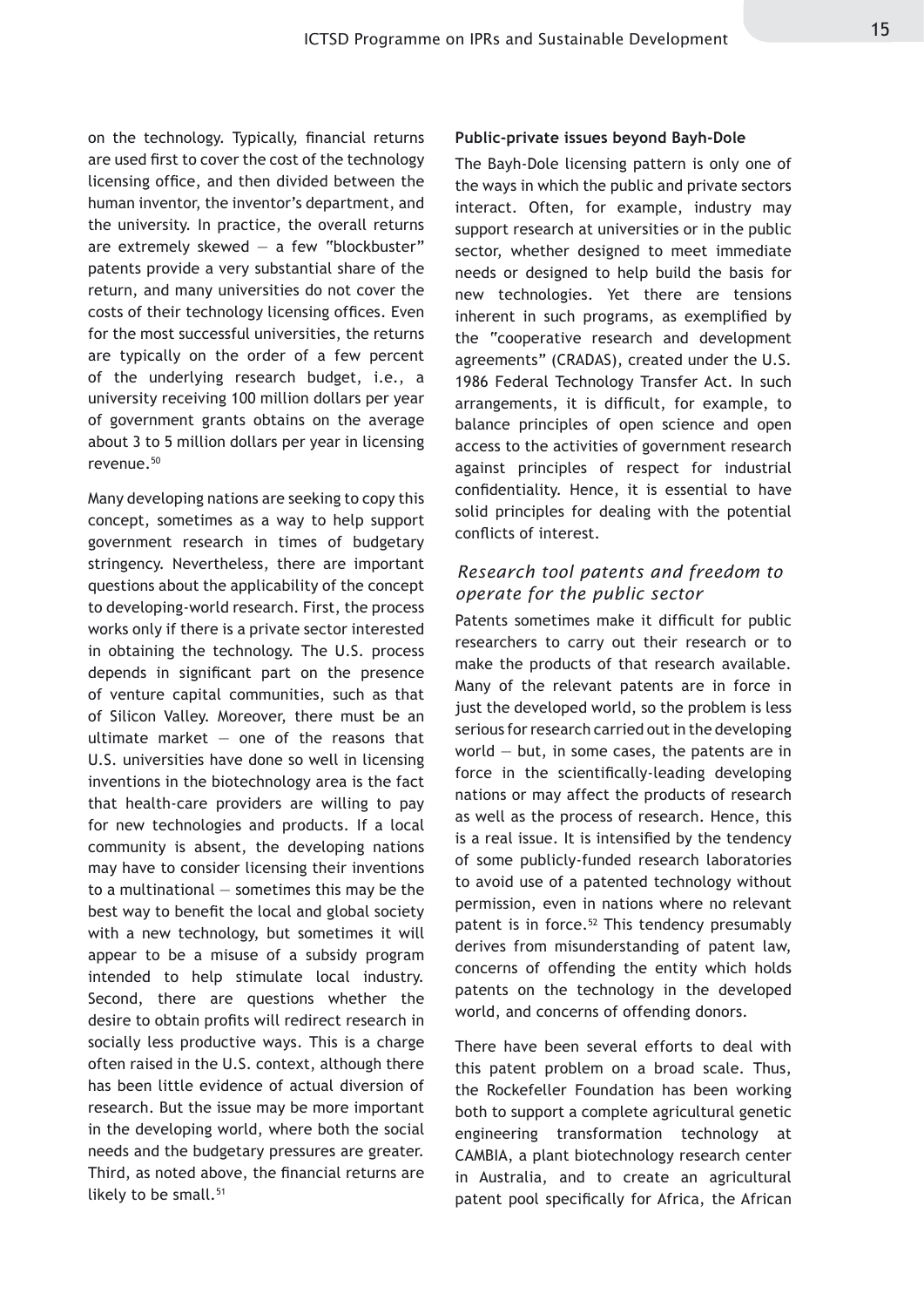on the technology. Typically, financial returns are used first to cover the cost of the technology licensing office, and then divided between the human inventor, the inventor's department, and the university. In practice, the overall returns are extremely skewed  $-$  a few "blockbuster" patents provide a very substantial share of the return, and many universities do not cover the costs of their technology licensing offices. Even for the most successful universities, the returns are typically on the order of a few percent of the underlying research budget, i.e., a university receiving 100 million dollars per year of government grants obtains on the average about 3 to 5 million dollars per year in licensing revenue.50

Many developing nations are seeking to copy this concept, sometimes as a way to help support government research in times of budgetary stringency. Nevertheless, there are important questions about the applicability of the concept to developing-world research. First, the process works only if there is a private sector interested in obtaining the technology. The U.S. process depends in significant part on the presence of venture capital communities, such as that of Silicon Valley. Moreover, there must be an ultimate market  $-$  one of the reasons that U.S. universities have done so well in licensing inventions in the biotechnology area is the fact that health-care providers are willing to pay for new technologies and products. If a local community is absent, the developing nations may have to consider licensing their inventions to a multinational — sometimes this may be the best way to benefit the local and global society with a new technology, but sometimes it will appear to be a misuse of a subsidy program intended to help stimulate local industry. Second, there are questions whether the desire to obtain profits will redirect research in socially less productive ways. This is a charge often raised in the U.S. context, although there has been little evidence of actual diversion of research. But the issue may be more important in the developing world, where both the social needs and the budgetary pressures are greater. Third, as noted above, the financial returns are likely to be small.<sup>51</sup>

#### **Public-private issues beyond Bayh-Dole**

The Bayh-Dole licensing pattern is only one of the ways in which the public and private sectors interact. Often, for example, industry may support research at universities or in the public sector, whether designed to meet immediate needs or designed to help build the basis for new technologies. Yet there are tensions inherent in such programs, as exemplified by the "cooperative research and development agreements" (CRADAS), created under the U.S. 1986 Federal Technology Transfer Act. In such arrangements, it is difficult, for example, to balance principles of open science and open access to the activities of government research against principles of respect for industrial confidentiality. Hence, it is essential to have solid principles for dealing with the potential conflicts of interest.

#### *Research tool patents and freedom to operate for the public sector*

Patents sometimes make it difficult for public researchers to carry out their research or to make the products of that research available. Many of the relevant patents are in force in just the developed world, so the problem is less serious for research carried out in the developing world  $-$  but, in some cases, the patents are in force in the scientifically-leading developing nations or may affect the products of research as well as the process of research. Hence, this is a real issue. It is intensified by the tendency of some publicly-funded research laboratories to avoid use of a patented technology without permission, even in nations where no relevant patent is in force.<sup>52</sup> This tendency presumably derives from misunderstanding of patent law, concerns of offending the entity which holds patents on the technology in the developed world, and concerns of offending donors.

There have been several efforts to deal with this patent problem on a broad scale. Thus, the Rockefeller Foundation has been working both to support a complete agricultural genetic engineering transformation technology at CAMBIA, a plant biotechnology research center in Australia, and to create an agricultural patent pool specifically for Africa, the African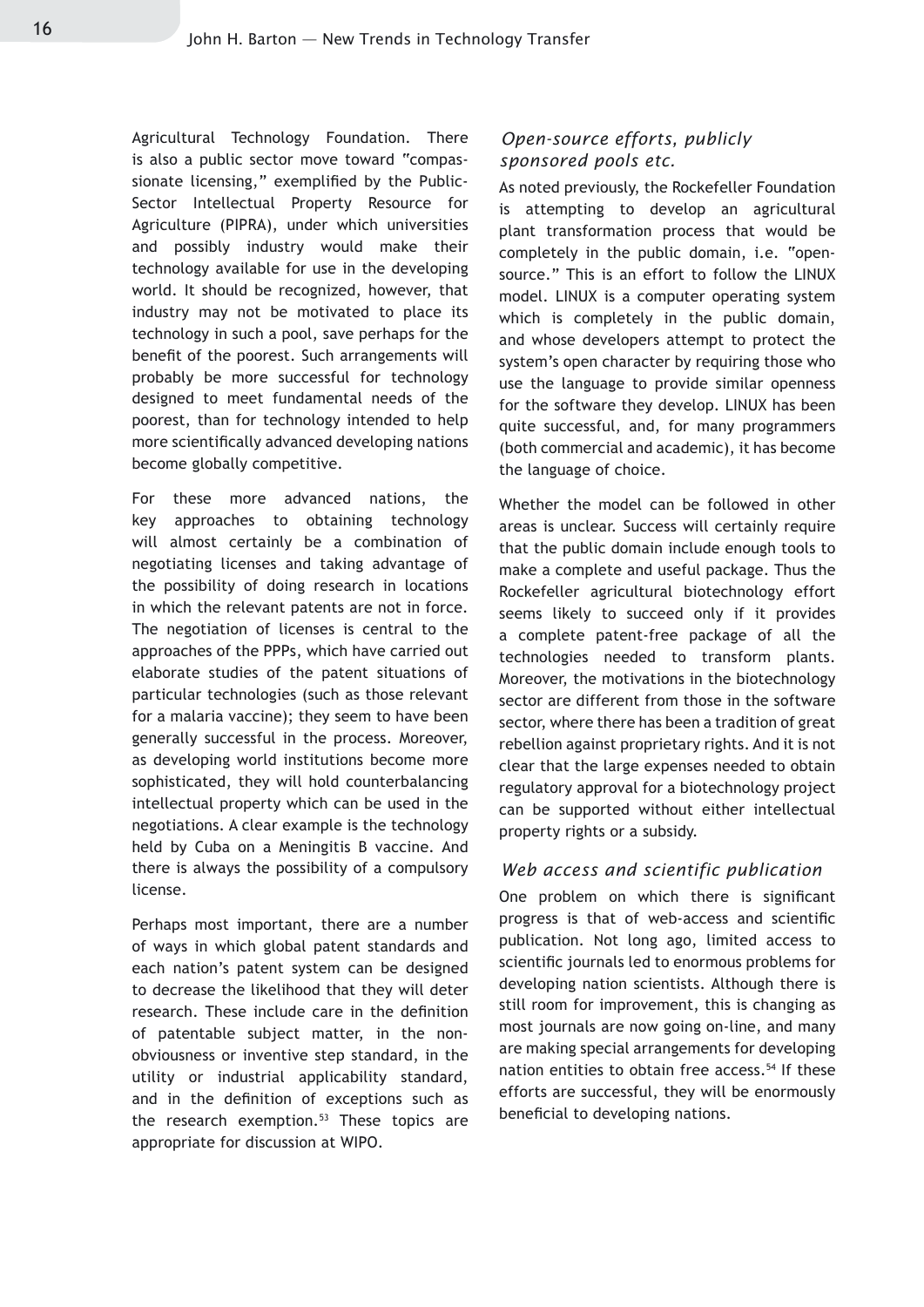Agricultural Technology Foundation. There is also a public sector move toward "compassionate licensing," exemplified by the Public-Sector Intellectual Property Resource for Agriculture (PIPRA), under which universities and possibly industry would make their technology available for use in the developing world. It should be recognized, however, that industry may not be motivated to place its technology in such a pool, save perhaps for the benefit of the poorest. Such arrangements will probably be more successful for technology designed to meet fundamental needs of the poorest, than for technology intended to help more scientifically advanced developing nations become globally competitive.

For these more advanced nations, the key approaches to obtaining technology will almost certainly be a combination of negotiating licenses and taking advantage of the possibility of doing research in locations in which the relevant patents are not in force. The negotiation of licenses is central to the approaches of the PPPs, which have carried out elaborate studies of the patent situations of particular technologies (such as those relevant for a malaria vaccine); they seem to have been generally successful in the process. Moreover, as developing world institutions become more sophisticated, they will hold counterbalancing intellectual property which can be used in the negotiations. A clear example is the technology held by Cuba on a Meningitis B vaccine. And there is always the possibility of a compulsory license.

Perhaps most important, there are a number of ways in which global patent standards and each nation's patent system can be designed to decrease the likelihood that they will deter research. These include care in the definition of patentable subject matter, in the nonobviousness or inventive step standard, in the utility or industrial applicability standard, and in the definition of exceptions such as the research exemption.<sup>53</sup> These topics are appropriate for discussion at WIPO.

#### *Open-source efforts, publicly sponsored pools etc.*

As noted previously, the Rockefeller Foundation is attempting to develop an agricultural plant transformation process that would be completely in the public domain, i.e. "opensource." This is an effort to follow the LINUX model. LINUX is a computer operating system which is completely in the public domain, and whose developers attempt to protect the system's open character by requiring those who use the language to provide similar openness for the software they develop. LINUX has been quite successful, and, for many programmers (both commercial and academic), it has become the language of choice.

Whether the model can be followed in other areas is unclear. Success will certainly require that the public domain include enough tools to make a complete and useful package. Thus the Rockefeller agricultural biotechnology effort seems likely to succeed only if it provides a complete patent-free package of all the technologies needed to transform plants. Moreover, the motivations in the biotechnology sector are different from those in the software sector, where there has been a tradition of great rebellion against proprietary rights. And it is not clear that the large expenses needed to obtain regulatory approval for a biotechnology project can be supported without either intellectual property rights or a subsidy.

#### *Web access and scientific publication*

One problem on which there is significant progress is that of web-access and scientific publication. Not long ago, limited access to scientific journals led to enormous problems for developing nation scientists. Although there is still room for improvement, this is changing as most journals are now going on-line, and many are making special arrangements for developing nation entities to obtain free access.<sup>54</sup> If these efforts are successful, they will be enormously beneficial to developing nations.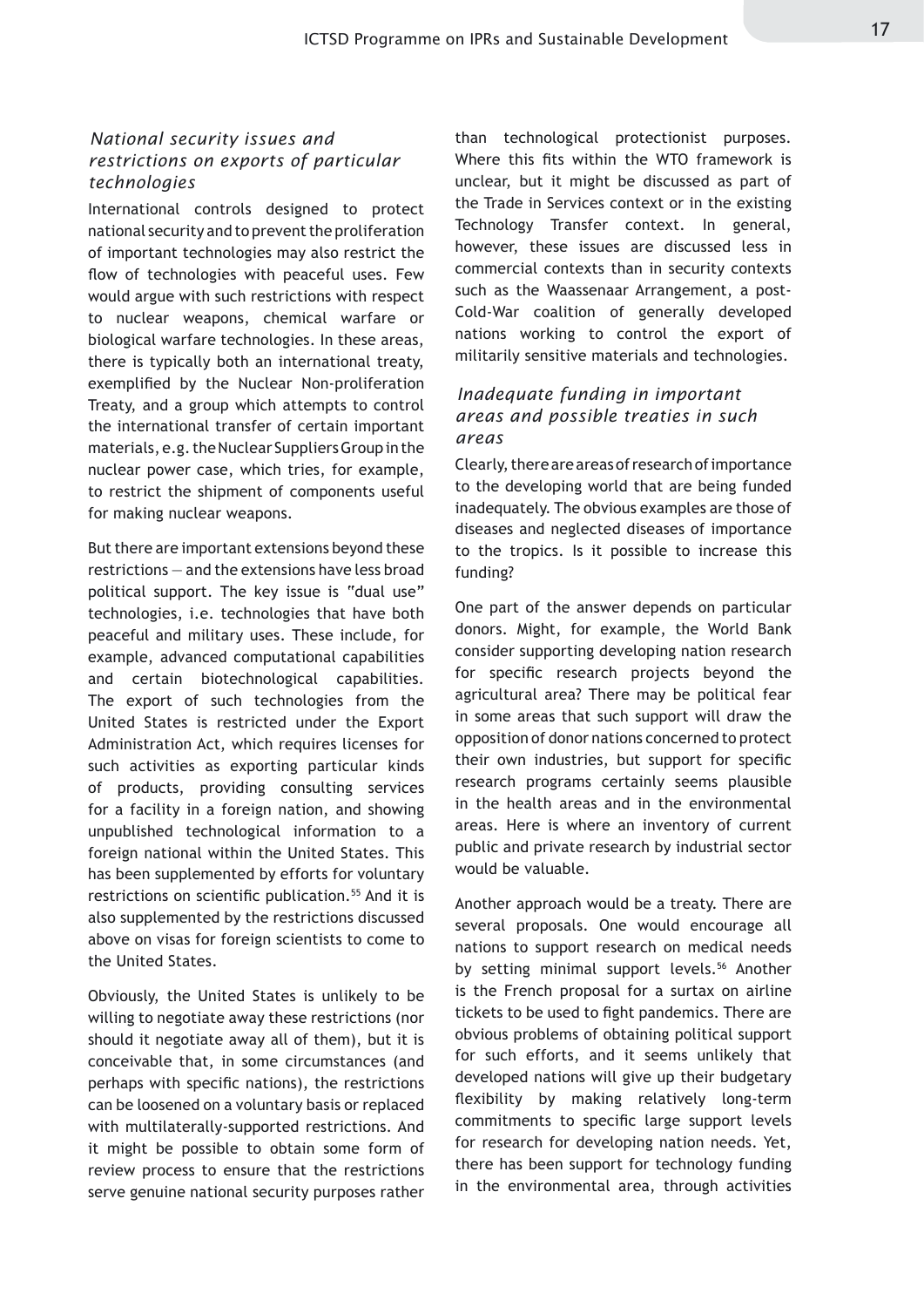#### *National security issues and restrictions on exports of particular technologies*

International controls designed to protect national security and to prevent the proliferation of important technologies may also restrict the flow of technologies with peaceful uses. Few would argue with such restrictions with respect to nuclear weapons, chemical warfare or biological warfare technologies. In these areas, there is typically both an international treaty, exemplified by the Nuclear Non-proliferation Treaty, and a group which attempts to control the international transfer of certain important materials, e.g. the Nuclear Suppliers Group in the nuclear power case, which tries, for example, to restrict the shipment of components useful for making nuclear weapons.

But there are important extensions beyond these restrictions — and the extensions have less broad political support. The key issue is "dual use" technologies, i.e. technologies that have both peaceful and military uses. These include, for example, advanced computational capabilities and certain biotechnological capabilities. The export of such technologies from the United States is restricted under the Export Administration Act, which requires licenses for such activities as exporting particular kinds of products, providing consulting services for a facility in a foreign nation, and showing unpublished technological information to a foreign national within the United States. This has been supplemented by efforts for voluntary restrictions on scientific publication.<sup>55</sup> And it is also supplemented by the restrictions discussed above on visas for foreign scientists to come to the United States.

Obviously, the United States is unlikely to be willing to negotiate away these restrictions (nor should it negotiate away all of them), but it is conceivable that, in some circumstances (and perhaps with specific nations), the restrictions can be loosened on a voluntary basis or replaced with multilaterally-supported restrictions. And it might be possible to obtain some form of review process to ensure that the restrictions serve genuine national security purposes rather

than technological protectionist purposes. Where this fits within the WTO framework is unclear, but it might be discussed as part of the Trade in Services context or in the existing Technology Transfer context. In general, however, these issues are discussed less in commercial contexts than in security contexts such as the Waassenaar Arrangement, a post-Cold-War coalition of generally developed nations working to control the export of militarily sensitive materials and technologies.

#### *Inadequate funding in important areas and possible treaties in such areas*

Clearly, there are areas of research of importance to the developing world that are being funded inadequately. The obvious examples are those of diseases and neglected diseases of importance to the tropics. Is it possible to increase this funding?

One part of the answer depends on particular donors. Might, for example, the World Bank consider supporting developing nation research for specific research projects beyond the agricultural area? There may be political fear in some areas that such support will draw the opposition of donor nations concerned to protect their own industries, but support for specific research programs certainly seems plausible in the health areas and in the environmental areas. Here is where an inventory of current public and private research by industrial sector would be valuable.

Another approach would be a treaty. There are several proposals. One would encourage all nations to support research on medical needs by setting minimal support levels.<sup>56</sup> Another is the French proposal for a surtax on airline tickets to be used to fight pandemics. There are obvious problems of obtaining political support for such efforts, and it seems unlikely that developed nations will give up their budgetary flexibility by making relatively long-term commitments to specific large support levels for research for developing nation needs. Yet, there has been support for technology funding in the environmental area, through activities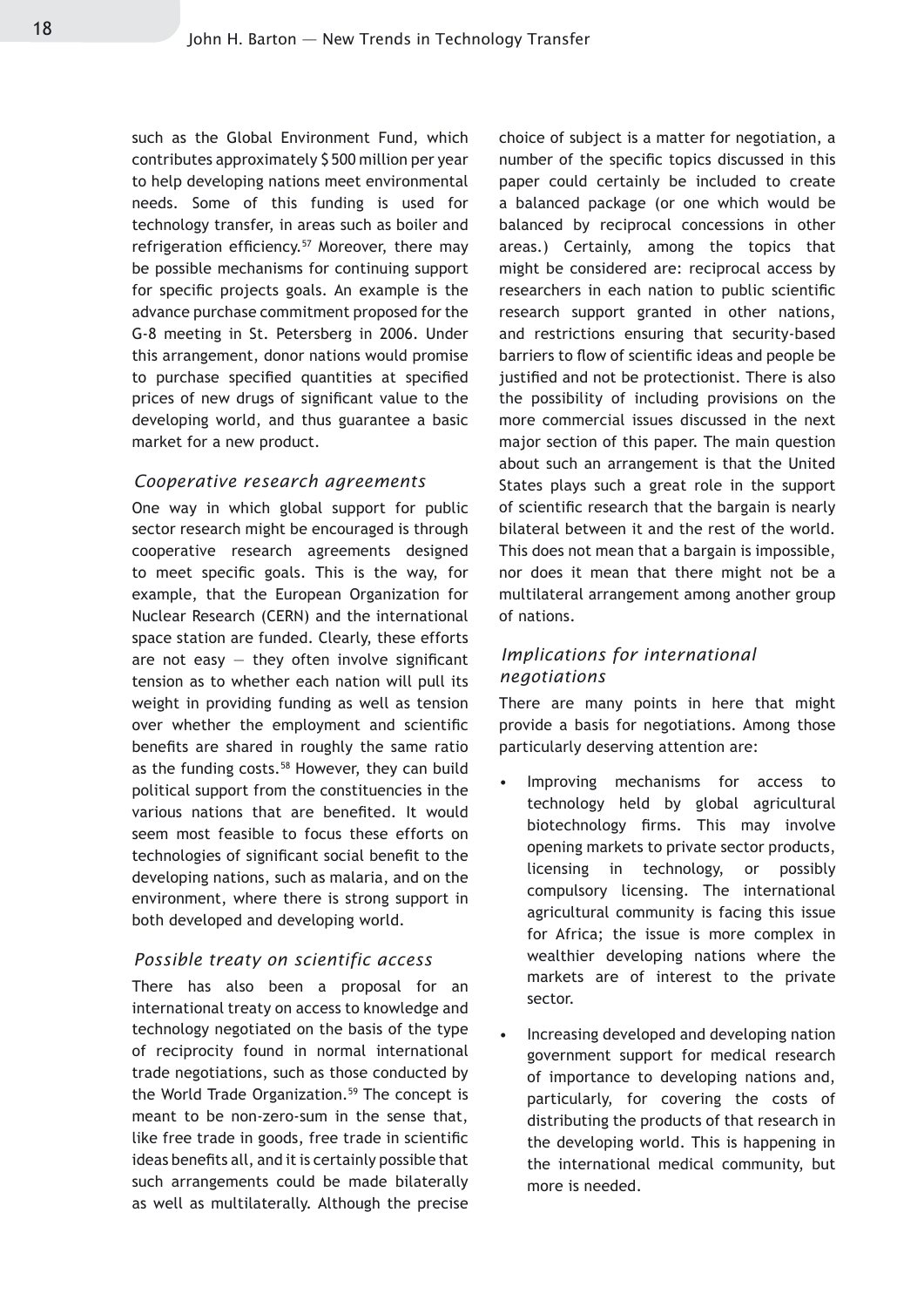such as the Global Environment Fund, which contributes approximately \$ 500 million per year to help developing nations meet environmental needs. Some of this funding is used for technology transfer, in areas such as boiler and refrigeration efficiency.<sup>57</sup> Moreover, there may be possible mechanisms for continuing support for specific projects goals. An example is the advance purchase commitment proposed for the G-8 meeting in St. Petersberg in 2006. Under this arrangement, donor nations would promise to purchase specified quantities at specified prices of new drugs of significant value to the developing world, and thus guarantee a basic market for a new product.

#### *Cooperative research agreements*

One way in which global support for public sector research might be encouraged is through cooperative research agreements designed to meet specific goals. This is the way, for example, that the European Organization for Nuclear Research (CERN) and the international space station are funded. Clearly, these efforts are not easy  $-$  they often involve significant tension as to whether each nation will pull its weight in providing funding as well as tension over whether the employment and scientific benefits are shared in roughly the same ratio as the funding costs.<sup>58</sup> However, they can build political support from the constituencies in the various nations that are benefited. It would seem most feasible to focus these efforts on technologies of significant social benefit to the developing nations, such as malaria, and on the environment, where there is strong support in both developed and developing world.

#### *Possible treaty on scientific access*

There has also been a proposal for an international treaty on access to knowledge and technology negotiated on the basis of the type of reciprocity found in normal international trade negotiations, such as those conducted by the World Trade Organization.<sup>59</sup> The concept is meant to be non-zero-sum in the sense that, like free trade in goods, free trade in scientific ideas benefits all, and it is certainly possible that such arrangements could be made bilaterally as well as multilaterally. Although the precise

choice of subject is a matter for negotiation, a number of the specific topics discussed in this paper could certainly be included to create a balanced package (or one which would be balanced by reciprocal concessions in other areas.) Certainly, among the topics that might be considered are: reciprocal access by researchers in each nation to public scientific research support granted in other nations, and restrictions ensuring that security-based barriers to flow of scientific ideas and people be justified and not be protectionist. There is also the possibility of including provisions on the more commercial issues discussed in the next major section of this paper. The main question about such an arrangement is that the United States plays such a great role in the support of scientific research that the bargain is nearly bilateral between it and the rest of the world. This does not mean that a bargain is impossible, nor does it mean that there might not be a multilateral arrangement among another group of nations.

#### *Implications for international negotiations*

There are many points in here that might provide a basis for negotiations. Among those particularly deserving attention are:

- Improving mechanisms for access to technology held by global agricultural biotechnology firms. This may involve opening markets to private sector products, licensing in technology, or possibly compulsory licensing. The international agricultural community is facing this issue for Africa; the issue is more complex in wealthier developing nations where the markets are of interest to the private sector. •
- Increasing developed and developing nation government support for medical research of importance to developing nations and, particularly, for covering the costs of distributing the products of that research in the developing world. This is happening in the international medical community, but more is needed. •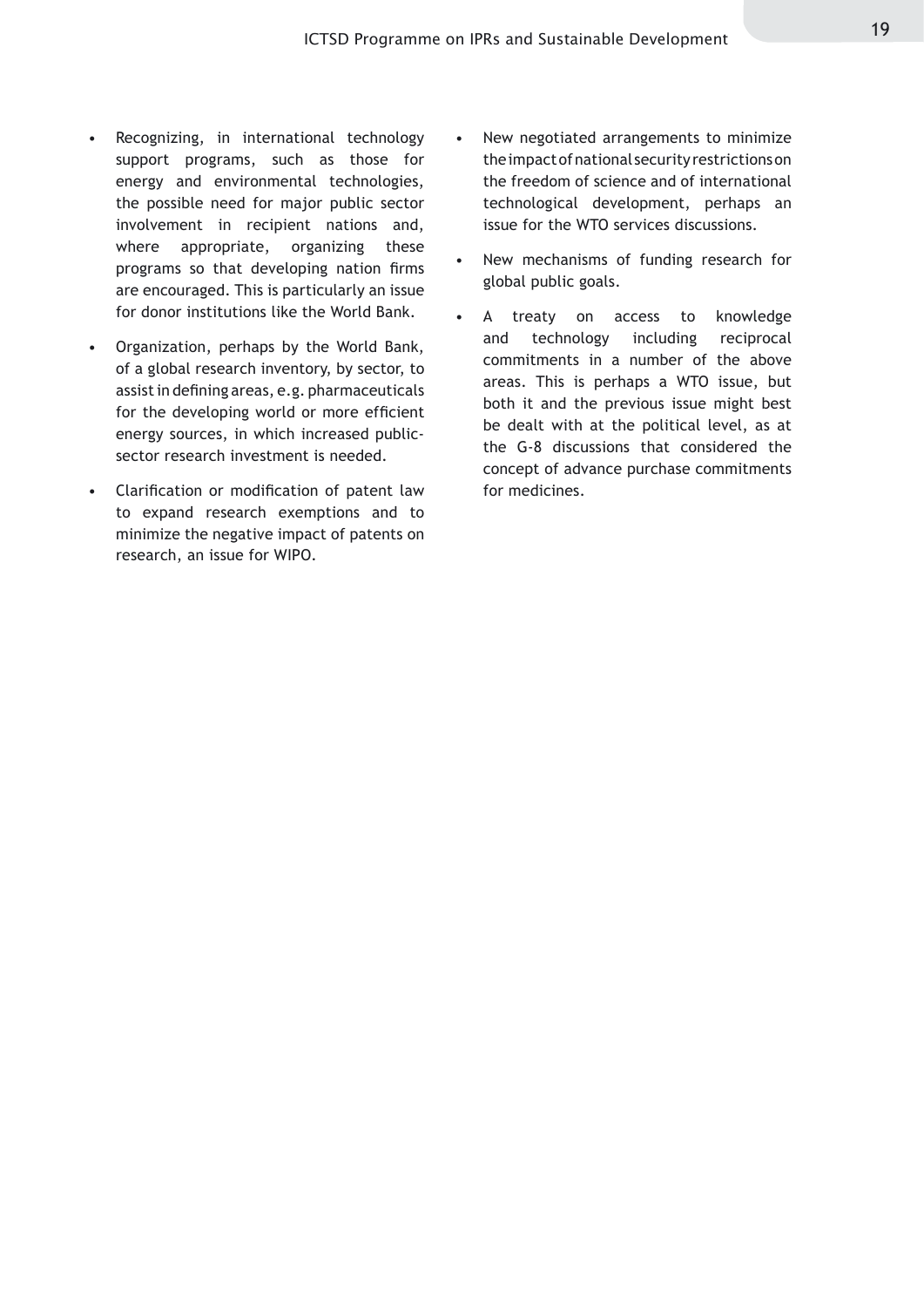- Recognizing, in international technology support programs, such as those for energy and environmental technologies, the possible need for major public sector involvement in recipient nations and, where appropriate, organizing these programs so that developing nation firms are encouraged. This is particularly an issue for donor institutions like the World Bank. •
- Organization, perhaps by the World Bank, of a global research inventory, by sector, to assist in defining areas, e.g. pharmaceuticals for the developing world or more efficient energy sources, in which increased publicsector research investment is needed. •
- Clarification or modification of patent law to expand research exemptions and to minimize the negative impact of patents on research, an issue for WIPO.
- New negotiated arrangements to minimize the impact of national security restrictions on the freedom of science and of international technological development, perhaps an issue for the WTO services discussions. •
- New mechanisms of funding research for global public goals. •
- A treaty on access to knowledge and technology including reciprocal commitments in a number of the above areas. This is perhaps a WTO issue, but both it and the previous issue might best be dealt with at the political level, as at the G-8 discussions that considered the concept of advance purchase commitments for medicines. •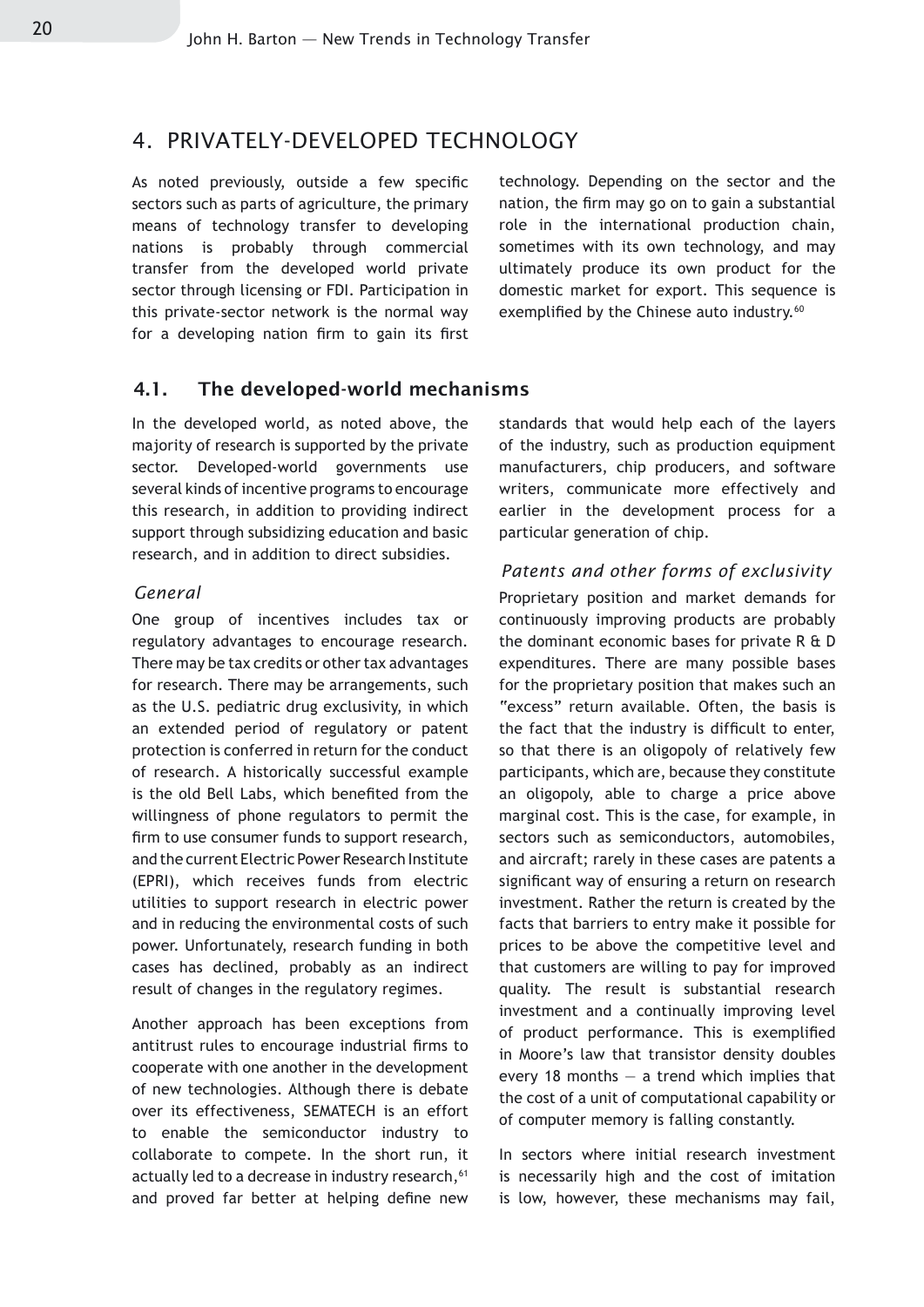#### 4. PRIVATELY-DEVELOPED TECHNOLOGY

As noted previously, outside a few specific sectors such as parts of agriculture, the primary means of technology transfer to developing nations is probably through commercial transfer from the developed world private sector through licensing or FDI. Participation in this private-sector network is the normal way for a developing nation firm to gain its first technology. Depending on the sector and the nation, the firm may go on to gain a substantial role in the international production chain, sometimes with its own technology, and may ultimately produce its own product for the domestic market for export. This sequence is exemplified by the Chinese auto industry.<sup>60</sup>

#### 4.1. The developed-world mechanisms

In the developed world, as noted above, the majority of research is supported by the private sector. Developed-world governments use several kinds of incentive programs to encourage this research, in addition to providing indirect support through subsidizing education and basic research, and in addition to direct subsidies.

#### *General*

One group of incentives includes tax or regulatory advantages to encourage research. There may be tax credits or other tax advantages for research. There may be arrangements, such as the U.S. pediatric drug exclusivity, in which an extended period of regulatory or patent protection is conferred in return for the conduct of research. A historically successful example is the old Bell Labs, which benefited from the willingness of phone regulators to permit the firm to use consumer funds to support research, and the current Electric Power Research Institute (EPRI), which receives funds from electric utilities to support research in electric power and in reducing the environmental costs of such power. Unfortunately, research funding in both cases has declined, probably as an indirect result of changes in the regulatory regimes.

Another approach has been exceptions from antitrust rules to encourage industrial firms to cooperate with one another in the development of new technologies. Although there is debate over its effectiveness, SEMATECH is an effort to enable the semiconductor industry to collaborate to compete. In the short run, it actually led to a decrease in industry research, <sup>61</sup> and proved far better at helping define new standards that would help each of the layers of the industry, such as production equipment manufacturers, chip producers, and software writers, communicate more effectively and earlier in the development process for a particular generation of chip.

#### *Patents and other forms of exclusivity*

Proprietary position and market demands for continuously improving products are probably the dominant economic bases for private R & D expenditures. There are many possible bases for the proprietary position that makes such an "excess" return available. Often, the basis is the fact that the industry is difficult to enter, so that there is an oligopoly of relatively few participants, which are, because they constitute an oligopoly, able to charge a price above marginal cost. This is the case, for example, in sectors such as semiconductors, automobiles, and aircraft; rarely in these cases are patents a significant way of ensuring a return on research investment. Rather the return is created by the facts that barriers to entry make it possible for prices to be above the competitive level and that customers are willing to pay for improved quality. The result is substantial research investment and a continually improving level of product performance. This is exemplified in Moore's law that transistor density doubles every 18 months  $-$  a trend which implies that the cost of a unit of computational capability or of computer memory is falling constantly.

In sectors where initial research investment is necessarily high and the cost of imitation is low, however, these mechanisms may fail,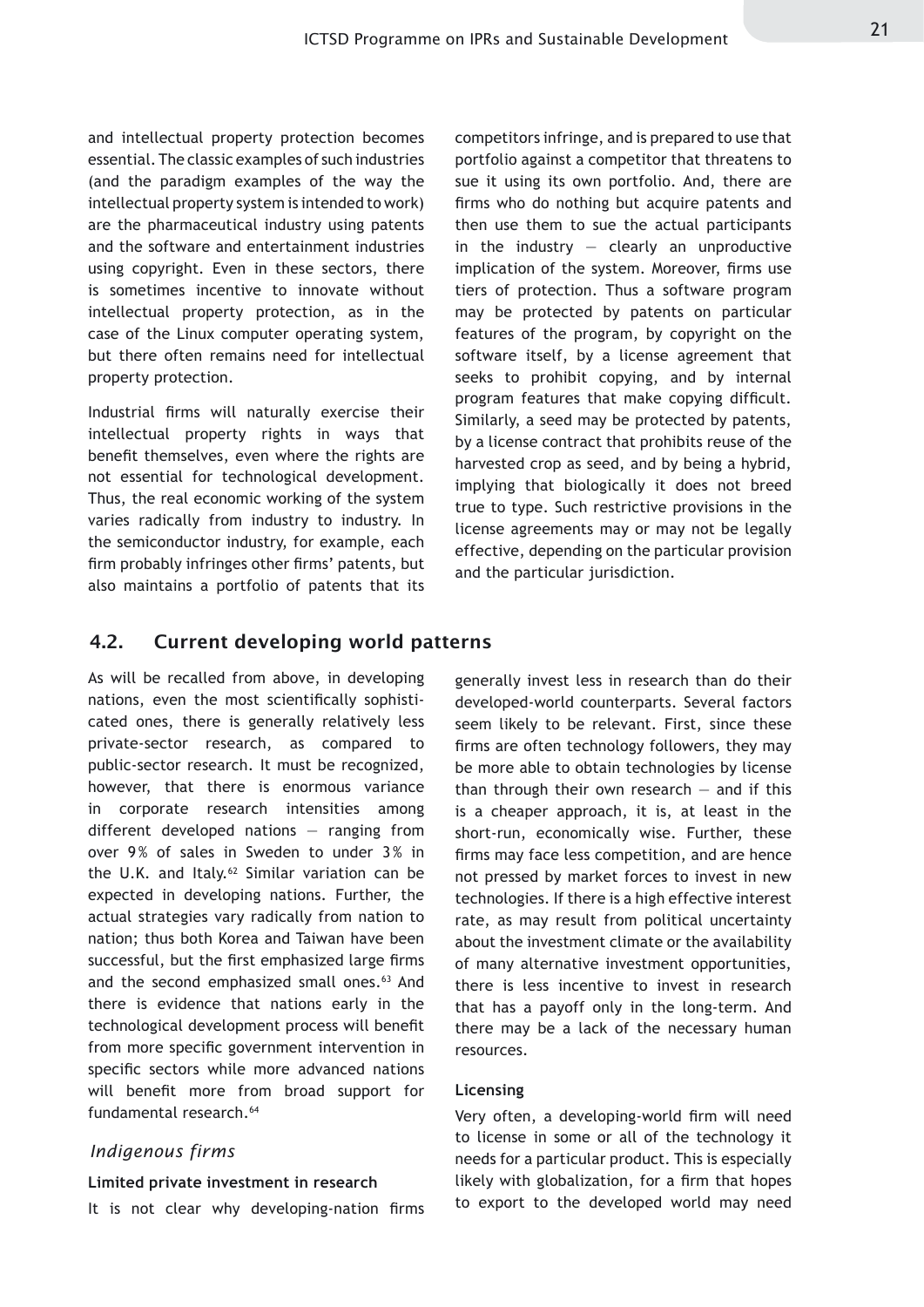and intellectual property protection becomes essential. The classic examples of such industries (and the paradigm examples of the way the intellectual property system is intended to work) are the pharmaceutical industry using patents and the software and entertainment industries using copyright. Even in these sectors, there is sometimes incentive to innovate without intellectual property protection, as in the case of the Linux computer operating system, but there often remains need for intellectual property protection.

Industrial firms will naturally exercise their intellectual property rights in ways that benefit themselves, even where the rights are not essential for technological development. Thus, the real economic working of the system varies radically from industry to industry. In the semiconductor industry, for example, each firm probably infringes other firms' patents, but also maintains a portfolio of patents that its competitors infringe, and is prepared to use that portfolio against a competitor that threatens to sue it using its own portfolio. And, there are firms who do nothing but acquire patents and then use them to sue the actual participants in the industry  $-$  clearly an unproductive implication of the system. Moreover, firms use tiers of protection. Thus a software program may be protected by patents on particular features of the program, by copyright on the software itself, by a license agreement that seeks to prohibit copying, and by internal program features that make copying difficult. Similarly, a seed may be protected by patents, by a license contract that prohibits reuse of the harvested crop as seed, and by being a hybrid, implying that biologically it does not breed true to type. Such restrictive provisions in the license agreements may or may not be legally effective, depending on the particular provision and the particular jurisdiction.

#### 4.2. Current developing world patterns

As will be recalled from above, in developing nations, even the most scientifically sophisticated ones, there is generally relatively less private-sector research, as compared to public-sector research. It must be recognized, however, that there is enormous variance in corporate research intensities among different developed nations — ranging from over 9% of sales in Sweden to under 3% in the U.K. and Italy.<sup>62</sup> Similar variation can be expected in developing nations. Further, the actual strategies vary radically from nation to nation; thus both Korea and Taiwan have been successful, but the first emphasized large firms and the second emphasized small ones.<sup>63</sup> And there is evidence that nations early in the technological development process will benefit from more specific government intervention in specific sectors while more advanced nations will benefit more from broad support for fundamental research.<sup>64</sup>

#### *Indigenous firms*

#### **Limited private investment in research**

It is not clear why developing-nation firms

generally invest less in research than do their developed-world counterparts. Several factors seem likely to be relevant. First, since these firms are often technology followers, they may be more able to obtain technologies by license than through their own research  $-$  and if this is a cheaper approach, it is, at least in the short-run, economically wise. Further, these firms may face less competition, and are hence not pressed by market forces to invest in new technologies. If there is a high effective interest rate, as may result from political uncertainty about the investment climate or the availability of many alternative investment opportunities, there is less incentive to invest in research that has a payoff only in the long-term. And there may be a lack of the necessary human resources.

#### **Licensing**

Very often, a developing-world firm will need to license in some or all of the technology it needs for a particular product. This is especially likely with globalization, for a firm that hopes to export to the developed world may need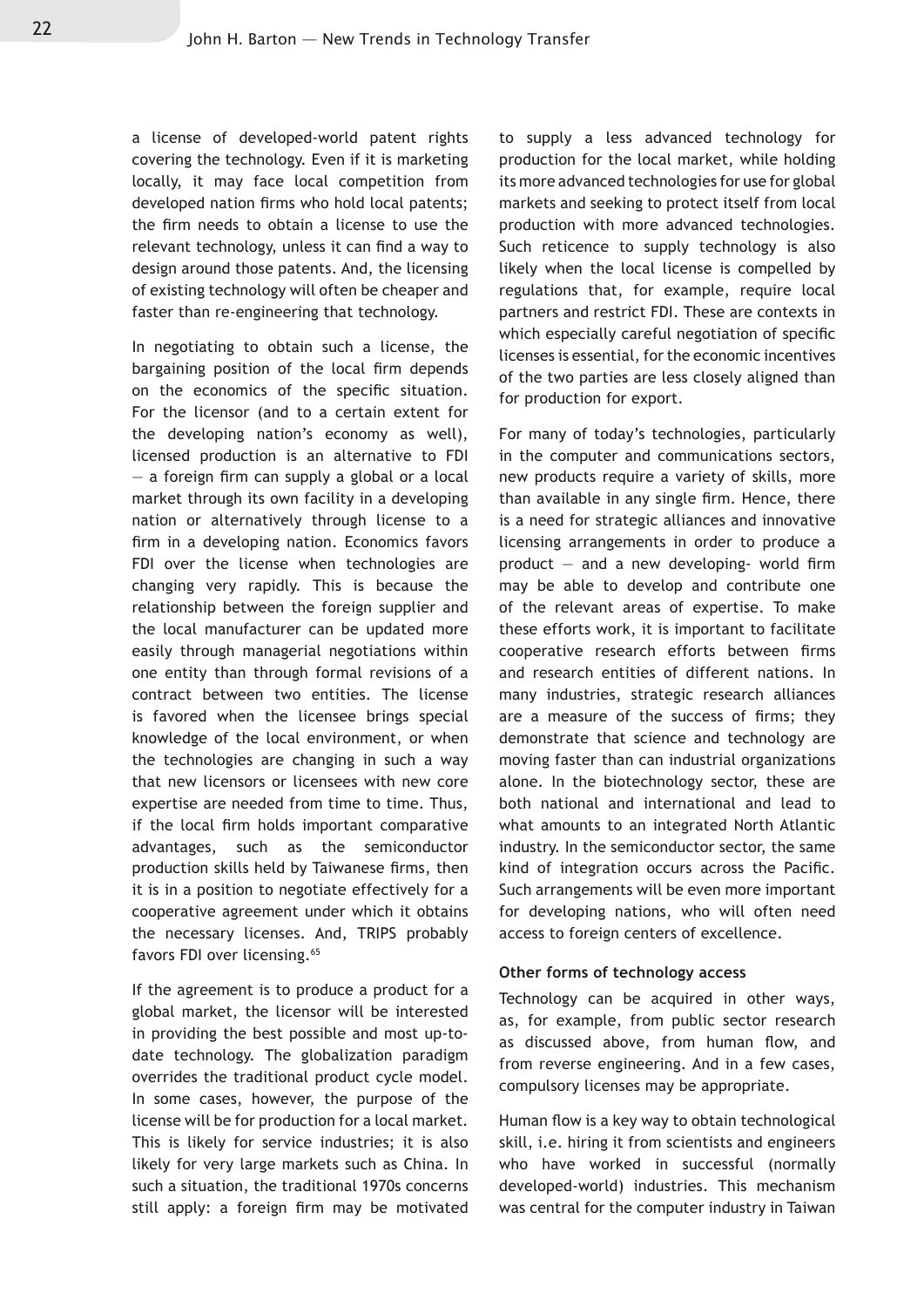a license of developed-world patent rights covering the technology. Even if it is marketing locally, it may face local competition from developed nation firms who hold local patents; the firm needs to obtain a license to use the relevant technology, unless it can find a way to design around those patents. And, the licensing of existing technology will often be cheaper and faster than re-engineering that technology.

In negotiating to obtain such a license, the bargaining position of the local firm depends on the economics of the specific situation. For the licensor (and to a certain extent for the developing nation's economy as well), licensed production is an alternative to FDI — a foreign firm can supply a global or a local market through its own facility in a developing nation or alternatively through license to a firm in a developing nation. Economics favors FDI over the license when technologies are changing very rapidly. This is because the relationship between the foreign supplier and the local manufacturer can be updated more easily through managerial negotiations within one entity than through formal revisions of a contract between two entities. The license is favored when the licensee brings special knowledge of the local environment, or when the technologies are changing in such a way that new licensors or licensees with new core expertise are needed from time to time. Thus, if the local firm holds important comparative advantages, such as the semiconductor production skills held by Taiwanese firms, then it is in a position to negotiate effectively for a cooperative agreement under which it obtains the necessary licenses. And, TRIPS probably favors FDI over licensing.<sup>65</sup>

If the agreement is to produce a product for a global market, the licensor will be interested in providing the best possible and most up-todate technology. The globalization paradigm overrides the traditional product cycle model. In some cases, however, the purpose of the license will be for production for a local market. This is likely for service industries; it is also likely for very large markets such as China. In such a situation, the traditional 1970s concerns still apply: a foreign firm may be motivated to supply a less advanced technology for production for the local market, while holding its more advanced technologies for use for global markets and seeking to protect itself from local production with more advanced technologies. Such reticence to supply technology is also likely when the local license is compelled by regulations that, for example, require local partners and restrict FDI. These are contexts in which especially careful negotiation of specific licenses is essential, for the economic incentives of the two parties are less closely aligned than for production for export.

For many of today's technologies, particularly in the computer and communications sectors, new products require a variety of skills, more than available in any single firm. Hence, there is a need for strategic alliances and innovative licensing arrangements in order to produce a product  $-$  and a new developing- world firm may be able to develop and contribute one of the relevant areas of expertise. To make these efforts work, it is important to facilitate cooperative research efforts between firms and research entities of different nations. In many industries, strategic research alliances are a measure of the success of firms; they demonstrate that science and technology are moving faster than can industrial organizations alone. In the biotechnology sector, these are both national and international and lead to what amounts to an integrated North Atlantic industry. In the semiconductor sector, the same kind of integration occurs across the Pacific. Such arrangements will be even more important for developing nations, who will often need access to foreign centers of excellence.

#### **Other forms of technology access**

Technology can be acquired in other ways, as, for example, from public sector research as discussed above, from human flow, and from reverse engineering. And in a few cases, compulsory licenses may be appropriate.

Human flow is a key way to obtain technological skill, i.e. hiring it from scientists and engineers who have worked in successful (normally developed-world) industries. This mechanism was central for the computer industry in Taiwan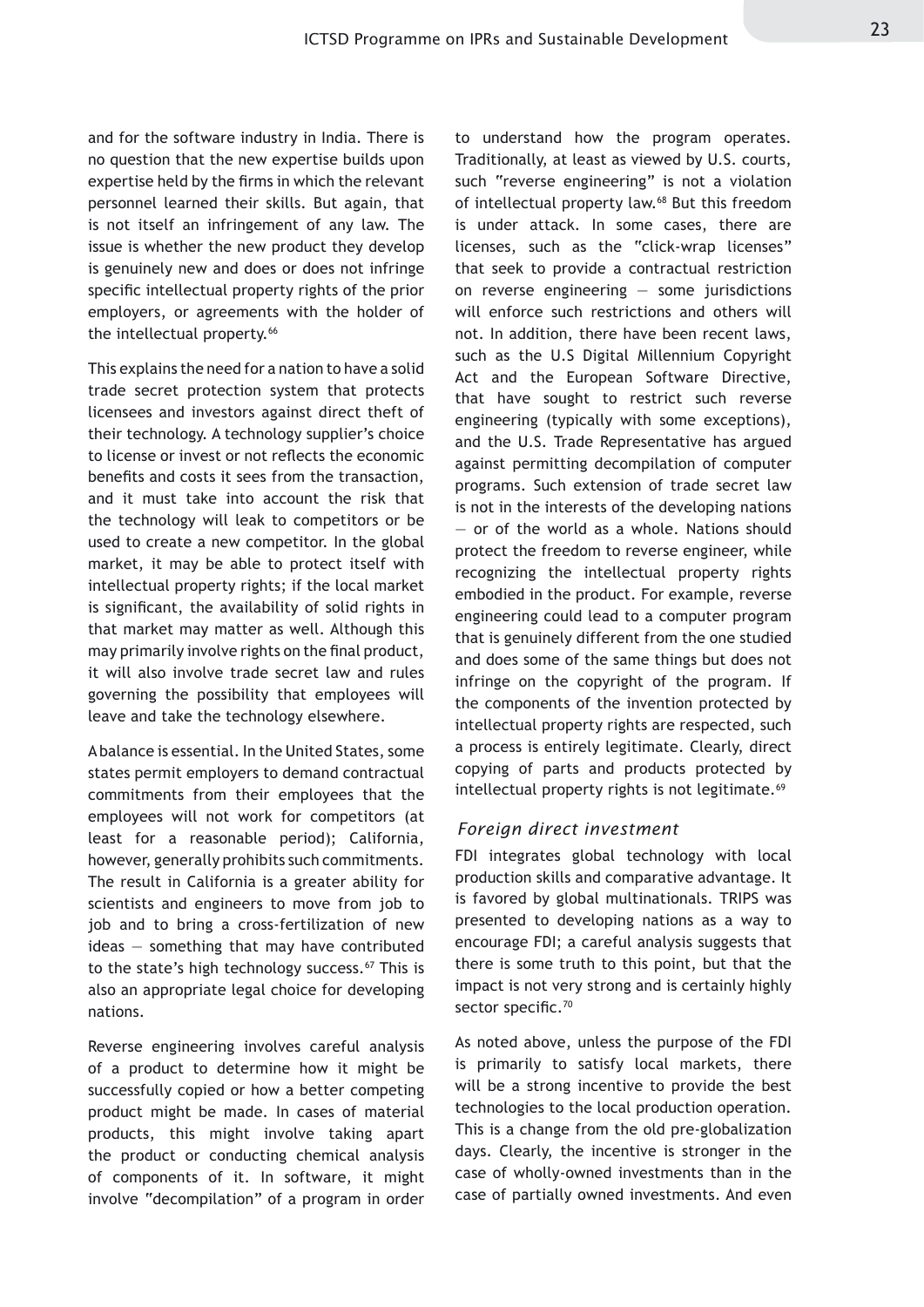and for the software industry in India. There is no question that the new expertise builds upon expertise held by the firms in which the relevant personnel learned their skills. But again, that is not itself an infringement of any law. The issue is whether the new product they develop is genuinely new and does or does not infringe specific intellectual property rights of the prior employers, or agreements with the holder of the intellectual property.<sup>66</sup>

This explains the need for a nation to have a solid trade secret protection system that protects licensees and investors against direct theft of their technology. A technology supplier's choice to license or invest or not reflects the economic benefits and costs it sees from the transaction, and it must take into account the risk that the technology will leak to competitors or be used to create a new competitor. In the global market, it may be able to protect itself with intellectual property rights; if the local market is significant, the availability of solid rights in that market may matter as well. Although this may primarily involve rights on the final product, it will also involve trade secret law and rules governing the possibility that employees will leave and take the technology elsewhere.

A balance is essential. In the United States, some states permit employers to demand contractual commitments from their employees that the employees will not work for competitors (at least for a reasonable period); California, however, generally prohibits such commitments. The result in California is a greater ability for scientists and engineers to move from job to job and to bring a cross-fertilization of new ideas — something that may have contributed to the state's high technology success.<sup>67</sup> This is also an appropriate legal choice for developing nations.

Reverse engineering involves careful analysis of a product to determine how it might be successfully copied or how a better competing product might be made. In cases of material products, this might involve taking apart the product or conducting chemical analysis of components of it. In software, it might involve "decompilation" of a program in order

to understand how the program operates. Traditionally, at least as viewed by U.S. courts, such "reverse engineering" is not a violation of intellectual property law.<sup>68</sup> But this freedom is under attack. In some cases, there are licenses, such as the "click-wrap licenses" that seek to provide a contractual restriction on reverse engineering — some jurisdictions will enforce such restrictions and others will not. In addition, there have been recent laws, such as the U.S Digital Millennium Copyright Act and the European Software Directive, that have sought to restrict such reverse engineering (typically with some exceptions), and the U.S. Trade Representative has argued against permitting decompilation of computer programs. Such extension of trade secret law is not in the interests of the developing nations — or of the world as a whole. Nations should protect the freedom to reverse engineer, while recognizing the intellectual property rights embodied in the product. For example, reverse engineering could lead to a computer program that is genuinely different from the one studied and does some of the same things but does not infringe on the copyright of the program. If the components of the invention protected by intellectual property rights are respected, such a process is entirely legitimate. Clearly, direct copying of parts and products protected by intellectual property rights is not legitimate.<sup>69</sup>

#### *Foreign direct investment*

FDI integrates global technology with local production skills and comparative advantage. It is favored by global multinationals. TRIPS was presented to developing nations as a way to encourage FDI; a careful analysis suggests that there is some truth to this point, but that the impact is not very strong and is certainly highly sector specific.<sup>70</sup>

As noted above, unless the purpose of the FDI is primarily to satisfy local markets, there will be a strong incentive to provide the best technologies to the local production operation. This is a change from the old pre-globalization days. Clearly, the incentive is stronger in the case of wholly-owned investments than in the case of partially owned investments. And even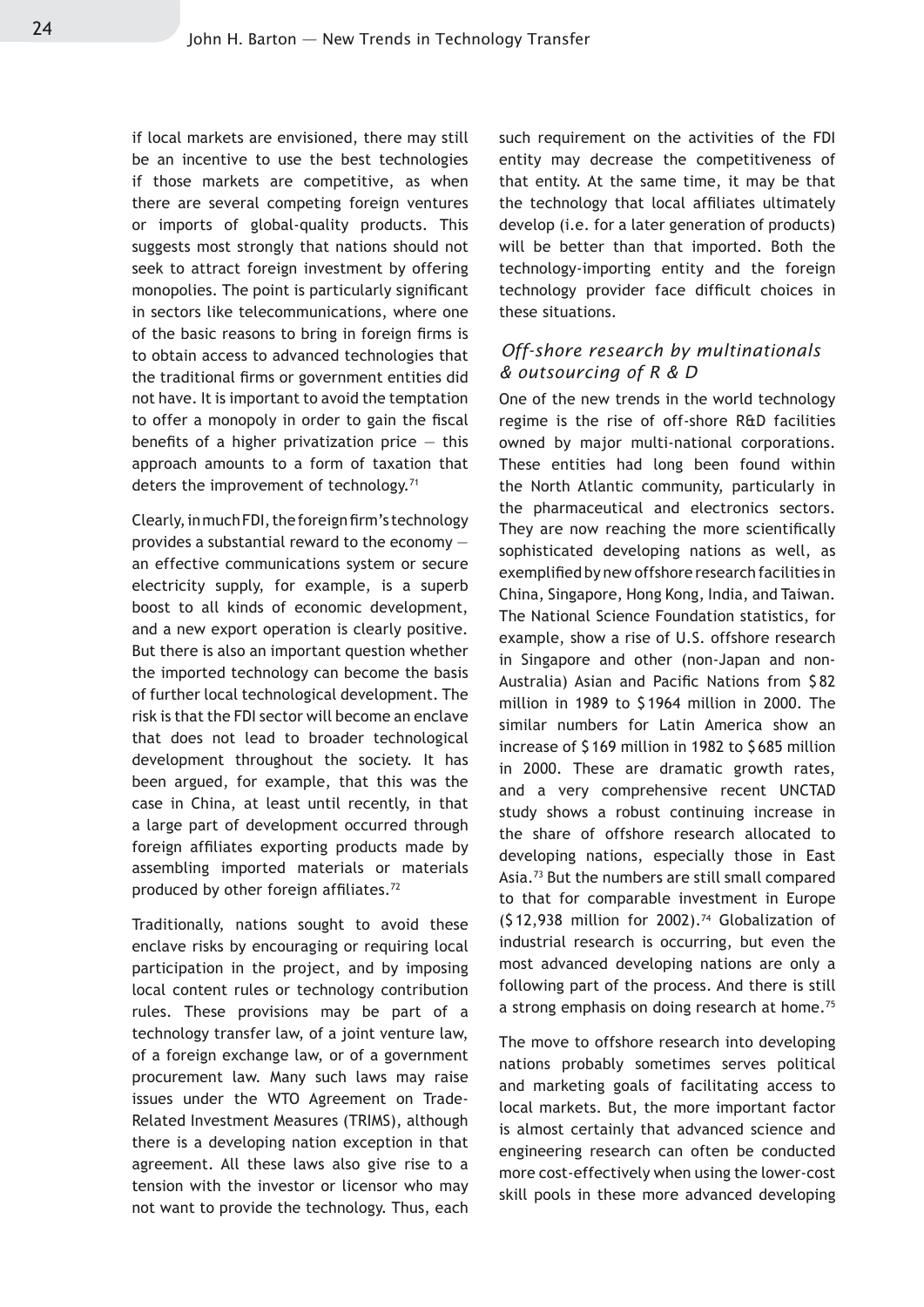if local markets are envisioned, there may still be an incentive to use the best technologies if those markets are competitive, as when there are several competing foreign ventures or imports of global-quality products. This suggests most strongly that nations should not seek to attract foreign investment by offering monopolies. The point is particularly significant in sectors like telecommunications, where one of the basic reasons to bring in foreign firms is to obtain access to advanced technologies that the traditional firms or government entities did not have. It is important to avoid the temptation to offer a monopoly in order to gain the fiscal benefits of a higher privatization price  $-$  this approach amounts to a form of taxation that deters the improvement of technology.<sup>71</sup>

Clearly, in much FDI, the foreign firm's technology provides a substantial reward to the economy an effective communications system or secure electricity supply, for example, is a superb boost to all kinds of economic development, and a new export operation is clearly positive. But there is also an important question whether the imported technology can become the basis of further local technological development. The risk is that the FDI sector will become an enclave that does not lead to broader technological development throughout the society. It has been argued, for example, that this was the case in China, at least until recently, in that a large part of development occurred through foreign affiliates exporting products made by assembling imported materials or materials produced by other foreign affiliates.<sup>72</sup>

Traditionally, nations sought to avoid these enclave risks by encouraging or requiring local participation in the project, and by imposing local content rules or technology contribution rules. These provisions may be part of a technology transfer law, of a joint venture law, of a foreign exchange law, or of a government procurement law. Many such laws may raise issues under the WTO Agreement on Trade-Related Investment Measures (TRIMS), although there is a developing nation exception in that agreement. All these laws also give rise to a tension with the investor or licensor who may not want to provide the technology. Thus, each such requirement on the activities of the FDI entity may decrease the competitiveness of that entity. At the same time, it may be that the technology that local affiliates ultimately develop (i.e. for a later generation of products) will be better than that imported. Both the technology-importing entity and the foreign technology provider face difficult choices in these situations.

#### *Off-shore research by multinationals & outsourcing of R & D*

One of the new trends in the world technology regime is the rise of off-shore R&D facilities owned by major multi-national corporations. These entities had long been found within the North Atlantic community, particularly in the pharmaceutical and electronics sectors. They are now reaching the more scientifically sophisticated developing nations as well, as exemplified by new offshore research facilities in China, Singapore, Hong Kong, India, and Taiwan. The National Science Foundation statistics, for example, show a rise of U.S. offshore research in Singapore and other (non-Japan and non-Australia) Asian and Pacific Nations from \$ 82 million in 1989 to \$ 1964 million in 2000. The similar numbers for Latin America show an increase of \$ 169 million in 1982 to \$ 685 million in 2000. These are dramatic growth rates, and a very comprehensive recent UNCTAD study shows a robust continuing increase in the share of offshore research allocated to developing nations, especially those in East Asia.73 But the numbers are still small compared to that for comparable investment in Europe  $(512,938$  million for 2002).<sup>74</sup> Globalization of industrial research is occurring, but even the most advanced developing nations are only a following part of the process. And there is still a strong emphasis on doing research at home.<sup>75</sup>

The move to offshore research into developing nations probably sometimes serves political and marketing goals of facilitating access to local markets. But, the more important factor is almost certainly that advanced science and engineering research can often be conducted more cost-effectively when using the lower-cost skill pools in these more advanced developing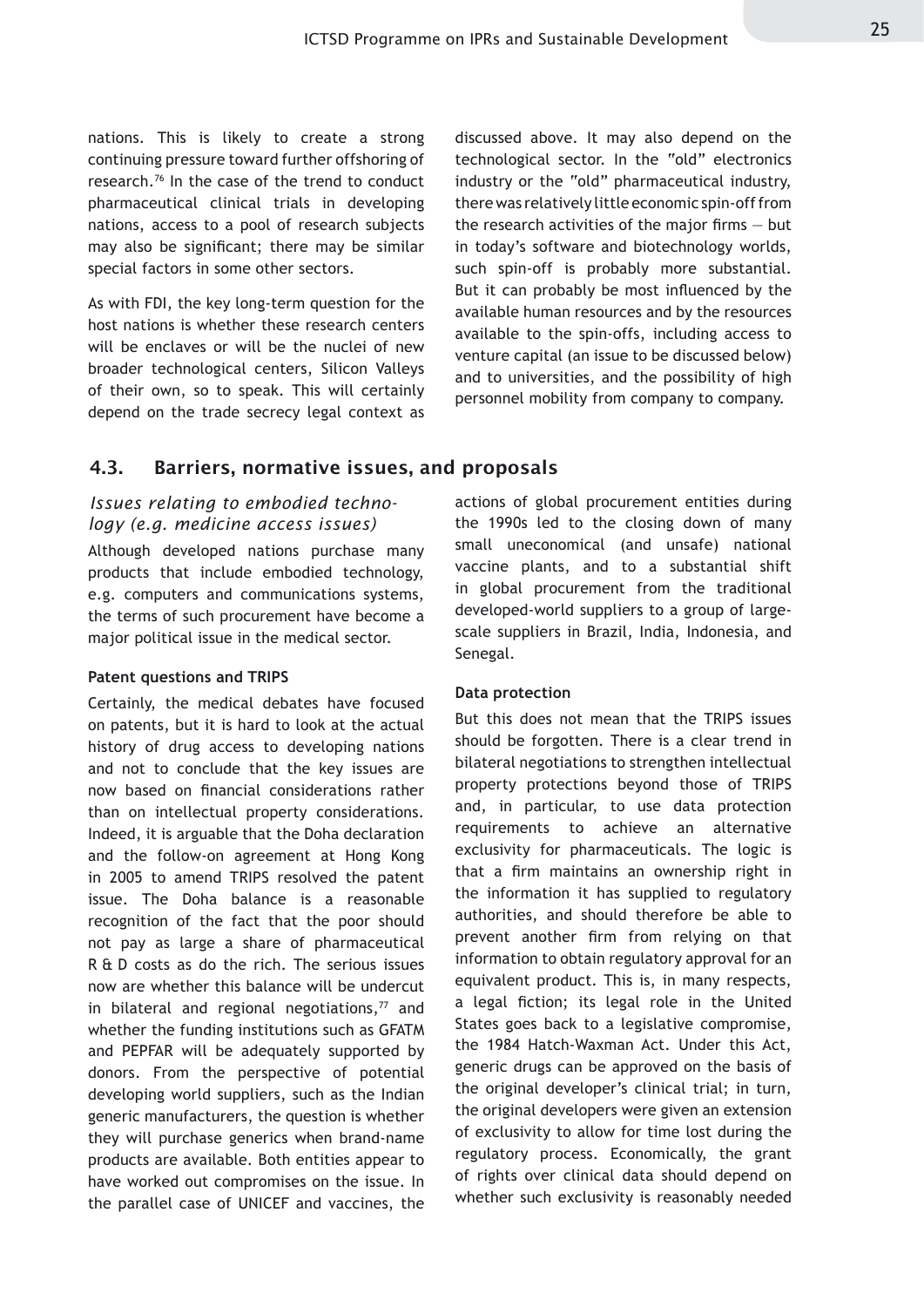nations. This is likely to create a strong continuing pressure toward further offshoring of research.76 In the case of the trend to conduct pharmaceutical clinical trials in developing nations, access to a pool of research subjects may also be significant; there may be similar special factors in some other sectors.

As with FDI, the key long-term question for the host nations is whether these research centers will be enclaves or will be the nuclei of new broader technological centers, Silicon Valleys of their own, so to speak. This will certainly depend on the trade secrecy legal context as discussed above. It may also depend on the technological sector. In the "old" electronics industry or the "old" pharmaceutical industry, there was relatively little economic spin-off from the research activities of the major firms  $-$  but in today's software and biotechnology worlds, such spin-off is probably more substantial. But it can probably be most influenced by the available human resources and by the resources available to the spin-offs, including access to venture capital (an issue to be discussed below) and to universities, and the possibility of high personnel mobility from company to company.

#### 4.3. Barriers, normative issues, and proposals

#### *Issues relating to embodied technology (e.g. medicine access issues)*

Although developed nations purchase many products that include embodied technology, e.g. computers and communications systems, the terms of such procurement have become a major political issue in the medical sector.

#### **Patent questions and TRIPS**

Certainly, the medical debates have focused on patents, but it is hard to look at the actual history of drug access to developing nations and not to conclude that the key issues are now based on financial considerations rather than on intellectual property considerations. Indeed, it is arguable that the Doha declaration and the follow-on agreement at Hong Kong in 2005 to amend TRIPS resolved the patent issue. The Doha balance is a reasonable recognition of the fact that the poor should not pay as large a share of pharmaceutical R & D costs as do the rich. The serious issues now are whether this balance will be undercut in bilateral and regional negotiations, $77$  and whether the funding institutions such as GFATM and PEPFAR will be adequately supported by donors. From the perspective of potential developing world suppliers, such as the Indian generic manufacturers, the question is whether they will purchase generics when brand-name products are available. Both entities appear to have worked out compromises on the issue. In the parallel case of UNICEF and vaccines, the

actions of global procurement entities during the 1990s led to the closing down of many small uneconomical (and unsafe) national vaccine plants, and to a substantial shift in global procurement from the traditional developed-world suppliers to a group of largescale suppliers in Brazil, India, Indonesia, and Senegal.

#### **Data protection**

But this does not mean that the TRIPS issues should be forgotten. There is a clear trend in bilateral negotiations to strengthen intellectual property protections beyond those of TRIPS and, in particular, to use data protection requirements to achieve an alternative exclusivity for pharmaceuticals. The logic is that a firm maintains an ownership right in the information it has supplied to regulatory authorities, and should therefore be able to prevent another firm from relying on that information to obtain regulatory approval for an equivalent product. This is, in many respects, a legal fiction; its legal role in the United States goes back to a legislative compromise, the 1984 Hatch-Waxman Act. Under this Act, generic drugs can be approved on the basis of the original developer's clinical trial; in turn, the original developers were given an extension of exclusivity to allow for time lost during the regulatory process. Economically, the grant of rights over clinical data should depend on whether such exclusivity is reasonably needed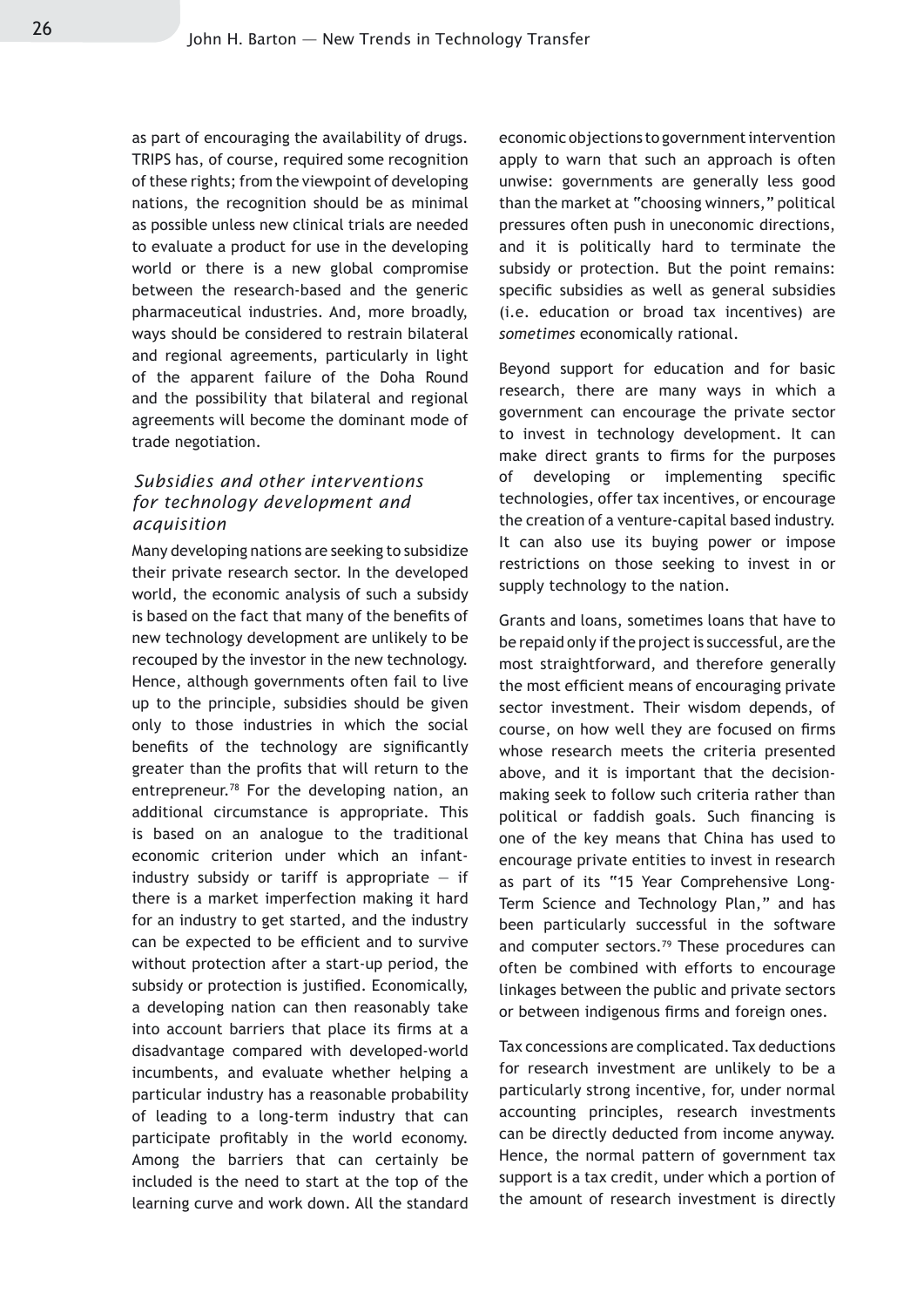as part of encouraging the availability of drugs. TRIPS has, of course, required some recognition of these rights; from the viewpoint of developing nations, the recognition should be as minimal as possible unless new clinical trials are needed to evaluate a product for use in the developing world or there is a new global compromise between the research-based and the generic pharmaceutical industries. And, more broadly, ways should be considered to restrain bilateral and regional agreements, particularly in light of the apparent failure of the Doha Round and the possibility that bilateral and regional agreements will become the dominant mode of trade negotiation.

#### *Subsidies and other interventions for technology development and acquisition*

Many developing nations are seeking to subsidize their private research sector. In the developed world, the economic analysis of such a subsidy is based on the fact that many of the benefits of new technology development are unlikely to be recouped by the investor in the new technology. Hence, although governments often fail to live up to the principle, subsidies should be given only to those industries in which the social benefits of the technology are significantly greater than the profits that will return to the entrepreneur.78 For the developing nation, an additional circumstance is appropriate. This is based on an analogue to the traditional economic criterion under which an infantindustry subsidy or tariff is appropriate  $-$  if there is a market imperfection making it hard for an industry to get started, and the industry can be expected to be efficient and to survive without protection after a start-up period, the subsidy or protection is justified. Economically, a developing nation can then reasonably take into account barriers that place its firms at a disadvantage compared with developed-world incumbents, and evaluate whether helping a particular industry has a reasonable probability of leading to a long-term industry that can participate profitably in the world economy. Among the barriers that can certainly be included is the need to start at the top of the learning curve and work down. All the standard economic objections to government intervention apply to warn that such an approach is often unwise: governments are generally less good than the market at "choosing winners," political pressures often push in uneconomic directions, and it is politically hard to terminate the subsidy or protection. But the point remains: specific subsidies as well as general subsidies (i.e. education or broad tax incentives) are *sometimes* economically rational.

Beyond support for education and for basic research, there are many ways in which a government can encourage the private sector to invest in technology development. It can make direct grants to firms for the purposes of developing or implementing specific technologies, offer tax incentives, or encourage the creation of a venture-capital based industry. It can also use its buying power or impose restrictions on those seeking to invest in or supply technology to the nation.

Grants and loans, sometimes loans that have to be repaid only if the project is successful, are the most straightforward, and therefore generally the most efficient means of encouraging private sector investment. Their wisdom depends, of course, on how well they are focused on firms whose research meets the criteria presented above, and it is important that the decisionmaking seek to follow such criteria rather than political or faddish goals. Such financing is one of the key means that China has used to encourage private entities to invest in research as part of its "15 Year Comprehensive Long-Term Science and Technology Plan," and has been particularly successful in the software and computer sectors.<sup>79</sup> These procedures can often be combined with efforts to encourage linkages between the public and private sectors or between indigenous firms and foreign ones.

Tax concessions are complicated. Tax deductions for research investment are unlikely to be a particularly strong incentive, for, under normal accounting principles, research investments can be directly deducted from income anyway. Hence, the normal pattern of government tax support is a tax credit, under which a portion of the amount of research investment is directly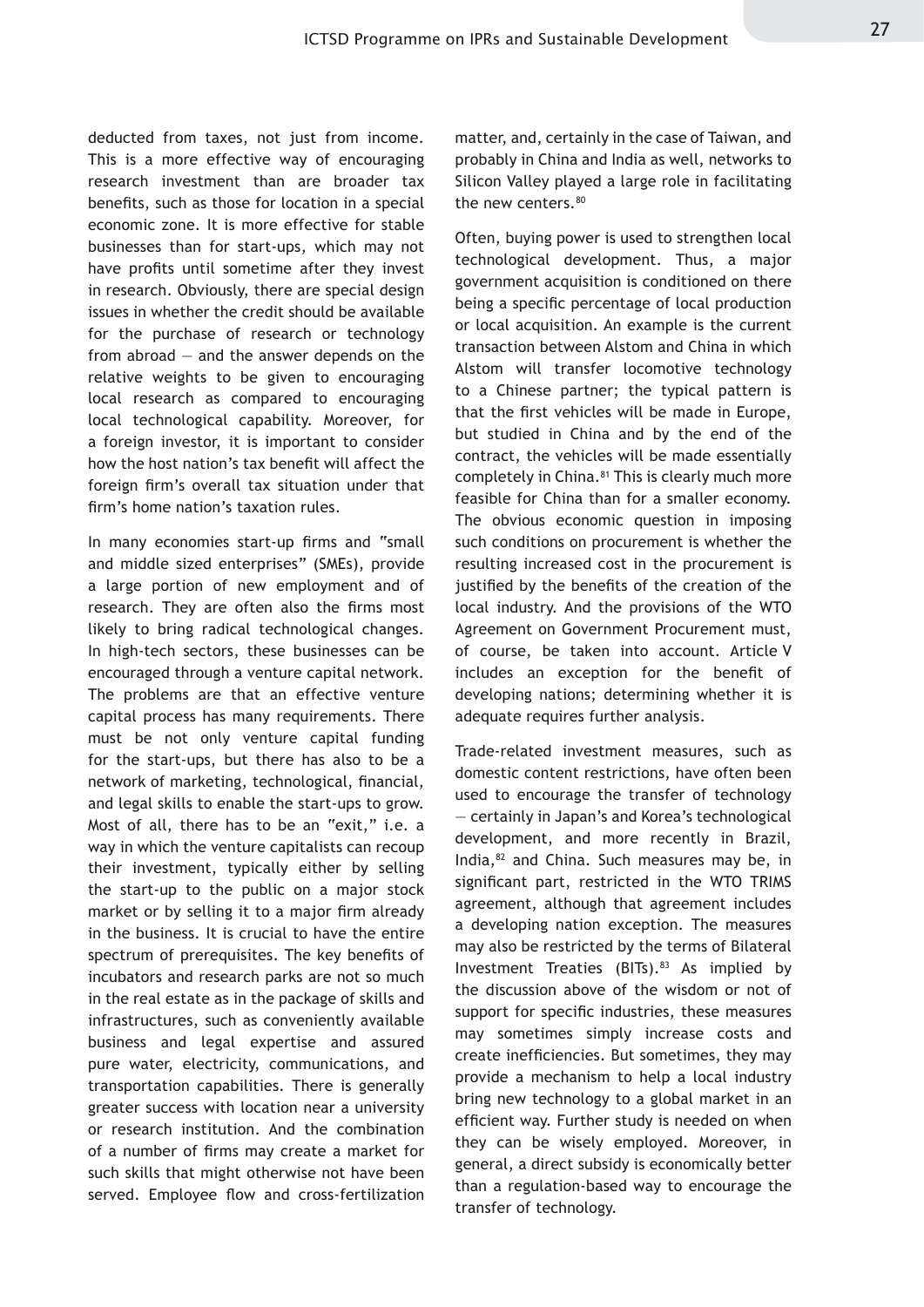deducted from taxes, not just from income. This is a more effective way of encouraging research investment than are broader tax benefits, such as those for location in a special economic zone. It is more effective for stable businesses than for start-ups, which may not have profits until sometime after they invest in research. Obviously, there are special design issues in whether the credit should be available for the purchase of research or technology from abroad — and the answer depends on the relative weights to be given to encouraging local research as compared to encouraging local technological capability. Moreover, for a foreign investor, it is important to consider how the host nation's tax benefit will affect the foreign firm's overall tax situation under that firm's home nation's taxation rules.

In many economies start-up firms and "small and middle sized enterprises" (SMEs), provide a large portion of new employment and of research. They are often also the firms most likely to bring radical technological changes. In high-tech sectors, these businesses can be encouraged through a venture capital network. The problems are that an effective venture capital process has many requirements. There must be not only venture capital funding for the start-ups, but there has also to be a network of marketing, technological, financial, and legal skills to enable the start-ups to grow. Most of all, there has to be an "exit," i.e. a way in which the venture capitalists can recoup their investment, typically either by selling the start-up to the public on a major stock market or by selling it to a major firm already in the business. It is crucial to have the entire spectrum of prerequisites. The key benefits of incubators and research parks are not so much in the real estate as in the package of skills and infrastructures, such as conveniently available business and legal expertise and assured pure water, electricity, communications, and transportation capabilities. There is generally greater success with location near a university or research institution. And the combination of a number of firms may create a market for such skills that might otherwise not have been served. Employee flow and cross-fertilization

matter, and, certainly in the case of Taiwan, and probably in China and India as well, networks to Silicon Valley played a large role in facilitating the new centers.<sup>80</sup>

Often, buying power is used to strengthen local technological development. Thus, a major government acquisition is conditioned on there being a specific percentage of local production or local acquisition. An example is the current transaction between Alstom and China in which Alstom will transfer locomotive technology to a Chinese partner; the typical pattern is that the first vehicles will be made in Europe, but studied in China and by the end of the contract, the vehicles will be made essentially completely in China.<sup>81</sup> This is clearly much more feasible for China than for a smaller economy. The obvious economic question in imposing such conditions on procurement is whether the resulting increased cost in the procurement is justified by the benefits of the creation of the local industry. And the provisions of the WTO Agreement on Government Procurement must, of course, be taken into account. Article V includes an exception for the benefit of developing nations; determining whether it is adequate requires further analysis.

Trade-related investment measures, such as domestic content restrictions, have often been used to encourage the transfer of technology — certainly in Japan's and Korea's technological development, and more recently in Brazil, India,82 and China. Such measures may be, in significant part, restricted in the WTO TRIMS agreement, although that agreement includes a developing nation exception. The measures may also be restricted by the terms of Bilateral Investment Treaties (BITs).<sup>83</sup> As implied by the discussion above of the wisdom or not of support for specific industries, these measures may sometimes simply increase costs and create inefficiencies. But sometimes, they may provide a mechanism to help a local industry bring new technology to a global market in an efficient way. Further study is needed on when they can be wisely employed. Moreover, in general, a direct subsidy is economically better than a regulation-based way to encourage the transfer of technology.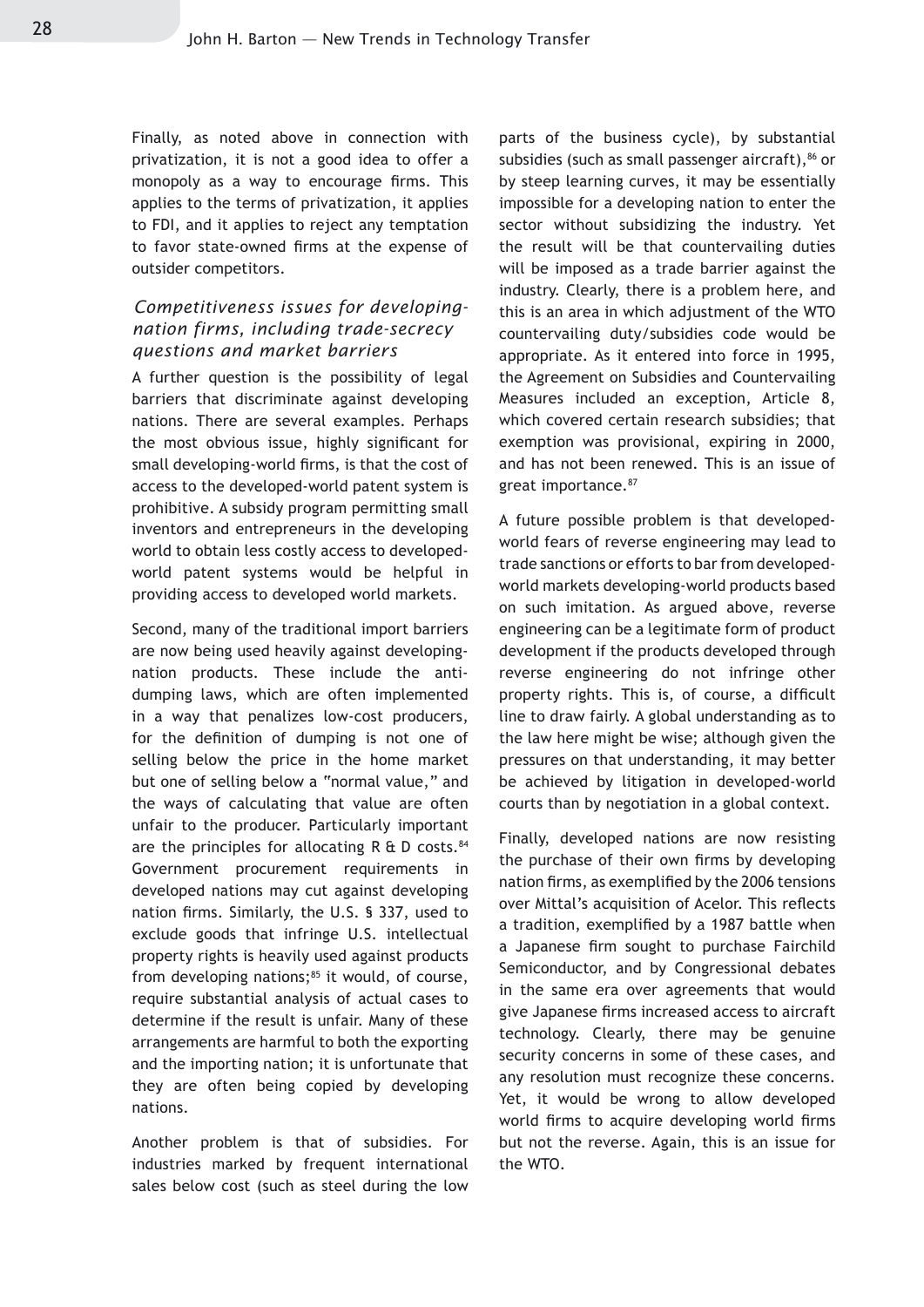Finally, as noted above in connection with privatization, it is not a good idea to offer a monopoly as a way to encourage firms. This applies to the terms of privatization, it applies to FDI, and it applies to reject any temptation to favor state-owned firms at the expense of outsider competitors.

#### *Competitiveness issues for developingnation firms, including trade-secrecy questions and market barriers*

A further question is the possibility of legal barriers that discriminate against developing nations. There are several examples. Perhaps the most obvious issue, highly significant for small developing-world firms, is that the cost of access to the developed-world patent system is prohibitive. A subsidy program permitting small inventors and entrepreneurs in the developing world to obtain less costly access to developedworld patent systems would be helpful in providing access to developed world markets.

Second, many of the traditional import barriers are now being used heavily against developingnation products. These include the antidumping laws, which are often implemented in a way that penalizes low-cost producers, for the definition of dumping is not one of selling below the price in the home market but one of selling below a "normal value," and the ways of calculating that value are often unfair to the producer. Particularly important are the principles for allocating  $R \& D \text{ costs.}^{84}$ Government procurement requirements in developed nations may cut against developing nation firms. Similarly, the U.S. § 337, used to exclude goods that infringe U.S. intellectual property rights is heavily used against products from developing nations; $85$  it would, of course, require substantial analysis of actual cases to determine if the result is unfair. Many of these arrangements are harmful to both the exporting and the importing nation; it is unfortunate that they are often being copied by developing nations.

Another problem is that of subsidies. For industries marked by frequent international sales below cost (such as steel during the low parts of the business cycle), by substantial subsidies (such as small passenger aircraft), $86$  or by steep learning curves, it may be essentially impossible for a developing nation to enter the sector without subsidizing the industry. Yet the result will be that countervailing duties will be imposed as a trade barrier against the industry. Clearly, there is a problem here, and this is an area in which adjustment of the WTO countervailing duty/subsidies code would be appropriate. As it entered into force in 1995, the Agreement on Subsidies and Countervailing Measures included an exception, Article 8, which covered certain research subsidies; that exemption was provisional, expiring in 2000, and has not been renewed. This is an issue of great importance.87

A future possible problem is that developedworld fears of reverse engineering may lead to trade sanctions or efforts to bar from developedworld markets developing-world products based on such imitation. As argued above, reverse engineering can be a legitimate form of product development if the products developed through reverse engineering do not infringe other property rights. This is, of course, a difficult line to draw fairly. A global understanding as to the law here might be wise; although given the pressures on that understanding, it may better be achieved by litigation in developed-world courts than by negotiation in a global context.

Finally, developed nations are now resisting the purchase of their own firms by developing nation firms, as exemplified by the 2006 tensions over Mittal's acquisition of Acelor. This reflects a tradition, exemplified by a 1987 battle when a Japanese firm sought to purchase Fairchild Semiconductor, and by Congressional debates in the same era over agreements that would give Japanese firms increased access to aircraft technology. Clearly, there may be genuine security concerns in some of these cases, and any resolution must recognize these concerns. Yet, it would be wrong to allow developed world firms to acquire developing world firms but not the reverse. Again, this is an issue for the WTO.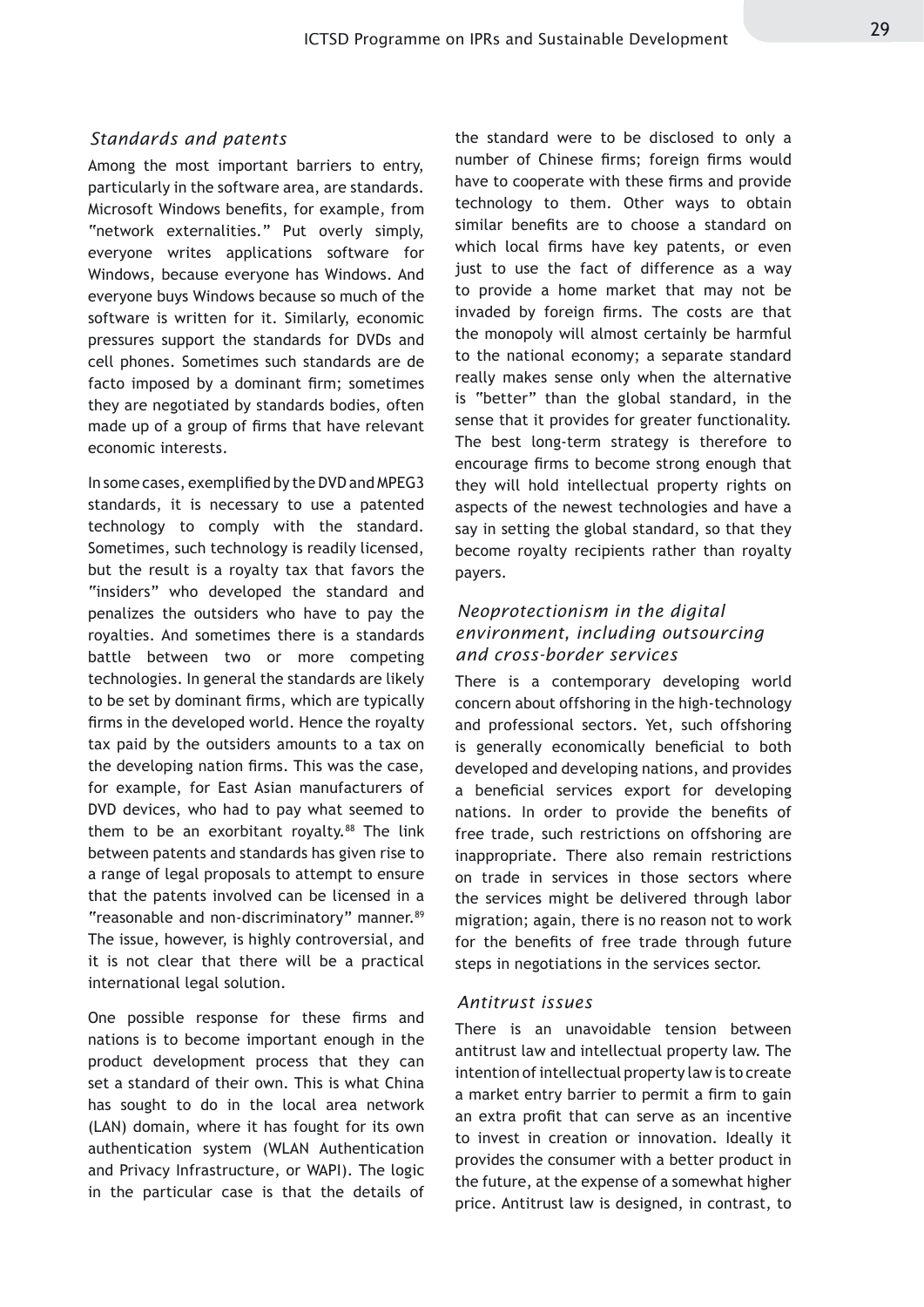#### *Standards and patents*

Among the most important barriers to entry, particularly in the software area, are standards. Microsoft Windows benefits, for example, from "network externalities." Put overly simply, everyone writes applications software for Windows, because everyone has Windows. And everyone buys Windows because so much of the software is written for it. Similarly, economic pressures support the standards for DVDs and cell phones. Sometimes such standards are de facto imposed by a dominant firm; sometimes they are negotiated by standards bodies, often made up of a group of firms that have relevant economic interests.

In some cases, exemplified by the DVD and MPEG3 standards, it is necessary to use a patented technology to comply with the standard. Sometimes, such technology is readily licensed, but the result is a royalty tax that favors the "insiders" who developed the standard and penalizes the outsiders who have to pay the royalties. And sometimes there is a standards battle between two or more competing technologies. In general the standards are likely to be set by dominant firms, which are typically firms in the developed world. Hence the royalty tax paid by the outsiders amounts to a tax on the developing nation firms. This was the case, for example, for East Asian manufacturers of DVD devices, who had to pay what seemed to them to be an exorbitant royalty. $88$  The link between patents and standards has given rise to a range of legal proposals to attempt to ensure that the patents involved can be licensed in a "reasonable and non-discriminatory" manner.<sup>89</sup> The issue, however, is highly controversial, and it is not clear that there will be a practical international legal solution.

One possible response for these firms and nations is to become important enough in the product development process that they can set a standard of their own. This is what China has sought to do in the local area network (LAN) domain, where it has fought for its own authentication system (WLAN Authentication and Privacy Infrastructure, or WAPI). The logic in the particular case is that the details of

the standard were to be disclosed to only a number of Chinese firms; foreign firms would have to cooperate with these firms and provide technology to them. Other ways to obtain similar benefits are to choose a standard on which local firms have key patents, or even just to use the fact of difference as a way to provide a home market that may not be invaded by foreign firms. The costs are that the monopoly will almost certainly be harmful to the national economy; a separate standard really makes sense only when the alternative is "better" than the global standard, in the sense that it provides for greater functionality. The best long-term strategy is therefore to encourage firms to become strong enough that they will hold intellectual property rights on aspects of the newest technologies and have a say in setting the global standard, so that they become royalty recipients rather than royalty payers.

#### *Neoprotectionism in the digital environment, including outsourcing and cross-border services*

There is a contemporary developing world concern about offshoring in the high-technology and professional sectors. Yet, such offshoring is generally economically beneficial to both developed and developing nations, and provides a beneficial services export for developing nations. In order to provide the benefits of free trade, such restrictions on offshoring are inappropriate. There also remain restrictions on trade in services in those sectors where the services might be delivered through labor migration; again, there is no reason not to work for the benefits of free trade through future steps in negotiations in the services sector.

#### *Antitrust issues*

There is an unavoidable tension between antitrust law and intellectual property law. The intention of intellectual property law is to create a market entry barrier to permit a firm to gain an extra profit that can serve as an incentive to invest in creation or innovation. Ideally it provides the consumer with a better product in the future, at the expense of a somewhat higher price. Antitrust law is designed, in contrast, to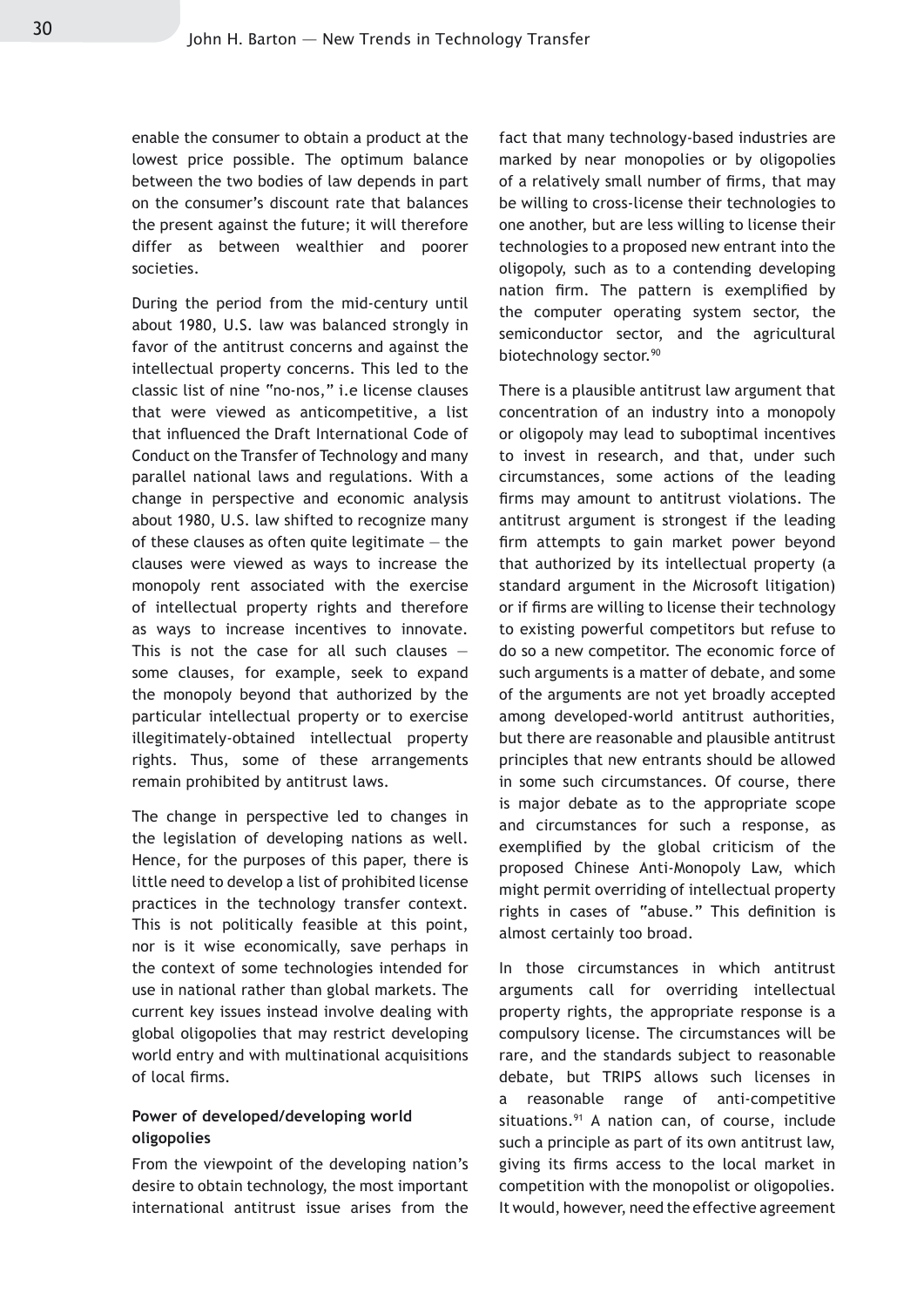enable the consumer to obtain a product at the lowest price possible. The optimum balance between the two bodies of law depends in part on the consumer's discount rate that balances the present against the future; it will therefore differ as between wealthier and poorer societies.

During the period from the mid-century until about 1980, U.S. law was balanced strongly in favor of the antitrust concerns and against the intellectual property concerns. This led to the classic list of nine "no-nos," i.e license clauses that were viewed as anticompetitive, a list that influenced the Draft International Code of Conduct on the Transfer of Technology and many parallel national laws and regulations. With a change in perspective and economic analysis about 1980, U.S. law shifted to recognize many of these clauses as often quite legitimate  $-$  the clauses were viewed as ways to increase the monopoly rent associated with the exercise of intellectual property rights and therefore as ways to increase incentives to innovate. This is not the case for all such clauses  $$ some clauses, for example, seek to expand the monopoly beyond that authorized by the particular intellectual property or to exercise illegitimately-obtained intellectual property rights. Thus, some of these arrangements remain prohibited by antitrust laws.

The change in perspective led to changes in the legislation of developing nations as well. Hence, for the purposes of this paper, there is little need to develop a list of prohibited license practices in the technology transfer context. This is not politically feasible at this point, nor is it wise economically, save perhaps in the context of some technologies intended for use in national rather than global markets. The current key issues instead involve dealing with global oligopolies that may restrict developing world entry and with multinational acquisitions of local firms.

#### **Power of developed/developing world oligopolies**

From the viewpoint of the developing nation's desire to obtain technology, the most important international antitrust issue arises from the fact that many technology-based industries are marked by near monopolies or by oligopolies of a relatively small number of firms, that may be willing to cross-license their technologies to one another, but are less willing to license their technologies to a proposed new entrant into the oligopoly, such as to a contending developing nation firm. The pattern is exemplified by the computer operating system sector, the semiconductor sector, and the agricultural biotechnology sector.<sup>90</sup>

There is a plausible antitrust law argument that concentration of an industry into a monopoly or oligopoly may lead to suboptimal incentives to invest in research, and that, under such circumstances, some actions of the leading firms may amount to antitrust violations. The antitrust argument is strongest if the leading firm attempts to gain market power beyond that authorized by its intellectual property (a standard argument in the Microsoft litigation) or if firms are willing to license their technology to existing powerful competitors but refuse to do so a new competitor. The economic force of such arguments is a matter of debate, and some of the arguments are not yet broadly accepted among developed-world antitrust authorities, but there are reasonable and plausible antitrust principles that new entrants should be allowed in some such circumstances. Of course, there is major debate as to the appropriate scope and circumstances for such a response, as exemplified by the global criticism of the proposed Chinese Anti-Monopoly Law, which might permit overriding of intellectual property rights in cases of "abuse." This definition is almost certainly too broad.

In those circumstances in which antitrust arguments call for overriding intellectual property rights, the appropriate response is a compulsory license. The circumstances will be rare, and the standards subject to reasonable debate, but TRIPS allows such licenses in a reasonable range of anti-competitive situations.<sup>91</sup> A nation can, of course, include such a principle as part of its own antitrust law, giving its firms access to the local market in competition with the monopolist or oligopolies. It would, however, need the effective agreement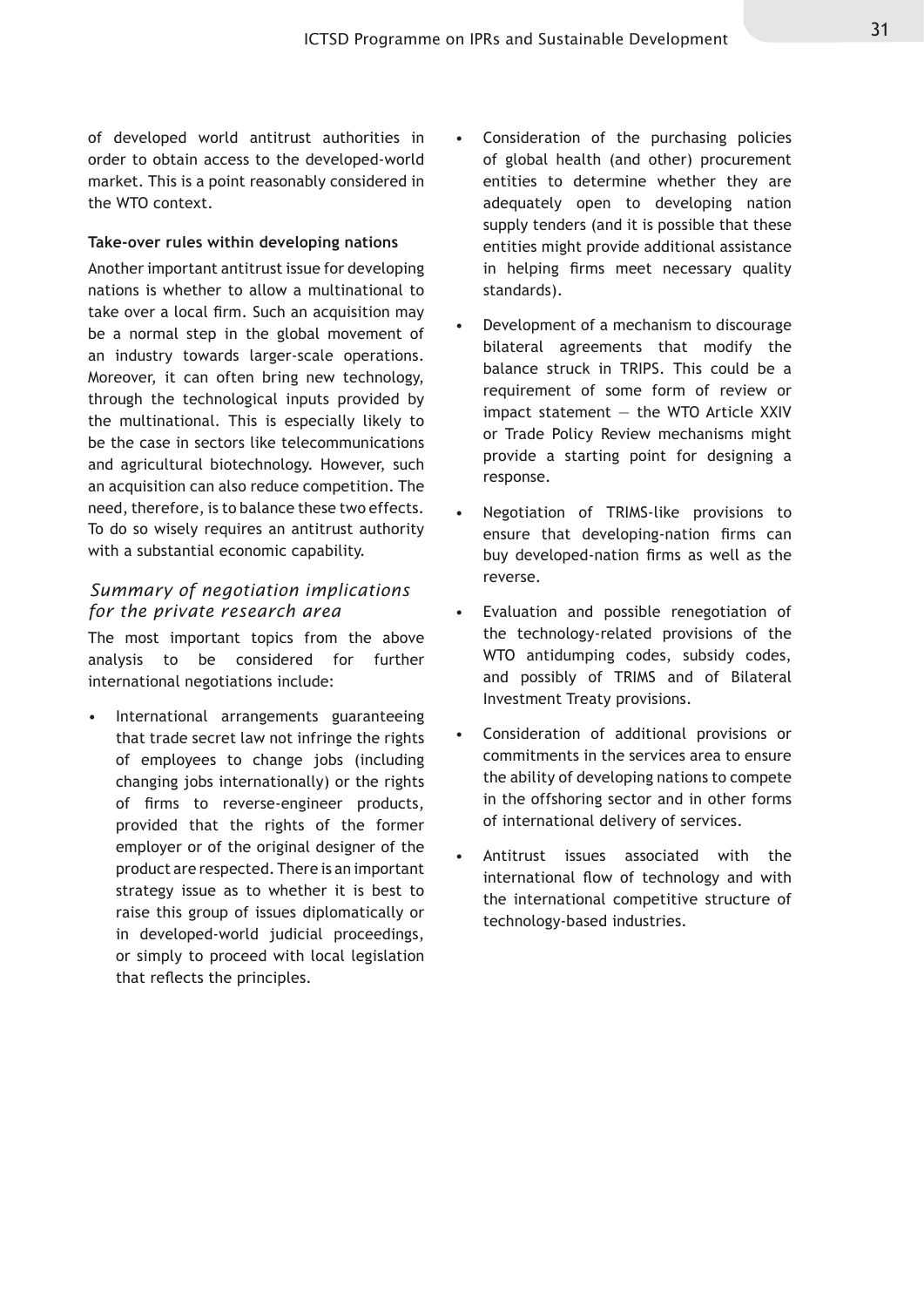of developed world antitrust authorities in order to obtain access to the developed-world market. This is a point reasonably considered in the WTO context.

#### **Take-over rules within developing nations**

Another important antitrust issue for developing nations is whether to allow a multinational to take over a local firm. Such an acquisition may be a normal step in the global movement of an industry towards larger-scale operations. Moreover, it can often bring new technology, through the technological inputs provided by the multinational. This is especially likely to be the case in sectors like telecommunications and agricultural biotechnology. However, such an acquisition can also reduce competition. The need, therefore, is to balance these two effects. To do so wisely requires an antitrust authority with a substantial economic capability.

#### *Summary of negotiation implications for the private research area*

The most important topics from the above analysis to be considered for further international negotiations include:

International arrangements guaranteeing that trade secret law not infringe the rights of employees to change jobs (including changing jobs internationally) or the rights of firms to reverse-engineer products, provided that the rights of the former employer or of the original designer of the product are respected. There is an important strategy issue as to whether it is best to raise this group of issues diplomatically or in developed-world judicial proceedings, or simply to proceed with local legislation that reflects the principles. •

- Consideration of the purchasing policies of global health (and other) procurement entities to determine whether they are adequately open to developing nation supply tenders (and it is possible that these entities might provide additional assistance in helping firms meet necessary quality standards). •
- Development of a mechanism to discourage bilateral agreements that modify the balance struck in TRIPS. This could be a requirement of some form of review or impact statement  $-$  the WTO Article XXIV or Trade Policy Review mechanisms might provide a starting point for designing a response. •
- Negotiation of TRIMS-like provisions to ensure that developing-nation firms can buy developed-nation firms as well as the reverse. •
- Evaluation and possible renegotiation of the technology-related provisions of the WTO antidumping codes, subsidy codes, and possibly of TRIMS and of Bilateral Investment Treaty provisions. •
- Consideration of additional provisions or commitments in the services area to ensure the ability of developing nations to compete in the offshoring sector and in other forms of international delivery of services. •
- Antitrust issues associated with the international flow of technology and with the international competitive structure of technology-based industries. •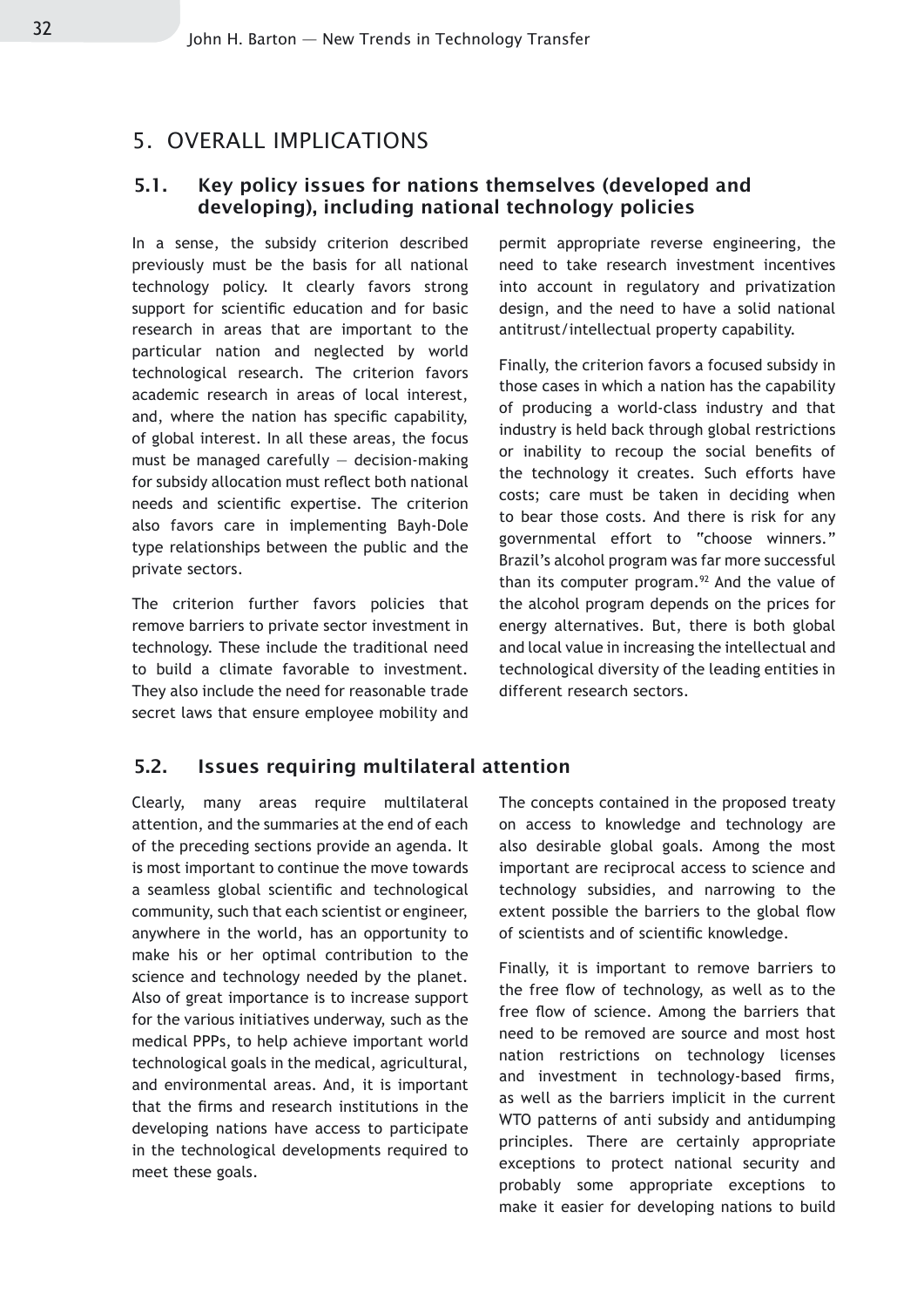#### 5. OVERALL IMPLICATIONS

#### 5.1. Key policy issues for nations themselves (developed and developing), including national technology policies

In a sense, the subsidy criterion described previously must be the basis for all national technology policy. It clearly favors strong support for scientific education and for basic research in areas that are important to the particular nation and neglected by world technological research. The criterion favors academic research in areas of local interest, and, where the nation has specific capability, of global interest. In all these areas, the focus must be managed carefully  $-$  decision-making for subsidy allocation must reflect both national needs and scientific expertise. The criterion also favors care in implementing Bayh-Dole type relationships between the public and the private sectors.

The criterion further favors policies that remove barriers to private sector investment in technology. These include the traditional need to build a climate favorable to investment. They also include the need for reasonable trade secret laws that ensure employee mobility and permit appropriate reverse engineering, the need to take research investment incentives into account in regulatory and privatization design, and the need to have a solid national antitrust/intellectual property capability.

Finally, the criterion favors a focused subsidy in those cases in which a nation has the capability of producing a world-class industry and that industry is held back through global restrictions or inability to recoup the social benefits of the technology it creates. Such efforts have costs; care must be taken in deciding when to bear those costs. And there is risk for any governmental effort to "choose winners." Brazil's alcohol program was far more successful than its computer program.<sup>92</sup> And the value of the alcohol program depends on the prices for energy alternatives. But, there is both global and local value in increasing the intellectual and technological diversity of the leading entities in different research sectors.

#### 5.2. Issues requiring multilateral attention

Clearly, many areas require multilateral attention, and the summaries at the end of each of the preceding sections provide an agenda. It is most important to continue the move towards a seamless global scientific and technological community, such that each scientist or engineer, anywhere in the world, has an opportunity to make his or her optimal contribution to the science and technology needed by the planet. Also of great importance is to increase support for the various initiatives underway, such as the medical PPPs, to help achieve important world technological goals in the medical, agricultural, and environmental areas. And, it is important that the firms and research institutions in the developing nations have access to participate in the technological developments required to meet these goals.

The concepts contained in the proposed treaty on access to knowledge and technology are also desirable global goals. Among the most important are reciprocal access to science and technology subsidies, and narrowing to the extent possible the barriers to the global flow of scientists and of scientific knowledge.

Finally, it is important to remove barriers to the free flow of technology, as well as to the free flow of science. Among the barriers that need to be removed are source and most host nation restrictions on technology licenses and investment in technology-based firms, as well as the barriers implicit in the current WTO patterns of anti subsidy and antidumping principles. There are certainly appropriate exceptions to protect national security and probably some appropriate exceptions to make it easier for developing nations to build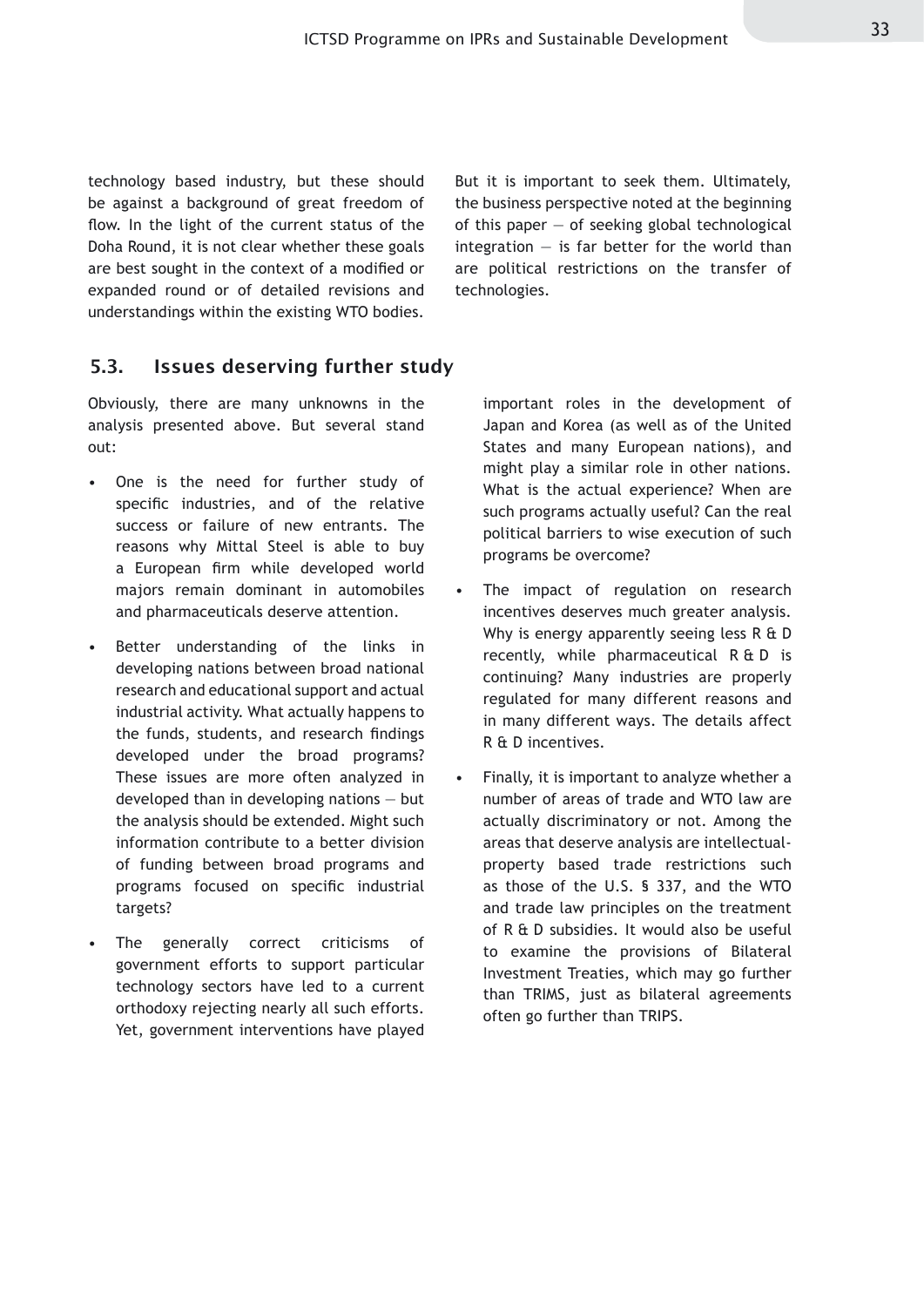technology based industry, but these should be against a background of great freedom of flow. In the light of the current status of the Doha Round, it is not clear whether these goals are best sought in the context of a modified or expanded round or of detailed revisions and understandings within the existing WTO bodies.

But it is important to seek them. Ultimately, the business perspective noted at the beginning of this paper  $-$  of seeking global technological integration  $-$  is far better for the world than are political restrictions on the transfer of technologies.

#### 5.3. Issues deserving further study

Obviously, there are many unknowns in the analysis presented above. But several stand out:

- One is the need for further study of specific industries, and of the relative success or failure of new entrants. The reasons why Mittal Steel is able to buy a European firm while developed world majors remain dominant in automobiles and pharmaceuticals deserve attention.
- Better understanding of the links in developing nations between broad national research and educational support and actual industrial activity. What actually happens to the funds, students, and research findings developed under the broad programs? These issues are more often analyzed in developed than in developing nations — but the analysis should be extended. Might such information contribute to a better division of funding between broad programs and programs focused on specific industrial targets? •
- The generally correct criticisms of government efforts to support particular technology sectors have led to a current orthodoxy rejecting nearly all such efforts. Yet, government interventions have played •

important roles in the development of Japan and Korea (as well as of the United States and many European nations), and might play a similar role in other nations. What is the actual experience? When are such programs actually useful? Can the real political barriers to wise execution of such programs be overcome?

- The impact of regulation on research incentives deserves much greater analysis. Why is energy apparently seeing less R & D recently, while pharmaceutical R & D is continuing? Many industries are properly regulated for many different reasons and in many different ways. The details affect R & D incentives. •
- Finally, it is important to analyze whether a number of areas of trade and WTO law are actually discriminatory or not. Among the areas that deserve analysis are intellectualproperty based trade restrictions such as those of the U.S. § 337, and the WTO and trade law principles on the treatment of R & D subsidies. It would also be useful to examine the provisions of Bilateral Investment Treaties, which may go further than TRIMS, just as bilateral agreements often go further than TRIPS. •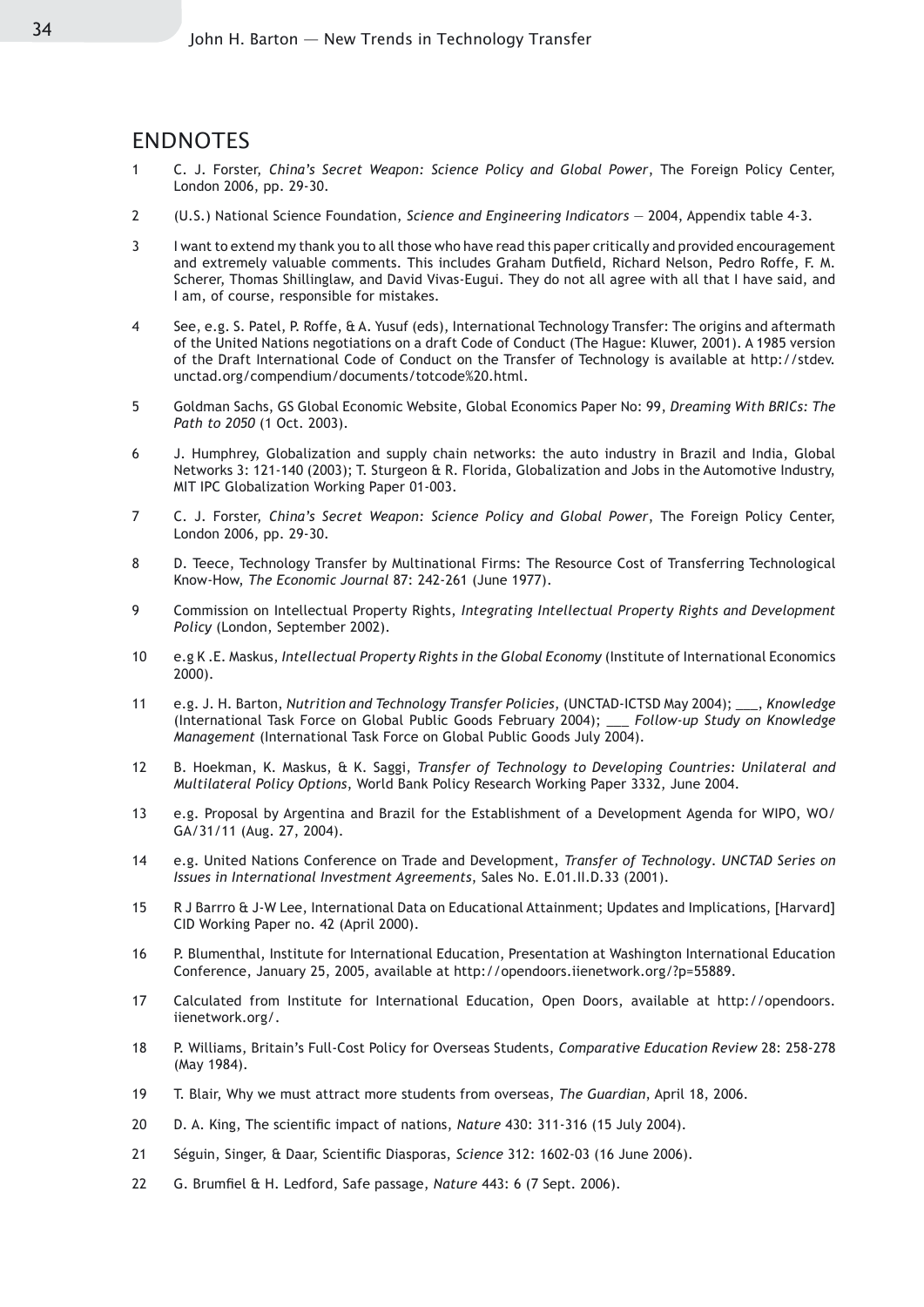#### ENDNOTES

- 1 C. J. Forster, *China's Secret Weapon: Science Policy and Global Power*, The Foreign Policy Center, London 2006, pp. 29-30.
- 2 (U.S.) National Science Foundation, *Science and Engineering Indicators* 2004, Appendix table 4-3.
- 3 I want to extend my thank you to all those who have read this paper critically and provided encouragement and extremely valuable comments. This includes Graham Dutfield, Richard Nelson, Pedro Roffe, F. M. Scherer, Thomas Shillinglaw, and David Vivas-Eugui. They do not all agree with all that I have said, and I am, of course, responsible for mistakes.
- 4 See, e.g. S. Patel, P. Roffe, & A. Yusuf (eds), International Technology Transfer: The origins and aftermath of the United Nations negotiations on a draft Code of Conduct (The Hague: Kluwer, 2001). A 1985 version of the Draft International Code of Conduct on the Transfer of Technology is available at http://stdev. unctad.org/compendium/documents/totcode%20.html.
- 5 Goldman Sachs, GS Global Economic Website, Global Economics Paper No: 99, *Dreaming With BRICs: The Path to 2050* (1 Oct. 2003).
- 6 J. Humphrey, Globalization and supply chain networks: the auto industry in Brazil and India, Global Networks 3: 121-140 (2003); T. Sturgeon & R. Florida, Globalization and Jobs in the Automotive Industry, MIT IPC Globalization Working Paper 01-003.
- 7 C. J. Forster, *China's Secret Weapon: Science Policy and Global Power*, The Foreign Policy Center, London 2006, pp. 29-30.
- 8 D. Teece, Technology Transfer by Multinational Firms: The Resource Cost of Transferring Technological Know-How, *The Economic Journal* 87: 242-261 (June 1977).
- 9 Commission on Intellectual Property Rights, *Integrating Intellectual Property Rights and Development Policy* (London, September 2002).
- 10 e.g K .E. Maskus, *Intellectual Property Rights in the Global Economy* (Institute of International Economics 2000).
- 11 e.g. J. H. Barton, *Nutrition and Technology Transfer Policies*, (UNCTAD-ICTSD May 2004); \_\_\_, *Knowledge* (International Task Force on Global Public Goods February 2004); \_\_\_ *Follow-up Study on Knowledge Management* (International Task Force on Global Public Goods July 2004).
- 12 B. Hoekman, K. Maskus, & K. Saggi, *Transfer of Technology to Developing Countries: Unilateral and Multilateral Policy Options*, World Bank Policy Research Working Paper 3332, June 2004.
- 13 e.g. Proposal by Argentina and Brazil for the Establishment of a Development Agenda for WIPO, WO/ GA/31/11 (Aug. 27, 2004).
- 14 e.g. United Nations Conference on Trade and Development, *Transfer of Technology*. *UNCTAD Series on Issues in International Investment Agreements*, Sales No. E.01.II.D.33 (2001).
- 15 R J Barrro & J-W Lee, International Data on Educational Attainment; Updates and Implications, [Harvard] CID Working Paper no. 42 (April 2000).
- 16 P. Blumenthal, Institute for International Education, Presentation at Washington International Education Conference, January 25, 2005, available at http://opendoors.iienetwork.org/?p=55889.
- 17 Calculated from Institute for International Education, Open Doors, available at http://opendoors. iienetwork.org/.
- 18 P. Williams, Britain's Full-Cost Policy for Overseas Students, *Comparative Education Review* 28: 258-278 (May 1984).
- 19 T. Blair, Why we must attract more students from overseas, *The Guardian*, April 18, 2006.
- 20 D. A. King, The scientific impact of nations, *Nature* 430: 311-316 (15 July 2004).
- 21 Séguin, Singer, & Daar, Scientific Diasporas, *Science* 312: 1602-03 (16 June 2006).
- 22 G. Brumfiel & H. Ledford, Safe passage, *Nature* 443: 6 (7 Sept. 2006).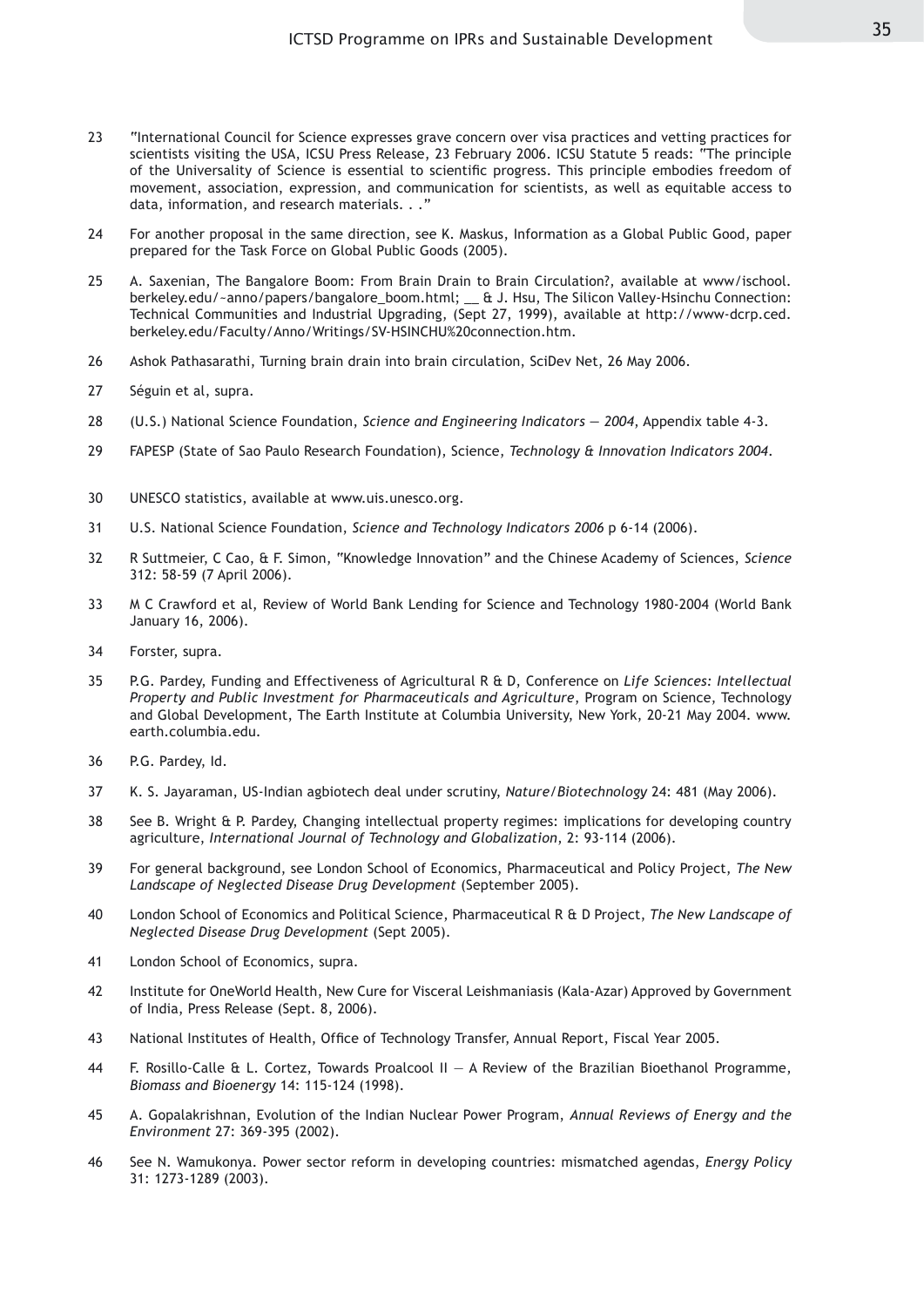- 23 "International Council for Science expresses grave concern over visa practices and vetting practices for scientists visiting the USA, ICSU Press Release, 23 February 2006. ICSU Statute 5 reads: "The principle of the Universality of Science is essential to scientific progress. This principle embodies freedom of movement, association, expression, and communication for scientists, as well as equitable access to data, information, and research materials. . ."
- 24 For another proposal in the same direction, see K. Maskus, Information as a Global Public Good, paper prepared for the Task Force on Global Public Goods (2005).
- 25 A. Saxenian, The Bangalore Boom: From Brain Drain to Brain Circulation?, available at www/ischool. berkeley.edu/~anno/papers/bangalore\_boom.html; \_\_ & J. Hsu, The Silicon Valley-Hsinchu Connection: Technical Communities and Industrial Upgrading, (Sept 27, 1999), available at http://www-dcrp.ced. berkeley.edu/Faculty/Anno/Writings/SV-HSINCHU%20connection.htm.
- 26 Ashok Pathasarathi, Turning brain drain into brain circulation, SciDev Net, 26 May 2006.
- 27 Séguin et al, supra.
- 28 (U.S.) National Science Foundation, *Science and Engineering Indicators 2004*, Appendix table 4-3.
- 29 FAPESP (State of Sao Paulo Research Foundation), Science, *Technology & Innovation Indicators 2004*.
- 30 UNESCO statistics, available at www.uis.unesco.org.
- 31 U.S. National Science Foundation, *Science and Technology Indicators 2006* p 6-14 (2006).
- 32 R Suttmeier, C Cao, & F. Simon, "Knowledge Innovation" and the Chinese Academy of Sciences, *Science*  312: 58-59 (7 April 2006).
- 33 M C Crawford et al, Review of World Bank Lending for Science and Technology 1980-2004 (World Bank January 16, 2006).
- 34 Forster, supra.
- 35 P.G. Pardey, Funding and Effectiveness of Agricultural R & D, Conference on *Life Sciences: Intellectual Property and Public Investment for Pharmaceuticals and Agriculture*, Program on Science, Technology and Global Development, The Earth Institute at Columbia University, New York, 20-21 May 2004. www. earth.columbia.edu.
- 36 P.G. Pardey, Id.
- 37 K. S. Jayaraman, US-Indian agbiotech deal under scrutiny, *Nature/Biotechnology* 24: 481 (May 2006).
- 38 See B. Wright & P. Pardey, Changing intellectual property regimes: implications for developing country agriculture, *International Journal of Technology and Globalization*, 2: 93-114 (2006).
- 39 For general background, see London School of Economics, Pharmaceutical and Policy Project, *The New Landscape of Neglected Disease Drug Development* (September 2005).
- 40 London School of Economics and Political Science, Pharmaceutical R & D Project, *The New Landscape of Neglected Disease Drug Development* (Sept 2005).
- 41 London School of Economics, supra.
- 42 Institute for OneWorld Health, New Cure for Visceral Leishmaniasis (Kala-Azar) Approved by Government of India, Press Release (Sept. 8, 2006).
- 43 National Institutes of Health, Office of Technology Transfer, Annual Report, Fiscal Year 2005.
- 44 F. Rosillo-Calle & L. Cortez, Towards Proalcool II A Review of the Brazilian Bioethanol Programme, *Biomass and Bioenergy* 14: 115-124 (1998).
- 45 A. Gopalakrishnan, Evolution of the Indian Nuclear Power Program, *Annual Reviews of Energy and the Environment* 27: 369-395 (2002).
- 46 See N. Wamukonya. Power sector reform in developing countries: mismatched agendas, *Energy Policy*  31: 1273-1289 (2003).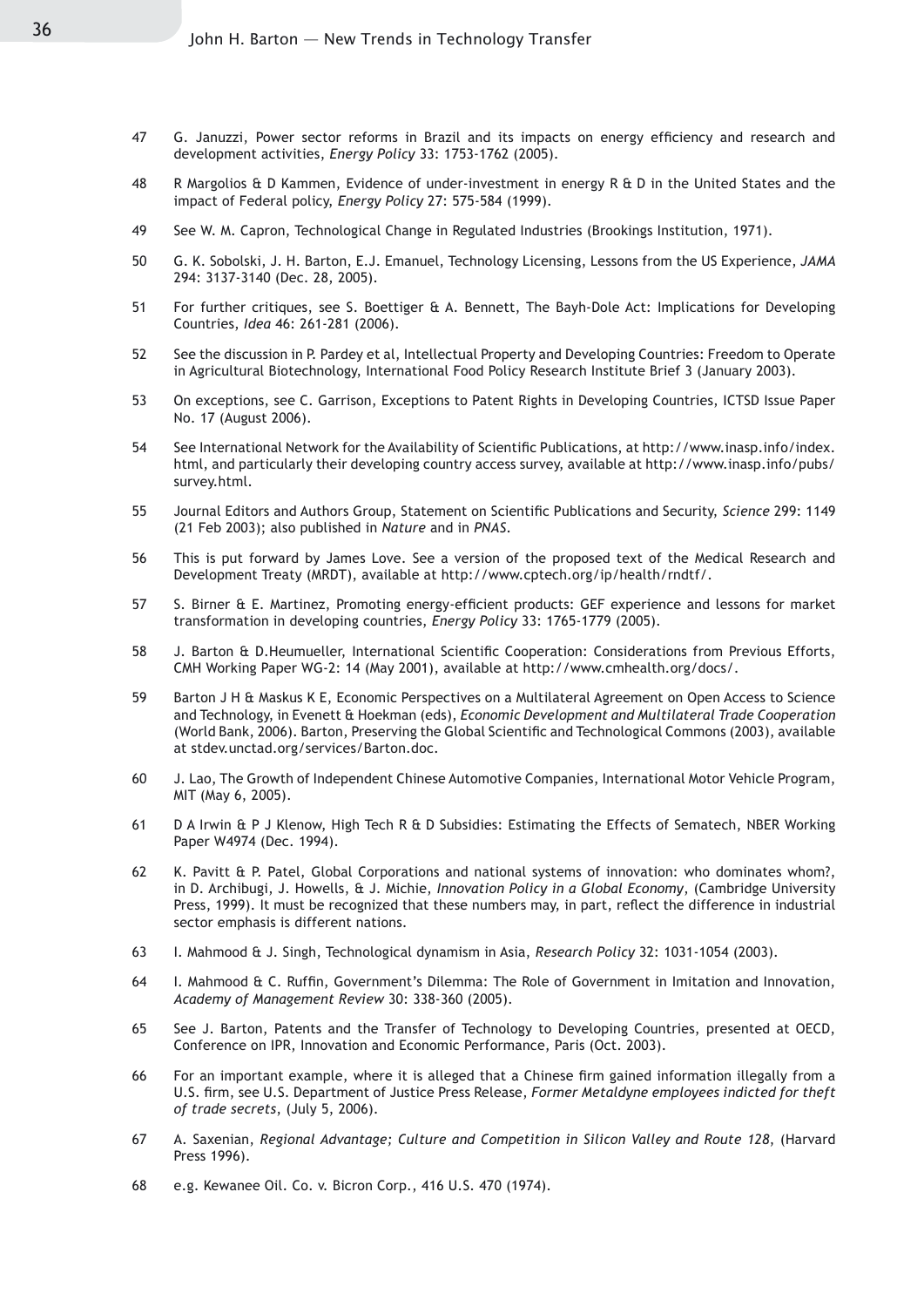- 47 G. Januzzi, Power sector reforms in Brazil and its impacts on energy efficiency and research and development activities, *Energy Policy* 33: 1753-1762 (2005).
- 48 R Margolios & D Kammen, Evidence of under-investment in energy R & D in the United States and the impact of Federal policy, *Energy Policy* 27: 575-584 (1999).
- 49 See W. M. Capron, Technological Change in Regulated Industries (Brookings Institution, 1971).
- 50 G. K. Sobolski, J. H. Barton, E.J. Emanuel, Technology Licensing, Lessons from the US Experience, *JAMA* 294: 3137-3140 (Dec. 28, 2005).
- 51 For further critiques, see S. Boettiger & A. Bennett, The Bayh-Dole Act: Implications for Developing Countries, *Idea* 46: 261-281 (2006).
- 52 See the discussion in P. Pardey et al, Intellectual Property and Developing Countries: Freedom to Operate in Agricultural Biotechnology, International Food Policy Research Institute Brief 3 (January 2003).
- 53 On exceptions, see C. Garrison, Exceptions to Patent Rights in Developing Countries, ICTSD Issue Paper No. 17 (August 2006).
- 54 See International Network for the Availability of Scientific Publications, at http://www.inasp.info/index. html, and particularly their developing country access survey, available at http://www.inasp.info/pubs/ survey.html.
- 55 Journal Editors and Authors Group, Statement on Scientific Publications and Security, *Science* 299: 1149 (21 Feb 2003); also published in *Nature* and in *PNAS*.
- 56 This is put forward by James Love. See a version of the proposed text of the Medical Research and Development Treaty (MRDT), available at http://www.cptech.org/ip/health/rndtf/.
- 57 S. Birner & E. Martinez, Promoting energy-efficient products: GEF experience and lessons for market transformation in developing countries, *Energy Policy* 33: 1765-1779 (2005).
- 58 J. Barton & D.Heumueller, International Scientific Cooperation: Considerations from Previous Efforts, CMH Working Paper WG-2: 14 (May 2001), available at http://www.cmhealth.org/docs/.
- 59 Barton J H & Maskus K E, Economic Perspectives on a Multilateral Agreement on Open Access to Science and Technology, in Evenett & Hoekman (eds), *Economic Development and Multilateral Trade Cooperation*  (World Bank, 2006). Barton, Preserving the Global Scientific and Technological Commons (2003), available at stdev.unctad.org/services/Barton.doc.
- 60 J. Lao, The Growth of Independent Chinese Automotive Companies, International Motor Vehicle Program, MIT (May 6, 2005).
- 61 D A Irwin & P J Klenow, High Tech R & D Subsidies: Estimating the Effects of Sematech, NBER Working Paper W4974 (Dec. 1994).
- 62 K. Pavitt & P. Patel, Global Corporations and national systems of innovation: who dominates whom?, in D. Archibugi, J. Howells, & J. Michie, *Innovation Policy in a Global Economy*, (Cambridge University Press, 1999). It must be recognized that these numbers may, in part, reflect the difference in industrial sector emphasis is different nations.
- 63 I. Mahmood & J. Singh, Technological dynamism in Asia, *Research Policy* 32: 1031-1054 (2003).
- 64 I. Mahmood & C. Ruffin, Government's Dilemma: The Role of Government in Imitation and Innovation, *Academy of Management Review* 30: 338-360 (2005).
- 65 See J. Barton, Patents and the Transfer of Technology to Developing Countries, presented at OECD, Conference on IPR, Innovation and Economic Performance, Paris (Oct. 2003).
- 66 For an important example, where it is alleged that a Chinese firm gained information illegally from a U.S. firm, see U.S. Department of Justice Press Release, *Former Metaldyne employees indicted for theft of trade secrets*, (July 5, 2006).
- 67 A. Saxenian, *Regional Advantage; Culture and Competition in Silicon Valley and Route 128*, (Harvard Press 1996).
- 68 e.g. Kewanee Oil. Co. v. Bicron Corp., 416 U.S. 470 (1974).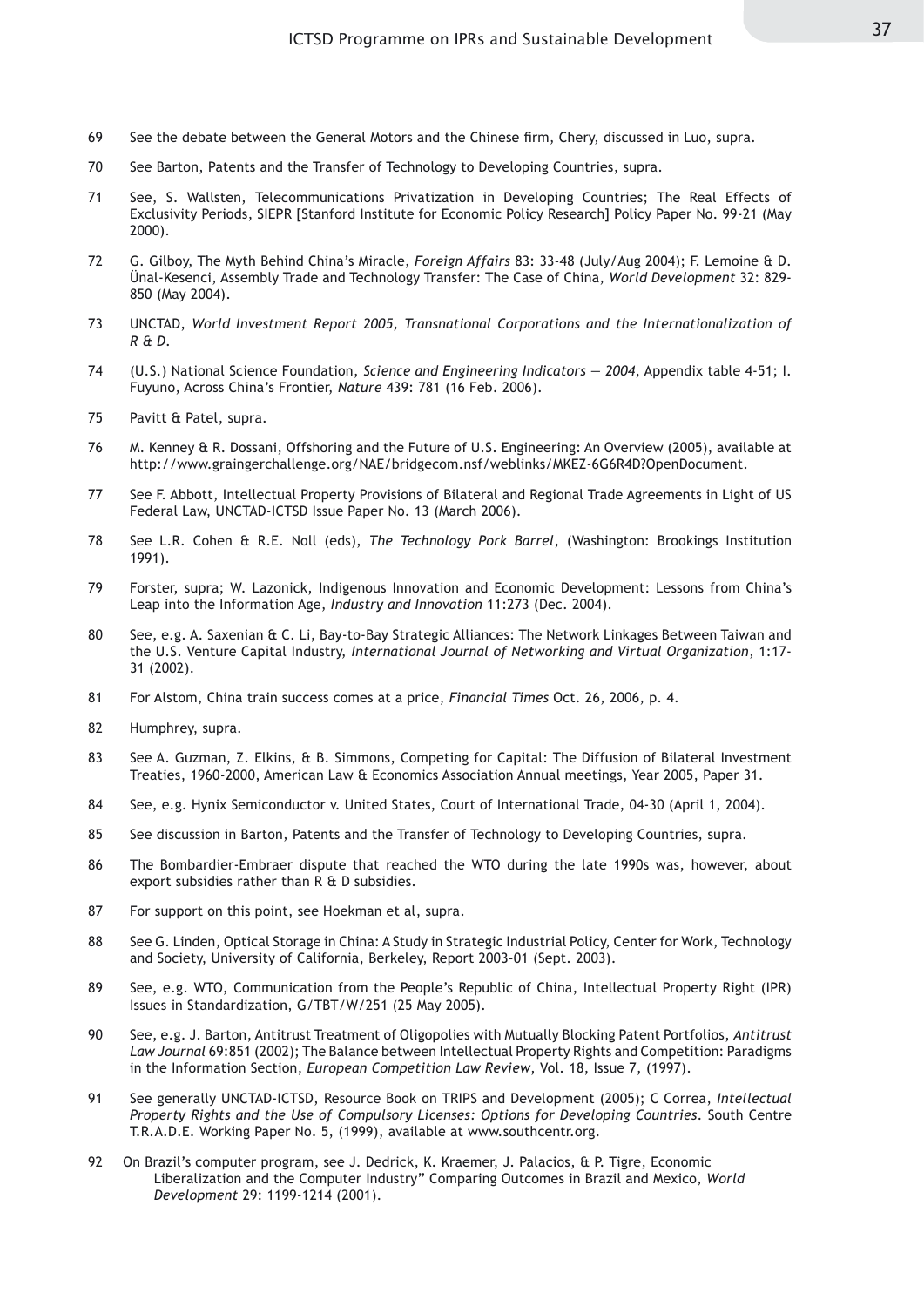- 69 See the debate between the General Motors and the Chinese firm, Chery, discussed in Luo, supra.
- 70 See Barton, Patents and the Transfer of Technology to Developing Countries, supra.
- 71 See, S. Wallsten, Telecommunications Privatization in Developing Countries; The Real Effects of Exclusivity Periods, SIEPR [Stanford Institute for Economic Policy Research] Policy Paper No. 99-21 (May 2000).
- 72 G. Gilboy, The Myth Behind China's Miracle, *Foreign Affairs* 83: 33-48 (July/Aug 2004); F. Lemoine & D. Ünal-Kesenci, Assembly Trade and Technology Transfer: The Case of China, *World Development* 32: 829- 850 (May 2004).
- 73 UNCTAD, *World Investment Report 2005, Transnational Corporations and the Internationalization of R & D*.
- 74 (U.S.) National Science Foundation, *Science and Engineering Indicators 2004*, Appendix table 4-51; I. Fuyuno, Across China's Frontier, *Nature* 439: 781 (16 Feb. 2006).
- 75 Pavitt & Patel, supra.
- 76 M. Kenney & R. Dossani, Offshoring and the Future of U.S. Engineering: An Overview (2005), available at http://www.graingerchallenge.org/NAE/bridgecom.nsf/weblinks/MKEZ-6G6R4D?OpenDocument.
- 77 See F. Abbott, Intellectual Property Provisions of Bilateral and Regional Trade Agreements in Light of US Federal Law, UNCTAD-ICTSD Issue Paper No. 13 (March 2006).
- 78 See L.R. Cohen & R.E. Noll (eds), *The Technology Pork Barrel*, (Washington: Brookings Institution 1991).
- 79 Forster, supra; W. Lazonick, Indigenous Innovation and Economic Development: Lessons from China's Leap into the Information Age, *Industry and Innovation* 11:273 (Dec. 2004).
- 80 See, e.g. A. Saxenian & C. Li, Bay-to-Bay Strategic Alliances: The Network Linkages Between Taiwan and the U.S. Venture Capital Industry, *International Journal of Networking and Virtual Organization*, 1:17- 31 (2002).
- 81 For Alstom, China train success comes at a price, *Financial Times* Oct. 26, 2006, p. 4.
- 82 Humphrey, supra.
- 83 See A. Guzman, Z. Elkins, & B. Simmons, Competing for Capital: The Diffusion of Bilateral Investment Treaties, 1960-2000, American Law & Economics Association Annual meetings, Year 2005, Paper 31.
- 84 See, e.g. Hynix Semiconductor v. United States, Court of International Trade, 04-30 (April 1, 2004).
- 85 See discussion in Barton, Patents and the Transfer of Technology to Developing Countries, supra.
- 86 The Bombardier-Embraer dispute that reached the WTO during the late 1990s was, however, about export subsidies rather than R & D subsidies.
- 87 For support on this point, see Hoekman et al, supra.
- 88 See G. Linden, Optical Storage in China: A Study in Strategic Industrial Policy, Center for Work, Technology and Society, University of California, Berkeley, Report 2003-01 (Sept. 2003).
- 89 See, e.g. WTO, Communication from the People's Republic of China, Intellectual Property Right (IPR) Issues in Standardization, G/TBT/W/251 (25 May 2005).
- 90 See, e.g. J. Barton, Antitrust Treatment of Oligopolies with Mutually Blocking Patent Portfolios, *Antitrust Law Journal* 69:851 (2002); The Balance between Intellectual Property Rights and Competition: Paradigms in the Information Section, *European Competition Law Review*, Vol. 18, Issue 7, (1997).
- 91 See generally UNCTAD-ICTSD, Resource Book on TRIPS and Development (2005); C Correa, *Intellectual Property Rights and the Use of Compulsory Licenses: Options for Developing Countries*. South Centre T.R.A.D.E. Working Paper No. 5, (1999), available at www.southcentr.org.
- 92 On Brazil's computer program, see J. Dedrick, K. Kraemer, J. Palacios, & P. Tigre, Economic Liberalization and the Computer Industry" Comparing Outcomes in Brazil and Mexico, *World Development* 29: 1199-1214 (2001).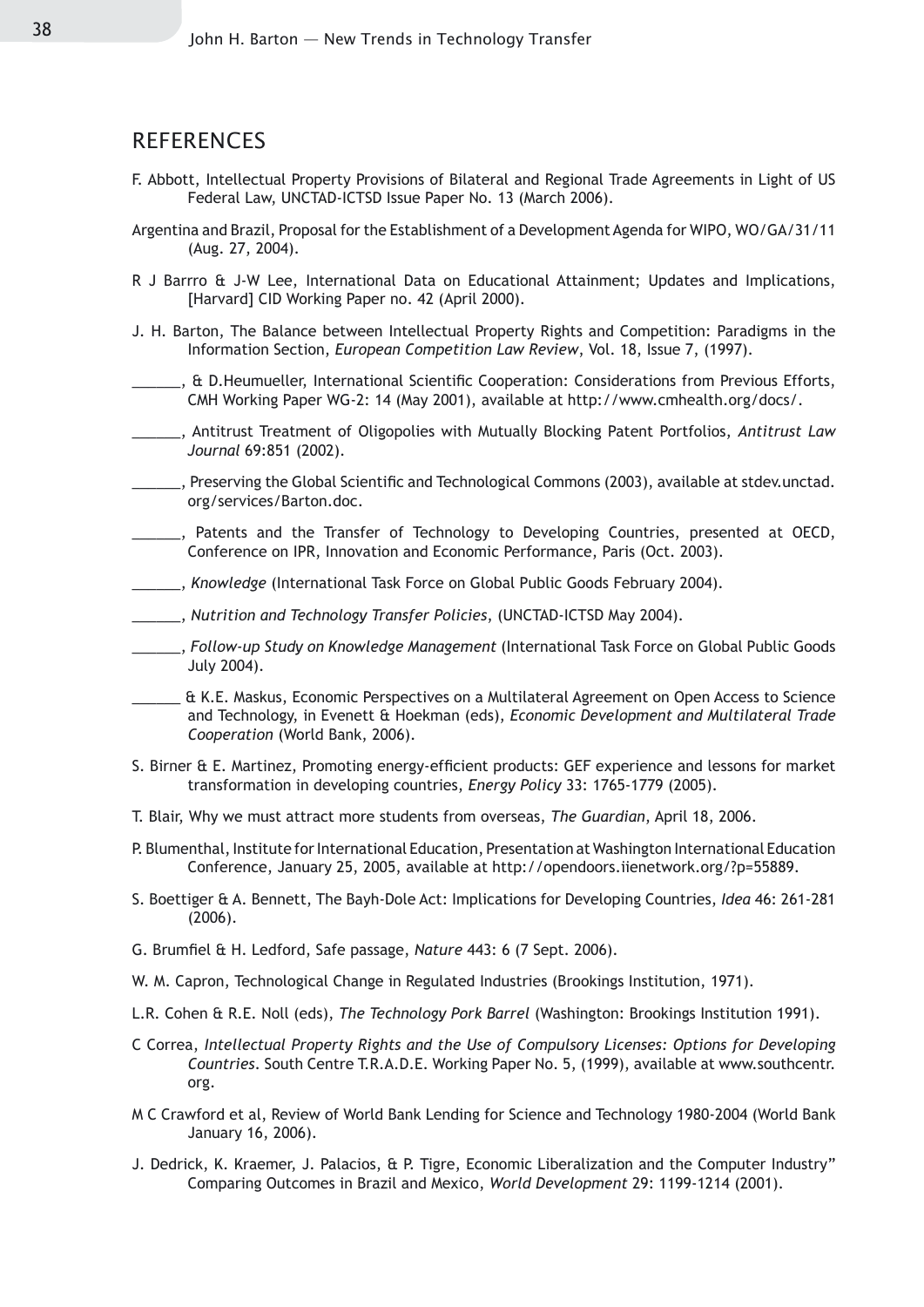#### **REFERENCES**

- F. Abbott, Intellectual Property Provisions of Bilateral and Regional Trade Agreements in Light of US Federal Law, UNCTAD-ICTSD Issue Paper No. 13 (March 2006).
- Argentina and Brazil, Proposal for the Establishment of a Development Agenda for WIPO, WO/GA/31/11 (Aug. 27, 2004).
- R J Barrro & J-W Lee, International Data on Educational Attainment; Updates and Implications, [Harvard] CID Working Paper no. 42 (April 2000).
- J. H. Barton, The Balance between Intellectual Property Rights and Competition: Paradigms in the Information Section, *European Competition Law Review*, Vol. 18, Issue 7, (1997).
- \_\_\_\_\_\_, & D.Heumueller, International Scientific Cooperation: Considerations from Previous Efforts, CMH Working Paper WG-2: 14 (May 2001), available at http://www.cmhealth.org/docs/.
- \_\_\_\_\_\_, Antitrust Treatment of Oligopolies with Mutually Blocking Patent Portfolios, *Antitrust Law Journal* 69:851 (2002).
- \_\_\_\_\_\_, Preserving the Global Scientific and Technological Commons (2003), available at stdev.unctad. org/services/Barton.doc.
- <sub>\_\_\_\_</sub>, Patents and the Transfer of Technology to Developing Countries, presented at OECD, Conference on IPR, Innovation and Economic Performance, Paris (Oct. 2003).
- \_\_\_\_\_\_, *Knowledge* (International Task Force on Global Public Goods February 2004).
- \_\_\_\_\_\_, *Nutrition and Technology Transfer Policies*, (UNCTAD-ICTSD May 2004).
- \_\_\_\_\_\_, *Follow-up Study on Knowledge Management* (International Task Force on Global Public Goods July 2004).
- \_\_\_\_\_\_ & K.E. Maskus, Economic Perspectives on a Multilateral Agreement on Open Access to Science and Technology, in Evenett & Hoekman (eds), *Economic Development and Multilateral Trade Cooperation* (World Bank, 2006).
- S. Birner & E. Martinez, Promoting energy-efficient products: GEF experience and lessons for market transformation in developing countries, *Energy Policy* 33: 1765-1779 (2005).
- T. Blair, Why we must attract more students from overseas, *The Guardian*, April 18, 2006.
- P. Blumenthal, Institute for International Education, Presentation at Washington International Education Conference, January 25, 2005, available at http://opendoors.iienetwork.org/?p=55889.
- S. Boettiger & A. Bennett, The Bayh-Dole Act: Implications for Developing Countries, *Idea* 46: 261-281 (2006).
- G. Brumfiel & H. Ledford, Safe passage, *Nature* 443: 6 (7 Sept. 2006).
- W. M. Capron, Technological Change in Regulated Industries (Brookings Institution, 1971).
- L.R. Cohen & R.E. Noll (eds), *The Technology Pork Barrel* (Washington: Brookings Institution 1991).
- C Correa, *Intellectual Property Rights and the Use of Compulsory Licenses: Options for Developing Countries*. South Centre T.R.A.D.E. Working Paper No. 5, (1999), available at www.southcentr. org.
- M C Crawford et al, Review of World Bank Lending for Science and Technology 1980-2004 (World Bank January 16, 2006).
- J. Dedrick, K. Kraemer, J. Palacios, & P. Tigre, Economic Liberalization and the Computer Industry" Comparing Outcomes in Brazil and Mexico, *World Development* 29: 1199-1214 (2001).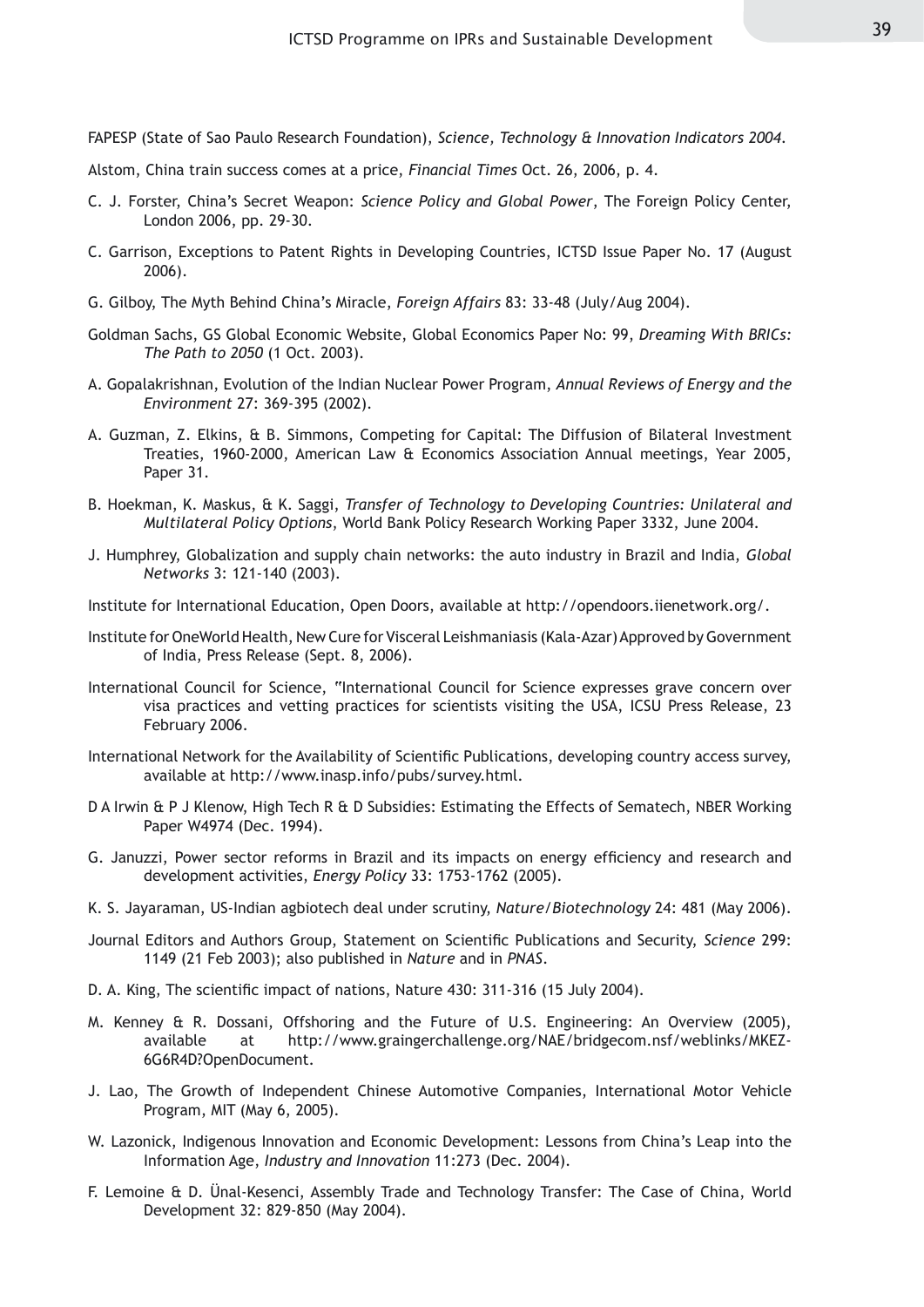FAPESP (State of Sao Paulo Research Foundation), *Science, Technology & Innovation Indicators 2004*.

Alstom, China train success comes at a price, *Financial Times* Oct. 26, 2006, p. 4.

- C. J. Forster, China's Secret Weapon: *Science Policy and Global Power*, The Foreign Policy Center, London 2006, pp. 29-30.
- C. Garrison, Exceptions to Patent Rights in Developing Countries, ICTSD Issue Paper No. 17 (August 2006).
- G. Gilboy, The Myth Behind China's Miracle, *Foreign Affairs* 83: 33-48 (July/Aug 2004).
- Goldman Sachs, GS Global Economic Website, Global Economics Paper No: 99, *Dreaming With BRICs: The Path to 2050* (1 Oct. 2003).
- A. Gopalakrishnan, Evolution of the Indian Nuclear Power Program, *Annual Reviews of Energy and the Environment* 27: 369-395 (2002).
- A. Guzman, Z. Elkins, & B. Simmons, Competing for Capital: The Diffusion of Bilateral Investment Treaties, 1960-2000, American Law & Economics Association Annual meetings, Year 2005, Paper 31.
- B. Hoekman, K. Maskus, & K. Saggi, *Transfer of Technology to Developing Countries: Unilateral and Multilateral Policy Options*, World Bank Policy Research Working Paper 3332, June 2004.
- J. Humphrey, Globalization and supply chain networks: the auto industry in Brazil and India, *Global Networks* 3: 121-140 (2003).
- Institute for International Education, Open Doors, available at http://opendoors.iienetwork.org/.
- Institute for OneWorld Health, New Cure for Visceral Leishmaniasis (Kala-Azar) Approved by Government of India, Press Release (Sept. 8, 2006).
- International Council for Science, "International Council for Science expresses grave concern over visa practices and vetting practices for scientists visiting the USA, ICSU Press Release, 23 February 2006.
- International Network for the Availability of Scientific Publications, developing country access survey, available at http://www.inasp.info/pubs/survey.html.
- D A Irwin & P J Klenow, High Tech R & D Subsidies: Estimating the Effects of Sematech, NBER Working Paper W4974 (Dec. 1994).
- G. Januzzi, Power sector reforms in Brazil and its impacts on energy efficiency and research and development activities, *Energy Policy* 33: 1753-1762 (2005).
- K. S. Jayaraman, US-Indian agbiotech deal under scrutiny, *Nature/Biotechnology* 24: 481 (May 2006).
- Journal Editors and Authors Group, Statement on Scientific Publications and Security, *Science* 299: 1149 (21 Feb 2003); also published in *Nature* and in *PNAS*.
- D. A. King, The scientific impact of nations, Nature 430: 311-316 (15 July 2004).
- M. Kenney & R. Dossani, Offshoring and the Future of U.S. Engineering: An Overview (2005), available at http://www.graingerchallenge.org/NAE/bridgecom.nsf/weblinks/MKEZ-6G6R4D?OpenDocument.
- J. Lao, The Growth of Independent Chinese Automotive Companies, International Motor Vehicle Program, MIT (May 6, 2005).
- W. Lazonick, Indigenous Innovation and Economic Development: Lessons from China's Leap into the Information Age, *Industry and Innovation* 11:273 (Dec. 2004).
- F. Lemoine & D. Ünal-Kesenci, Assembly Trade and Technology Transfer: The Case of China, World Development 32: 829-850 (May 2004).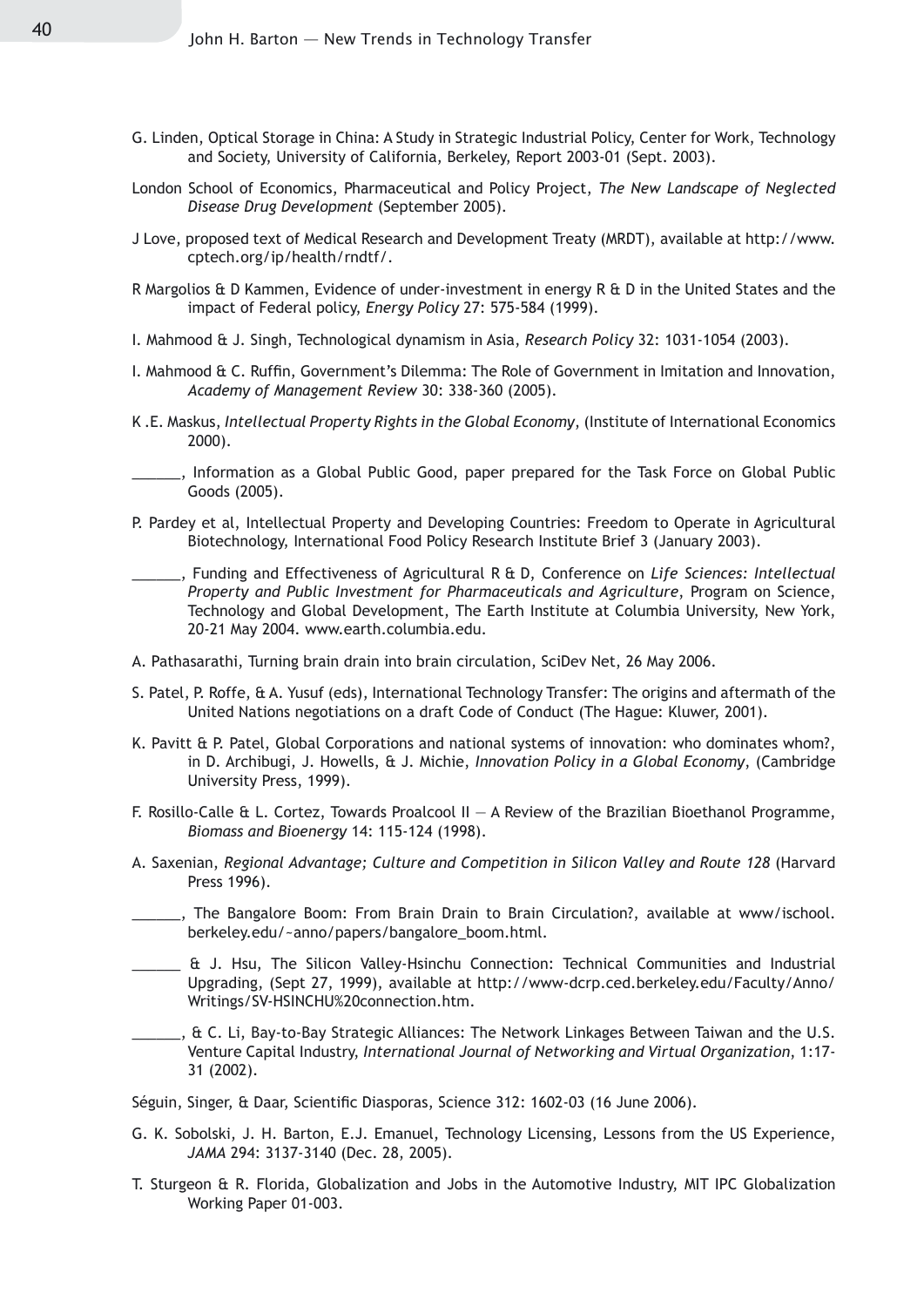- G. Linden, Optical Storage in China: A Study in Strategic Industrial Policy, Center for Work, Technology and Society, University of California, Berkeley, Report 2003-01 (Sept. 2003).
- London School of Economics, Pharmaceutical and Policy Project, *The New Landscape of Neglected Disease Drug Development* (September 2005).
- J Love, proposed text of Medical Research and Development Treaty (MRDT), available at http://www. cptech.org/ip/health/rndtf/.
- R Margolios & D Kammen, Evidence of under-investment in energy R & D in the United States and the impact of Federal policy, *Energy Policy* 27: 575-584 (1999).
- I. Mahmood & J. Singh, Technological dynamism in Asia, *Research Policy* 32: 1031-1054 (2003).
- I. Mahmood & C. Ruffin, Government's Dilemma: The Role of Government in Imitation and Innovation, *Academy of Management Review* 30: 338-360 (2005).
- K .E. Maskus, *Intellectual Property Rights in the Global Economy*, (Institute of International Economics 2000).
- ., Information as a Global Public Good, paper prepared for the Task Force on Global Public Goods (2005).
- P. Pardey et al, Intellectual Property and Developing Countries: Freedom to Operate in Agricultural Biotechnology, International Food Policy Research Institute Brief 3 (January 2003).
	- \_\_\_\_\_\_, Funding and Effectiveness of Agricultural R & D, Conference on *Life Sciences: Intellectual Property and Public Investment for Pharmaceuticals and Agriculture*, Program on Science, Technology and Global Development, The Earth Institute at Columbia University, New York, 20-21 May 2004. www.earth.columbia.edu.
- A. Pathasarathi, Turning brain drain into brain circulation, SciDev Net, 26 May 2006.
- S. Patel, P. Roffe, & A. Yusuf (eds), International Technology Transfer: The origins and aftermath of the United Nations negotiations on a draft Code of Conduct (The Hague: Kluwer, 2001).
- K. Pavitt & P. Patel, Global Corporations and national systems of innovation: who dominates whom?, in D. Archibugi, J. Howells, & J. Michie, *Innovation Policy in a Global Economy*, (Cambridge University Press, 1999).
- F. Rosillo-Calle & L. Cortez, Towards Proalcool II A Review of the Brazilian Bioethanol Programme, *Biomass and Bioenergy* 14: 115-124 (1998).
- A. Saxenian, *Regional Advantage; Culture and Competition in Silicon Valley and Route 128* (Harvard Press 1996).
- \_\_\_\_\_\_, The Bangalore Boom: From Brain Drain to Brain Circulation?, available at www/ischool. berkeley.edu/~anno/papers/bangalore\_boom.html.
- \_\_\_\_\_\_ & J. Hsu, The Silicon Valley-Hsinchu Connection: Technical Communities and Industrial Upgrading, (Sept 27, 1999), available at http://www-dcrp.ced.berkeley.edu/Faculty/Anno/ Writings/SV-HSINCHU%20connection.htm.
- \_\_\_\_\_\_, & C. Li, Bay-to-Bay Strategic Alliances: The Network Linkages Between Taiwan and the U.S. Venture Capital Industry, *International Journal of Networking and Virtual Organization*, 1:17- 31 (2002).
- Séguin, Singer, & Daar, Scientific Diasporas, Science 312: 1602-03 (16 June 2006).
- G. K. Sobolski, J. H. Barton, E.J. Emanuel, Technology Licensing, Lessons from the US Experience, *JAMA* 294: 3137-3140 (Dec. 28, 2005).
- T. Sturgeon & R. Florida, Globalization and Jobs in the Automotive Industry, MIT IPC Globalization Working Paper 01-003.